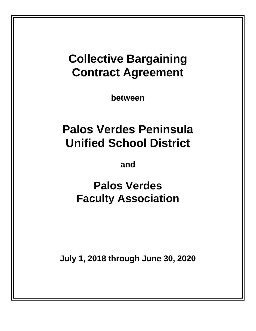# **Collective Bargaining Contract Agreement**

**between**

# **Palos Verdes Peninsula Unified School District**

**and**

**Palos Verdes Faculty Association**

**July 1, 2018 through June 30, 2020**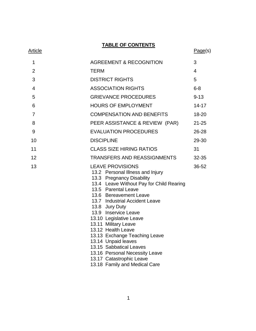**TABLE OF CONTENTS**

| <u>Article</u> |                                                                                                                                                                                                                                                                                                                                                                                                                               | Page(s)   |
|----------------|-------------------------------------------------------------------------------------------------------------------------------------------------------------------------------------------------------------------------------------------------------------------------------------------------------------------------------------------------------------------------------------------------------------------------------|-----------|
| 1              | <b>AGREEMENT &amp; RECOGNITION</b>                                                                                                                                                                                                                                                                                                                                                                                            | 3         |
| $\overline{2}$ | <b>TERM</b>                                                                                                                                                                                                                                                                                                                                                                                                                   | 4         |
| 3              | <b>DISTRICT RIGHTS</b>                                                                                                                                                                                                                                                                                                                                                                                                        | 5         |
| $\overline{4}$ | <b>ASSOCIATION RIGHTS</b>                                                                                                                                                                                                                                                                                                                                                                                                     | $6 - 8$   |
| 5              | <b>GRIEVANCE PROCEDURES</b>                                                                                                                                                                                                                                                                                                                                                                                                   | $9 - 13$  |
| 6              | <b>HOURS OF EMPLOYMENT</b>                                                                                                                                                                                                                                                                                                                                                                                                    | $14 - 17$ |
| 7              | <b>COMPENSATION AND BENEFITS</b>                                                                                                                                                                                                                                                                                                                                                                                              | 18-20     |
| 8              | PEER ASSISTANCE & REVIEW (PAR)                                                                                                                                                                                                                                                                                                                                                                                                | $21 - 25$ |
| 9              | <b>EVALUATION PROCEDURES</b>                                                                                                                                                                                                                                                                                                                                                                                                  | 26-28     |
| 10             | <b>DISCIPLINE</b>                                                                                                                                                                                                                                                                                                                                                                                                             | 29-30     |
| 11             | <b>CLASS SIZE HIRING RATIOS</b>                                                                                                                                                                                                                                                                                                                                                                                               | 31        |
|                |                                                                                                                                                                                                                                                                                                                                                                                                                               |           |
| 12             | <b>TRANSFERS AND REASSIGNMENTS</b>                                                                                                                                                                                                                                                                                                                                                                                            | 32-35     |
| 13             | <b>LEAVE PROVISIONS</b><br>13.2 Personal Illness and Injury<br>13.3 Pregnancy Disability<br>13.4 Leave Without Pay for Child Rearing<br>13.5 Parental Leave<br>13.6 Bereavement Leave<br>13.7 Industrial Accident Leave<br>13.8 Jury Duty<br>13.9 Inservice Leave<br>13.10 Legislative Leave<br>13.11 Military Leave<br>13.12 Health Leave<br>13.13 Exchange Teaching Leave<br>13.14 Unpaid leaves<br>13.15 Sabbatical Leaves | 36-52     |
|                | 13.16 Personal Necessity Leave<br>13.17 Catastrophic Leave                                                                                                                                                                                                                                                                                                                                                                    |           |

13.18 Family and Medical Care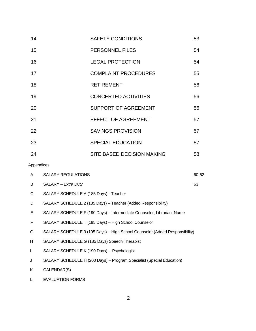| 14                |                                                                       | <b>SAFETY CONDITIONS</b>                                                    | 53    |
|-------------------|-----------------------------------------------------------------------|-----------------------------------------------------------------------------|-------|
| 15                |                                                                       | PERSONNEL FILES                                                             | 54    |
| 16                |                                                                       | <b>LEGAL PROTECTION</b>                                                     | 54    |
| 17                |                                                                       | <b>COMPLAINT PROCEDURES</b>                                                 | 55    |
| 18                |                                                                       | <b>RETIREMENT</b>                                                           | 56    |
| 19                |                                                                       | <b>CONCERTED ACTIVITIES</b>                                                 | 56    |
| 20                |                                                                       | <b>SUPPORT OF AGREEMENT</b>                                                 | 56    |
| 21                |                                                                       | <b>EFFECT OF AGREEMENT</b>                                                  | 57    |
| 22                |                                                                       | <b>SAVINGS PROVISION</b>                                                    | 57    |
| 23                |                                                                       | <b>SPECIAL EDUCATION</b>                                                    | 57    |
| 24                |                                                                       | <b>SITE BASED DECISION MAKING</b>                                           | 58    |
| <b>Appendices</b> |                                                                       |                                                                             |       |
| A                 | <b>SALARY REGULATIONS</b>                                             |                                                                             | 60-62 |
| B                 | SALARY - Extra Duty                                                   |                                                                             | 63    |
| C                 | SALARY SCHEDULE A (185 Days) -- Teacher                               |                                                                             |       |
| D                 | SALARY SCHEDULE 2 (185 Days) - Teacher (Added Responsibility)         |                                                                             |       |
| Е                 |                                                                       | SALARY SCHEDULE F (190 Days) - Intermediate Counselor, Librarian, Nurse     |       |
| F                 |                                                                       | SALARY SCHEDULE T (195 Days) - High School Counselor                        |       |
| G                 |                                                                       | SALARY SCHEDULE 3 (195 Days) - High School Counselor (Added Responsibility) |       |
| Н                 | SALARY SCHEDULE G (185 Days) Speech Therapist                         |                                                                             |       |
| L                 | SALARY SCHEDULE K (190 Days) -- Psychologist                          |                                                                             |       |
| J                 | SALARY SCHEDULE H (200 Days) - Program Specialist (Special Education) |                                                                             |       |

K CALENDAR(S)

L EVALUATION FORMS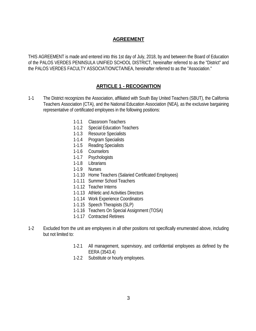# **AGREEMENT**

THIS AGREEMENT is made and entered into this 1st day of July, 2018, by and between the Board of Education of the PALOS VERDES PENINSULA UNIFIED SCHOOL DISTRICT, hereinafter referred to as the "District" and the PALOS VERDES FACULTY ASSOCIATION/CTA/NEA, hereinafter referred to as the "Association."

# **ARTICLE 1 - RECOGNITION**

- 1-1 The District recognizes the Association, affiliated with South Bay United Teachers (SBUT), the California Teachers Association (CTA), and the National Education Association (NEA), as the exclusive bargaining representative of certificated employees in the following positions:
	- 1-1.1 Classroom Teachers
	- 1-1.2 Special Education Teachers
	- 1-1.3 Resource Specialists
	- 1-1.4 Program Specialists
	- 1-1.5 Reading Specialists
	- 1-1.6 Counselors
	- 1-1.7 Psychologists
	- 1-1.8 Librarians
	- 1-1.9 Nurses
	- 1-1.10 Home Teachers (Salaried Certificated Employees)
	- 1-1.11 Summer School Teachers
	- 1-1.12 Teacher Interns
	- 1-1.13 Athletic and Activities Directors
	- 1-1.14 Work Experience Coordinators
	- 1-1.15 Speech Therapists (SLP)
	- 1-1.16 Teachers On Special Assignment (TOSA)
	- 1-1.17 Contracted Retirees
- 1-2 Excluded from the unit are employees in all other positions not specifically enumerated above, including but not limited to:
	- 1-2.1 All management, supervisory, and confidential employees as defined by the EERA (3543.4)
	- 1-2.2 Substitute or hourly employees.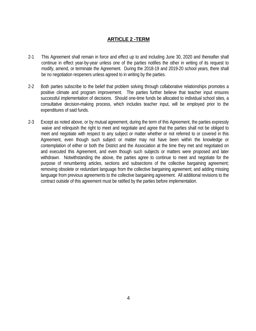# **ARTICLE 2 -TERM**

- 2-1 This Agreement shall remain in force and effect up to and including June 30, 2020 and thereafter shall continue in effect year-by-year unless one of the parties notifies the other in writing of its request to modify, amend, or terminate the Agreement. During the 2018-19 and 2019-20 school years, there shall be no negotiation reopeners unless agreed to in writing by the parties.
- 2-2 Both parties subscribe to the belief that problem solving through collaborative relationships promotes a positive climate and program improvement. The parties further believe that teacher input ensures successful implementation of decisions. Should one-time funds be allocated to individual school sites, a consultative decision-making process, which includes teacher input, will be employed prior to the expenditures of said funds.
- 2-3 Except as noted above, or by mutual agreement, during the term of this Agreement, the parties expressly waive and relinquish the right to meet and negotiate and agree that the parties shall not be obliged to meet and negotiate with respect to any subject or matter whether or not referred to or covered in this Agreement, even though such subject or matter may not have been within the knowledge or contemplation of either or both the District and the Association at the time they met and negotiated on and executed this Agreement, and even though such subjects or matters were proposed and later withdrawn. Notwithstanding the above, the parties agree to continue to meet and negotiate for the purpose of renumbering articles, sections and subsections of the collective bargaining agreement; removing obsolete or redundant language from the collective bargaining agreement; and adding missing language from previous agreements to the collective bargaining agreement. All additional revisions to the contract outside of this agreement must be ratified by the parties before implementation.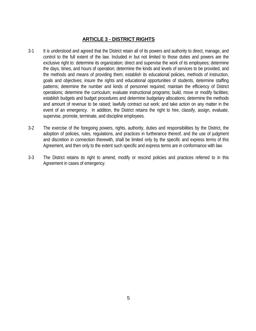# **ARTICLE 3 - DISTRICT RIGHTS**

- 3-1 It is understood and agreed that the District retain all of its powers and authority to direct, manage, and control to the full extent of the law. Included in but not limited to those duties and powers are the exclusive right to: determine its organization; direct and supervise the work of its employees; determine the days, times, and hours of operation; determine the kinds and levels of services to be provided, and the methods and means of providing them; establish its educational policies, methods of instruction, goals and objectives; insure the rights and educational opportunities of students, determine staffing patterns; determine the number and kinds of personnel required; maintain the efficiency of District operations; determine the curriculum; evaluate instructional programs; build, move or modify facilities; establish budgets and budget procedures and determine budgetary allocations; determine the methods and amount of revenue to be raised; lawfully contract out work; and take action on any matter in the event of an emergency. In addition, the District retains the right to hire, classify, assign, evaluate, supervise, promote, terminate, and discipline employees.
- 3-2 The exercise of the foregoing powers, rights, authority, duties and responsibilities by the District, the adoption of policies, rules, regulations, and practices in furtherance thereof, and the use of judgment and discretion in connection therewith, shall be limited only by the specific and express terms of this Agreement, and then only to the extent such specific and express terms are in conformance with law.
- 3-3 The District retains its right to amend, modify or rescind policies and practices referred to in this Agreement in cases of emergency.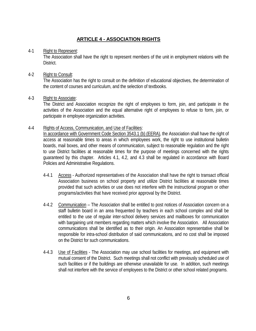# **ARTICLE 4 - ASSOCIATION RIGHTS**

### 4-1 Right to Represent:

The Association shall have the right to represent members of the unit in employment relations with the District.

## 4-2 Right to Consult:

The Association has the right to consult on the definition of educational objectives, the determination of the content of courses and curriculum, and the selection of textbooks.

## 4-3 Right to Associate:

The District and Association recognize the right of employees to form, join, and participate in the activities of the Association and the equal alternative right of employees to refuse to form, join, or participate in employee organization activities.

### 4-4 Rights of Access, Communication, and Use of Facilities:

In accordance with Government Code Section 3543.1 (b) (EERA), the Association shall have the right of access at reasonable times to areas in which employees work, the right to use institutional bulletin boards, mail boxes, and other means of communication, subject to reasonable regulation and the right to use District facilities at reasonable times for the purpose of meetings concerned with the rights guaranteed by this chapter. Articles 4.1, 4.2, and 4.3 shall be regulated in accordance with Board Policies and Administrative Regulations.

- 4-4.1 Access Authorized representatives of the Association shall have the right to transact official Association business on school property and utilize District facilities at reasonable times provided that such activities or use does not interfere with the instructional program or other programs/activities that have received prior approval by the District.
- 4-4.2 Communication The Association shall be entitled to post notices of Association concern on a staff bulletin board in an area frequented by teachers in each school complex and shall be entitled to the use of regular inter-school delivery services and mailboxes for communication with bargaining unit members regarding matters which involve the Association. All Association communications shall be identified as to their origin. An Association representative shall be responsible for intra-school distribution of said communications, and no cost shall be imposed on the District for such communications.
- 4-4.3 Use of Facilities The Association may use school facilities for meetings, and equipment with mutual consent of the District. Such meetings shall not conflict with previously scheduled use of such facilities or if the buildings are otherwise unavailable for use. In addition, such meetings shall not interfere with the service of employees to the District or other school related programs.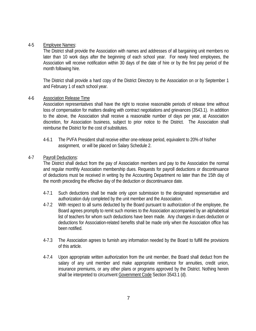## 4-5 Employee Names:

The District shall provide the Association with names and addresses of all bargaining unit members no later than 10 work days after the beginning of each school year. For newly hired employees, the Association will receive notification within 30 days of the date of hire or by the first pay period of the month following hire.

The District shall provide a hard copy of the District Directory to the Association on or by September 1 and February 1 of each school year.

### 4-6 Association Release Time

Association representatives shall have the right to receive reasonable periods of release time without loss of compensation for matters dealing with contract negotiations and grievances (3543.1). In addition to the above, the Association shall receive a reasonable number of days per year, at Association discretion, for Association business, subject to prior notice to the District. The Association shall reimburse the District for the cost of substitutes.

4-6.1 The PVFA President shall receive either one-release period, equivalent to 20% of his/her assignment, or will be placed on Salary Schedule 2.

## 4-7 Payroll Deductions:

The District shall deduct from the pay of Association members and pay to the Association the normal and regular monthly Association membership dues. Requests for payroll deductions or discontinuance of deductions must be received in writing by the Accounting Department no later than the 15th day of the month preceding the effective day of the deduction or discontinuance date.

- 4-7.1 Such deductions shall be made only upon submission to the designated representative and authorization duly completed by the unit member and the Association.
- 4-7.2 With respect to all sums deducted by the Board pursuant to authorization of the employee, the Board agrees promptly to remit such monies to the Association accompanied by an alphabetical list of teachers for whom such deductions have been made. Any changes in dues deduction or deductions for Association-related benefits shall be made only when the Association office has been notified.
- 4-7.3 The Association agrees to furnish any information needed by the Board to fulfill the provisions of this article.
- 4-7.4 Upon appropriate written authorization from the unit member, the Board shall deduct from the salary of any unit member and make appropriate remittance for annuities, credit union, insurance premiums, or any other plans or programs approved by the District. Nothing herein shall be interpreted to circumvent Government Code Section 3543.1 (d).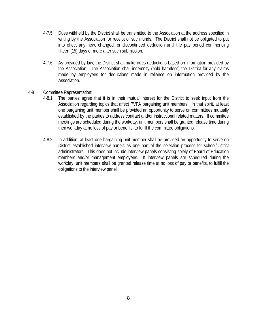- 4-7.5 Dues withheld by the District shall be transmitted to the Association at the address specified in writing by the Association for receipt of such funds. The District shall not be obligated to put into effect any new, changed, or discontinued deduction until the pay period commencing fifteen (15) days or more after such submission.
- 4-7.6 As provided by law, the District shall make dues deductions based on information provided by the Association. The Association shall indemnify (hold harmless) the District for any claims made by employees for deductions made in reliance on information provided by the Association.

### 4-8 Committee Representation:

- 4-8.1 The parties agree that it is in their mutual interest for the District to seek input from the Association regarding topics that affect PVFA bargaining unit members. In that spirit, at least one bargaining unit member shall be provided an opportunity to serve on committees mutually established by the parties to address contract and/or instructional related matters. If committee meetings are scheduled during the workday, unit members shall be granted release time during their workday at no loss of pay or benefits, to fulfill the committee obligations.
- 4-8.2 In addition, at least one bargaining unit member shall be provided an opportunity to serve on District established interview panels as one part of the selection process for school/District administrators. This does not include interview panels consisting solely of Board of Education members and/or management employees. If interview panels are scheduled during the workday, unit members shall be granted release time at no loss of pay or benefits, to fulfill the obligations to the interview panel.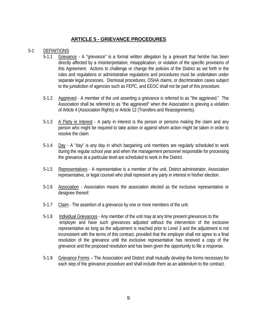# **ARTICLE 5 - GRIEVANCE PROCEDURES**

## 5-1 DEFINITIONS:

- 5-1.1 Grievance A "grievance" is a formal written allegation by a grievant that he/she has been directly affected by a misinterpretation, misapplication, or violation of the specific provisions of this Agreement. Actions to challenge or change the policies of the District as set forth in the rules and regulations or administrative regulations and procedures must be undertaken under separate legal processes. Dismissal procedures, OSHA claims, or discrimination cases subject to the jurisdiction of agencies such as FEPC, and EEOC shall not be part of this procedure.
- 5-1.2 Aggrieved A member of the unit asserting a grievance is referred to as "the aggrieved." The Association shall be referred to as "the aggrieved" when the Association is grieving a violation of Article 4 (Association Rights) or Article 12 (Transfers and Reassignments).
- 5-1.3 A Party in Interest A party in interest is the person or persons making the claim and any person who might be required to take action or against whom action might be taken in order to resolve the claim.
- 5-1.4 Day A "day" is any day in which bargaining unit members are regularly scheduled to work during the regular school year and when the management personnel responsible for processing the grievance at a particular level are scheduled to work in the District.
- 5-1.5 Representatives A representative is a member of the unit, District administrator, Association representative, or legal counsel who shall represent any party in interest in his/her election.
- 5-1.6 Association Association means the association elected as the exclusive representative or designee thereof.
- 5-1.7 Claim The assertion of a grievance by one or more members of the unit.
- 5-1.8 Individual Grievances Any member of the unit may at any time present grievances to the employer and have such grievances adjusted without the intervention of the exclusive representative as long as the adjustment is reached prior to Level 3 and the adjustment is not inconsistent with the terms of this contract, provided that the employer shall not agree to a final resolution of the grievance until the exclusive representative has received a copy of the grievance and the proposed resolution and has been given the opportunity to file a response.
- 5-1.9 Grievance Forms The Association and District shall mutually develop the forms necessary for each step of the grievance procedure and shall include them as an addendum to the contract.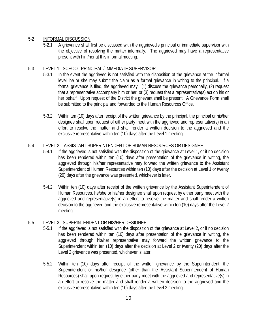# 5-2 INFORMAL DISCUSSION

5-2.1 A grievance shall first be discussed with the aggrieved's principal or immediate supervisor with the objective of resolving the matter informally. The aggrieved may have a representative present with him/her at this informal meeting.

# 5-3 LEVEL 1 - SCHOOL PRINCIPAL / IMMEDIATE SUPERVISOR

- 5-3.1 In the event the aggrieved is not satisfied with the disposition of the grievance at the informal level, he or she may submit the claim as a formal grievance in writing to the principal. If a formal grievance is filed, the aggrieved may: (1) discuss the grievance personally, (2) request that a representative accompany him or her, or (3) request that a representative(s) act on his or her behalf. Upon request of the District the grievant shall be present. A Grievance Form shall be submitted to the principal and forwarded to the Human Resources Office.
- 5-3.2 Within ten (10) days after receipt of the written grievance by the principal, the principal or his/her designee shall upon request of either party meet with the aggrieved and representative(s) in an effort to resolve the matter and shall render a written decision to the aggrieved and the exclusive representative within ten (10) days after the Level 1 meeting.

# 5-4 LEVEL 2 - ASSISTANT SUPERINTENDENT OF HUMAN RESOURCES OR DESIGNEE

- 5-4.1 If the aggrieved is not satisfied with the disposition of the grievance at Level 1, or if no decision has been rendered within ten (10) days after presentation of the grievance in writing, the aggrieved through his/her representative may forward the written grievance to the Assistant Superintendent of Human Resources within ten (10) days after the decision at Level 1 or twenty (20) days after the grievance was presented, whichever is later.
- 5-4.2 Within ten (10) days after receipt of the written grievance by the Assistant Superintendent of Human Resources, he/she or his/her designee shall upon request by either party meet with the aggrieved and representative(s) in an effort to resolve the matter and shall render a written decision to the aggrieved and the exclusive representative within ten (10) days after the Level 2 meeting.

# 5-5 LEVEL 3 - SUPERINTENDENT OR HIS/HER DESIGNEE

- 5-5.1 If the aggrieved is not satisfied with the disposition of the grievance at Level 2, or if no decision has been rendered within ten (10) days after presentation of the grievance in writing, the aggrieved through his/her representative may forward the written grievance to the Superintendent within ten (10) days after the decision at Level 2 or twenty (20) days after the Level 2 grievance was presented, whichever is later.
- 5-5.2 Within ten (10) days after receipt of the written grievance by the Superintendent, the Superintendent or his/her designee (other than the Assistant Superintendent of Human Resources) shall upon request by either party meet with the aggrieved and representative(s) in an effort to resolve the matter and shall render a written decision to the aggrieved and the exclusive representative within ten (10) days after the Level 3 meeting.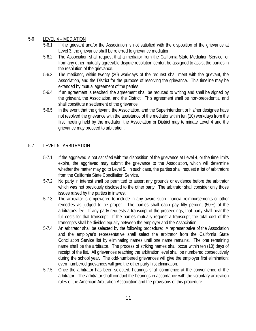# 5-6 LEVEL 4 – MEDIATION

- 5-6.1 If the grievant and/or the Association is not satisfied with the disposition of the grievance at Level 3, the grievance shall be referred to grievance mediation.
- 5-6.2 The Association shall request that a mediator from the California State Mediation Service, or from any other mutually agreeable dispute resolution center, be assigned to assist the parties in the resolution of the grievance.
- 5-6.3 The mediator, within twenty (20) workdays of the request shall meet with the grievant, the Association, and the District for the purpose of resolving the grievance. This timeline may be extended by mutual agreement of the parties.
- 5-6.4 If an agreement is reached, the agreement shall be reduced to writing and shall be signed by the grievant, the Association, and the District. This agreement shall be non-precedential and shall constitute a settlement of the grievance.
- 5-6.5 In the event that the grievant, the Association, and the Superintendent or his/her designee have not resolved the grievance with the assistance of the mediator within ten (10) workdays from the first meeting held by the mediator, the Association or District may terminate Level 4 and the grievance may proceed to arbitration.

# 5-7 LEVEL 5 - ARBITRATION

- 5-7.1 If the aggrieved is not satisfied with the disposition of the grievance at Level 4, or the time limits expire, the aggrieved may submit the grievance to the Association, which will determine whether the matter may go to Level 5. In such case, the parties shall request a list of arbitrators from the California State Conciliation Service.
- 5-7.2 No party in interest shall be permitted to assert any grounds or evidence before the arbitrator which was not previously disclosed to the other party. The arbitrator shall consider only those issues raised by the parties in interest.
- 5-7.3 The arbitrator is empowered to include in any award such financial reimbursements or other remedies as judged to be proper. The parties shall each pay fifty percent (50%) of the arbitrator's fee. If any party requests a transcript of the proceedings, that party shall bear the full costs for that transcript. If the parties mutually request a transcript, the total cost of the transcripts shall be divided equally between the employer and the Association.
- 5-7.4 An arbitrator shall be selected by the following procedure: A representative of the Association and the employer's representative shall select the arbitrator from the California State Conciliation Service list by eliminating names until one name remains. The one remaining name shall be the arbitrator. The process of striking names shall occur within ten (10) days of receipt of the list. All grievances reaching the arbitration level shall be numbered consecutively during the school year. The odd-numbered grievances will give the employer first elimination; even-numbered grievances will give the other party first elimination.
- 5-7.5 Once the arbitrator has been selected, hearings shall commence at the convenience of the arbitrator. The arbitrator shall conduct the hearings in accordance with the voluntary arbitration rules of the American Arbitration Association and the provisions of this procedure.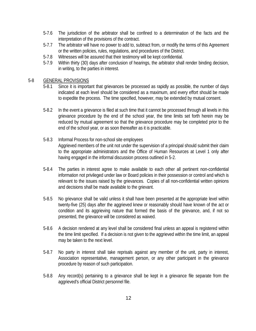- 5-7.6 The jurisdiction of the arbitrator shall be confined to a determination of the facts and the interpretation of the provisions of the contract.
- 5-7.7 The arbitrator will have no power to add to, subtract from, or modify the terms of this Agreement or the written policies, rules, regulations, and procedures of the District.
- 5-7.8 Witnesses will be assured that their testimony will be kept confidential.
- 5-7.9 Within thirty (30) days after conclusion of hearings, the arbitrator shall render binding decision, in writing, to the parties in interest.

## 5-8 GENERAL PROVISIONS

- 5-8.1 Since it is important that grievances be processed as rapidly as possible, the number of days indicated at each level should be considered as a maximum, and every effort should be made to expedite the process. The time specified, however, may be extended by mutual consent.
- 5-8.2 In the event a grievance is filed at such time that it cannot be processed through all levels in this grievance procedure by the end of the school year, the time limits set forth herein may be reduced by mutual agreement so that the grievance procedure may be completed prior to the end of the school year, or as soon thereafter as it is practicable.
- 5-8.3 Informal Process for non-school site employees Aggrieved members of the unit not under the supervision of a principal should submit their claim to the appropriate administrators and the Office of Human Resources at Level 1 only after having engaged in the informal discussion process outlined in 5-2.
- 5-8.4 The parties in interest agree to make available to each other all pertinent non-confidential information not privileged under law or Board policies in their possession or control and which is relevant to the issues raised by the grievances. Copies of all non-confidential written opinions and decisions shall be made available to the grievant.
- 5-8.5 No grievance shall be valid unless it shall have been presented at the appropriate level within twenty-five (25) days after the aggrieved knew or reasonably should have known of the act or condition and its aggrieving nature that formed the basis of the grievance, and, if not so presented, the grievance will be considered as waived.
- 5-8.6 A decision rendered at any level shall be considered final unless an appeal is registered within the time limit specified. If a decision is not given to the aggrieved within the time limit, an appeal may be taken to the next level.
- 5-8.7 No party in interest shall take reprisals against any member of the unit, party in interest, Association representative, management person, or any other participant in the grievance procedure by reason of such participation.
- 5-8.8 Any record(s) pertaining to a grievance shall be kept in a grievance file separate from the aggrieved's official District personnel file.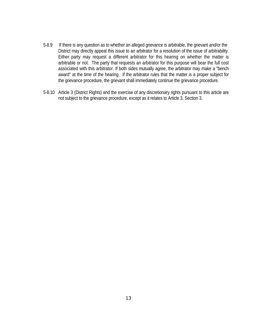- 5-8.9 If there is any question as to whether an alleged grievance is arbitrable, the grievant and/or the District may directly appeal this issue to an arbitrator for a resolution of the issue of arbitrability. Either party may request a different arbitrator for this hearing on whether the matter is arbitrable or not. The party that requests an arbitrator for this purpose will bear the full cost associated with this arbitrator. If both sides mutually agree, the arbitrator may make a "bench award" at the time of the hearing. If the arbitrator rules that the matter is a proper subject for the grievance procedure, the grievant shall immediately continue the grievance procedure.
- 5-8.10 Article 3 (District Rights) and the exercise of any discretionary rights pursuant to this article are not subject to the grievance procedure, except as it relates to Article 3, Section 3.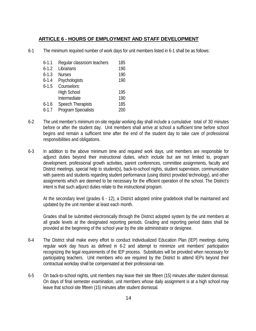# **ARTICLE 6 - HOURS OF EMPLOYMENT AND STAFF DEVELOPMENT**

6-1 The minimum required number of work days for unit members listed in 6-1 shall be as follows:

| $6 - 1.1$ | Regular classroom teachers | 185 |
|-----------|----------------------------|-----|
| $6 - 1.2$ | Librarians                 | 190 |
| $6 - 1.3$ | <b>Nurses</b>              | 190 |
| $6 - 1.4$ | Psychologists              | 190 |
| $6 - 1.5$ | Counselors:                |     |
|           | <b>High School</b>         | 195 |
|           | Intermediate               | 190 |
| $6 - 1.6$ | <b>Speech Therapists</b>   | 185 |
| $6 - 1.7$ | <b>Program Specialists</b> | 200 |

- 6-2 The unit member's minimum on-site regular working day shall include a cumulative total of 30 minutes before or after the student day. Unit members shall arrive at school a sufficient time before school begins and remain a sufficient time after the end of the student day to take care of professional responsibilities and obligations.
- 6-3 In addition to the above minimum time and required work days, unit members are responsible for adjunct duties beyond their instructional duties, which include but are not limited to, program development, professional growth activities, parent conferences, committee assignments, faculty and District meetings, special help to student(s), back-to-school nights, student supervision, communication with parents and students regarding student performance (using district provided technology), and other assignments which are deemed to be necessary for the efficient operation of the school. The District's intent is that such adjunct duties relate to the instructional program.

At the secondary level (grades 6 - 12), a District adopted online gradebook shall be maintained and updated by the unit member at least each month.

Grades shall be submitted electronically through the District adopted system by the unit members at all grade levels at the designated reporting periods. Grading and reporting period dates shall be provided at the beginning of the school year by the site administrator or designee.

- 6-4 The District shall make every effort to conduct Individualized Education Plan (IEP) meetings during regular work day hours as defined in 6-2 and attempt to minimize unit members' participation recognizing the legal requirements of the IEP process. Substitutes will be provided when necessary for participating teachers. Unit members who are required by the District to attend IEPs beyond their contractual workday shall be compensated at their professional rate.
- 6-5 On back-to-school nights, unit members may leave their site fifteen (15) minutes after student dismissal. On days of final semester examination, unit members whose daily assignment is at a high school may leave that school site fifteen (15) minutes after student dismissal.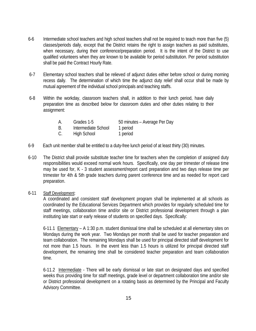- 6-6 Intermediate school teachers and high school teachers shall not be required to teach more than five (5) classes/periods daily, except that the District retains the right to assign teachers as paid substitutes, when necessary, during their conference/preparation period. It is the intent of the District to use qualified volunteers when they are known to be available for period substitution. Per period substitution shall be paid the Contract Hourly Rate.
- 6-7 Elementary school teachers shall be relieved of adjunct duties either before school or during morning recess daily. The determination of which time the adjunct duty relief shall occur shall be made by mutual agreement of the individual school principals and teaching staffs.
- 6-8 Within the workday, classroom teachers shall, in addition to their lunch period, have daily preparation time as described below for classroom duties and other duties relating to their assignment:

| А. | Grades 1-5          | 50 minutes – Average Per Day |
|----|---------------------|------------------------------|
| B  | Intermediate School | 1 period                     |

- C. High School 1 period
- 6-9 Each unit member shall be entitled to a duty-free lunch period of at least thirty (30) minutes.
- 6-10 The District shall provide substitute teacher time for teachers when the completion of assigned duty responsibilities would exceed normal work hours. Specifically, one day per trimester of release time may be used for, K - 3 student assessment/report card preparation and two days release time per trimester for 4th & 5th grade teachers during parent conference time and as needed for report card preparation.
- 6-11 Staff Development:

A coordinated and consistent staff development program shall be implemented at all schools as coordinated by the Educational Services Department which provides for regularly scheduled time for staff meetings, collaboration time and/or site or District professional development through a plan instituting late start or early release of students on specified days. Specifically:

6-11.1 Elementary – A 1:30 p.m. student dismissal time shall be scheduled at all elementary sites on Mondays during the work year. Two Mondays per month shall be used for teacher preparation and team collaboration. The remaining Mondays shall be used for principal directed staff development for not more than 1.5 hours. In the event less than 1.5 hours is utilized for principal directed staff development, the remaining time shall be considered teacher preparation and team collaboration time.

6-11.2 Intermediate - There will be early dismissal or late start on designated days and specified weeks thus providing time for staff meetings, grade level or department collaboration time and/or site or District professional development on a rotating basis as determined by the Principal and Faculty Advisory Committee.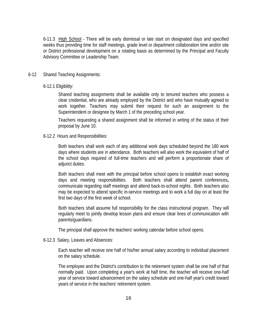6-11.3 High School - There will be early dismissal or late start on designated days and specified weeks thus providing time for staff meetings, grade level or department collaboration time and/or site or District professional development on a rotating basis as determined by the Principal and Faculty Advisory Committee or Leadership Team.

#### 6-12 Shared Teaching Assignments:

#### 6-12.1 Eligibility:

Shared teaching assignments shall be available only to tenured teachers who possess a clear credential, who are already employed by the District and who have mutually agreed to work together. Teachers may submit their request for such an assignment to the Superintendent or designee by March 1 of the preceding school year.

Teachers requesting a shared assignment shall be informed in writing of the status of their proposal by June 10.

#### 6-12.2 Hours and Responsibilities:

Both teachers shall work each of any additional work days scheduled beyond the 180 work days where students are in attendance. Both teachers will also work the equivalent of half of the school days required of full-time teachers and will perform a proportionate share of adjunct duties.

Both teachers shall meet with the principal before school opens to establish exact working days and meeting responsibilities. Both teachers shall attend parent conferences**,** communicate regarding staff meetings and attend back-to-school nights. Both teachers also may be expected to attend specific in-service meetings and to work a full day on at least the first two days of the first week of school.

Both teachers shall assume full responsibility for the class instructional program. They will regularly meet to jointly develop lesson plans and ensure clear lines of communication with parents/guardians.

The principal shall approve the teachers' working calendar before school opens.

#### 6-12.3 Salary, Leaves and Absences:

Each teacher will receive one half of his/her annual salary according to individual placement on the salary schedule.

The employee and the District's contribution to the retirement system shall be one half of that normally paid. Upon completing a year's work at half time, the teacher will receive one-half year of service toward advancement on the salary schedule and one-half year's credit toward years of service in the teachers' retirement system.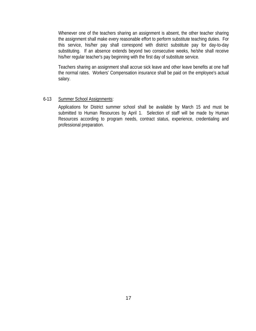Whenever one of the teachers sharing an assignment is absent, the other teacher sharing the assignment shall make every reasonable effort to perform substitute teaching duties. For this service, his/her pay shall correspond with district substitute pay for day-to-day substituting. If an absence extends beyond two consecutive weeks, he/she shall receive his/her regular teacher's pay beginning with the first day of substitute service.

Teachers sharing an assignment shall accrue sick leave and other leave benefits at one half the normal rates. Workers' Compensation insurance shall be paid on the employee's actual salary.

### 6-13 Summer School Assignments:

Applications for District summer school shall be available by March 15 and must be submitted to Human Resources by April 1. Selection of staff will be made by Human Resources according to program needs, contract status, experience, credentialing and professional preparation.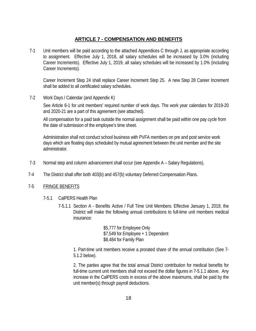# **ARTICLE 7 - COMPENSATION AND BENEFITS**

7-1 Unit members will be paid according to the attached Appendices C through J, as appropriate according to assignment. Effective July 1, 2018, all salary schedules will be increased by 3.0% (including Career Increments). Effective July 1, 2019, all salary schedules will be increased by 1.0% (including Career Increments).

Career Increment Step 24 shall replace Career Increment Step 25. A new Step 28 Career Increment shall be added to all certificated salary schedules.

7-2 Work Days / Calendar (and Appendix K)

See Article 6-1 for unit members' required number of work days. The work year calendars for 2019-20 and 2020-21 are a part of this agreement (see attached).

All compensation for a paid task outside the normal assignment shall be paid within one pay cycle from the date of submission of the employee's time sheet.

Administration shall not conduct school business with PVFA members on pre and post service work days which are floating days scheduled by mutual agreement between the unit member and the site administrator.

- 7-3 Normal step and column advancement shall occur (see Appendix A Salary Regulations).
- 7-4 The District shall offer both 403(b) and 457(b) voluntary Deferred Compensation Plans.

### 7-5 FRINGE BENEFITS

- 7-5.1 CalPERS Health Plan
	- 7-5.1.1 Section A Benefits Active / Full Time Unit Members: Effective January 1, 2019, the District will make the following annual contributions to full-time unit members medical insurance:

\$5,777 for Employee Only \$7,549 for Employee + 1 Dependent \$8,484 for Family Plan

1. Part-time unit members receive a prorated share of the annual contribution (See 7- 5.1.2 below).

2. The parties agree that the total annual District contribution for medical benefits for full-time current unit members shall not exceed the dollar figures in 7-5.1.1 above. Any increase in the CalPERS costs in excess of the above maximums, shall be paid by the unit member(s) through payroll deductions.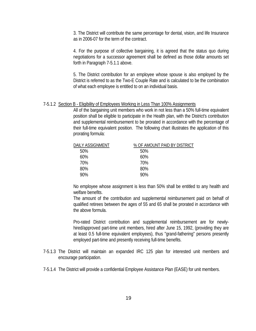3. The District will contribute the same percentage for dental, vision, and life Insurance as in 2006-07 for the term of the contract.

4. For the purpose of collective bargaining, it is agreed that the status quo during negotiations for a successor agreement shall be defined as those dollar amounts set forth in Paragraph 7-5.1.1 above.

5. The District contribution for an employee whose spouse is also employed by the District is referred to as the Two-E Couple Rate and is calculated to be the combination of what each employee is entitled to on an individual basis.

#### 7-5.1.2 Section B - Eligibility of Employees Working in Less Than 100% Assignments

All of the bargaining unit members who work in not less than a 50% full-time equivalent position shall be eligible to participate in the Health plan, with the District's contribution and supplemental reimbursement to be prorated in accordance with the percentage of their full-time equivalent position. The following chart illustrates the application of this prorating formula:

| DAILY ASSIGNMENT | % OF AMOUNT PAID BY DISTRICT |
|------------------|------------------------------|
| 50%              | 50%                          |
| 60%              | 60%                          |
| 70%              | 70%                          |
| 80%              | 80%                          |
| 90%              | 90%                          |

No employee whose assignment is less than 50% shall be entitled to any health and welfare benefits.

The amount of the contribution and supplemental reimbursement paid on behalf of qualified retirees between the ages of 55 and 65 shall be prorated in accordance with the above formula.

Pro-rated District contribution and supplemental reimbursement are for newlyhired/approved part-time unit members, hired after June 15, 1992, (providing they are at least 0.5 full-time equivalent employees), thus "grand-fathering" persons presently employed part-time and presently receiving full-time benefits.

- 7-5.1.3 The District will maintain an expanded IRC 125 plan for interested unit members and encourage participation.
- 7-5.1.4 The District will provide a confidential Employee Assistance Plan (EASE) for unit members.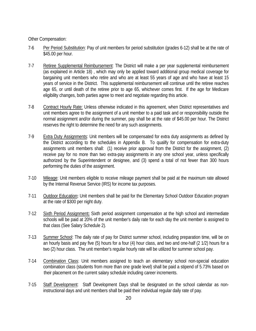Other Compensation:

- 7-6 Per Period Substitution: Pay of unit members for period substitution (grades 6-12) shall be at the rate of \$45.00 per hour.
- 7-7 Retiree Supplemental Reimbursement: The District will make a per year supplemental reimbursement (as explained in Article 18) , which may only be applied toward additional group medical coverage for bargaining unit members who retire and who are at least 55 years of age and who have at least 15 years of service in the District. This supplemental reimbursement will continue until the retiree reaches age 65, or until death of the retiree prior to age 65, whichever comes first. If the age for Medicare eligibility changes, both parties agree to meet and negotiate regarding this article.
- 7-8 Contract Hourly Rate: Unless otherwise indicated in this agreement, when District representatives and unit members agree to the assignment of a unit member to a paid task and or responsibility outside the normal assignment and/or during the summer, pay shall be at the rate of \$45.00 per hour. The District reserves the right to determine the need for any such assignments.
- 7-9 Extra Duty Assignments: Unit members will be compensated for extra duty assignments as defined by the District according to the schedules in Appendix B. To qualify for compensation for extra-duty assignments unit members shall: (1) receive prior approval from the District for the assignment, (2) receive pay for no more than two extra-pay assignments in any one school year, unless specifically authorized by the Superintendent or designee, and (3) spend a total of not fewer than 300 hours performing the duties of the assignment.
- 7-10 Mileage: Unit members eligible to receive mileage payment shall be paid at the maximum rate allowed by the Internal Revenue Service (IRS) for income tax purposes.
- 7-11 Outdoor Education**:** Unit members shall be paid for the Elementary School Outdoor Education program at the rate of \$300 per night duty.
- 7-12 Sixth Period Assignment**:** Sixth period assignment compensation at the high school and intermediate schools will be paid at 20% of the unit member's daily rate for each day the unit member is assigned to that class (See Salary Schedule 2).
- 7-13 Summer School: The daily rate of pay for District summer school, including preparation time, will be on an hourly basis and pay five (5) hours for a four (4) hour class, and two and one-half (2 1/2) hours for a two (2) hour class. The unit member's regular hourly rate will be utilized for summer school pay.
- 7-14 Combination Class: Unit members assigned to teach an elementary school non-special education combination class (students from more than one grade level) shall be paid a stipend of 5.73% based on their placement on the current salary schedule including career increments.
- 7-15 Staff Development: Staff Development Days shall be designated on the school calendar as noninstructional days and unit members shall be paid their individual regular daily rate of pay.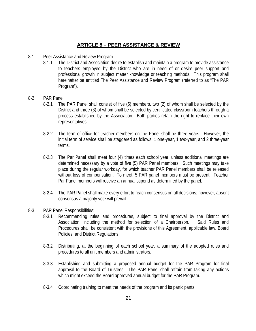# **ARTICLE 8 – PEER ASSISTANCE & REVIEW**

- 8-1 Peer Assistance and Review Program
	- 8-1.1 The District and Association desire to establish and maintain a program to provide assistance to teachers employed by the District who are in need of or desire peer support and professional growth in subject matter knowledge or teaching methods. This program shall hereinafter be entitled The Peer Assistance and Review Program (referred to as "The PAR Program").
- 8-2 PAR Panel
	- 8-2.1 The PAR Panel shall consist of five (5) members, two (2) of whom shall be selected by the District and three (3) of whom shall be selected by certificated classroom teachers through a process established by the Association. Both parties retain the right to replace their own representatives.
	- 8-2.2 The term of office for teacher members on the Panel shall be three years. However, the initial term of service shall be staggered as follows: 1 one-year, 1 two-year, and 2 three-year terms.
	- 8-2.3 The Par Panel shall meet four (4) times each school year, unless additional meetings are determined necessary by a vote of five (5) PAR Panel members. Such meetings may take place during the regular workday, for which teacher PAR Panel members shall be released without loss of compensation. To meet, 5 PAR panel members must be present. Teacher Par Panel members will receive an annual stipend as determined by the panel.
	- 8-2.4 The PAR Panel shall make every effort to reach consensus on all decisions; however, absent consensus a majority vote will prevail.
- 8-3 PAR Panel Responsibilities:
	- 8-3.1 Recommending rules and procedures, subject to final approval by the District and Association, including the method for selection of a Chairperson. Said Rules and Procedures shall be consistent with the provisions of this Agreement, applicable law, Board Policies, and District Regulations.
	- 8-3.2 Distributing, at the beginning of each school year, a summary of the adopted rules and procedures to all unit members and administrators.
	- 8-3.3 Establishing and submitting a proposed annual budget for the PAR Program for final approval to the Board of Trustees. The PAR Panel shall refrain from taking any actions which might exceed the Board approved annual budget for the PAR Program.
	- 8-3.4 Coordinating training to meet the needs of the program and its participants.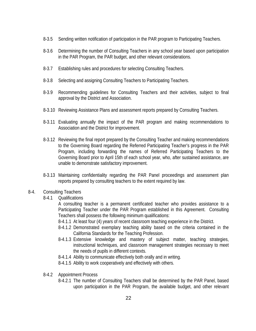- 8-3.5 Sending written notification of participation in the PAR program to Participating Teachers.
- 8-3.6 Determining the number of Consulting Teachers in any school year based upon participation in the PAR Program, the PAR budget, and other relevant considerations.
- 8-3.7 Establishing rules and procedures for selecting Consulting Teachers.
- 8-3.8 Selecting and assigning Consulting Teachers to Participating Teachers.
- 8-3.9 Recommending guidelines for Consulting Teachers and their activities, subject to final approval by the District and Association.
- 8-3.10 Reviewing Assistance Plans and assessment reports prepared by Consulting Teachers.
- 8-3.11 Evaluating annually the impact of the PAR program and making recommendations to Association and the District for improvement.
- 8-3.12 Reviewing the final report prepared by the Consulting Teacher and making recommendations to the Governing Board regarding the Referred Participating Teacher's progress in the PAR Program, including forwarding the names of Referred Participating Teachers to the Governing Board prior to April 15th of each school year, who, after sustained assistance, are unable to demonstrate satisfactory improvement.
- 8-3.13 Maintaining confidentiality regarding the PAR Panel proceedings and assessment plan reports prepared by consulting teachers to the extent required by law.
- 8-4. Consulting Teachers
	- 8-4.1 Qualifications

A consulting teacher is a permanent certificated teacher who provides assistance to a Participating Teacher under the PAR Program established in this Agreement. Consulting Teachers shall possess the following minimum qualifications:

- 8-4.1.1 At least four (4) years of recent classroom teaching experience in the District.
- 8-4.1.2 Demonstrated exemplary teaching ability based on the criteria contained in the California Standards for the Teaching Profession.
- 8-4.1.3 Extensive knowledge and mastery of subject matter, teaching strategies, instructional techniques, and classroom management strategies necessary to meet the needs of pupils in different contexts.
- 8-4.1.4 Ability to communicate effectively both orally and in writing.
- 8-4.1.5 Ability to work cooperatively and effectively with others.
- 8-4.2 Appointment Process
	- 8-4.2.1 The number of Consulting Teachers shall be determined by the PAR Panel, based upon participation in the PAR Program, the available budget, and other relevant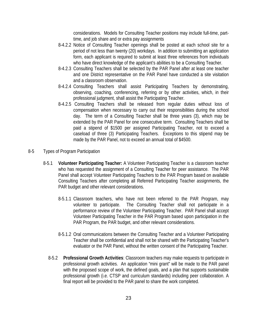considerations. Models for Consulting Teacher positions may include full-time, parttime, and job share and or extra pay assignments

- 8-4.2.2 Notice of Consulting Teacher openings shall be posted at each school site for a period of not less than twenty (20) workdays. In addition to submitting an application form, each applicant is required to submit at least three references from individuals who have direct knowledge of the applicant's abilities to be a Consulting Teacher.
- 8-4.2.3 Consulting Teachers shall be selected by the PAR Panel after at least one teacher and one District representative on the PAR Panel have conducted a site visitation and a classroom observation.
- 8-4.2.4 Consulting Teachers shall assist Participating Teachers by demonstrating, observing, coaching, conferencing, referring or by other activities, which, in their professional judgment, shall assist the Participating Teacher.
- 8-4.2.5 Consulting Teachers shall be released from regular duties without loss of compensation when necessary to carry out their responsibilities during the school day. The term of a Consulting Teacher shall be three years (3), which may be extended by the PAR Panel for one consecutive term. Consulting Teachers shall be paid a stipend of \$1500 per assigned Participating Teacher, not to exceed a caseload of three (3) Participating Teachers. Exceptions to this stipend may be made by the PAR Panel, not to exceed an annual total of \$4500.
- 8-5 Types of Program Participation
	- 8-5.1 **Volunteer Participating Teacher:** A Volunteer Participating Teacher is a classroom teacher who has requested the assignment of a Consulting Teacher for peer assistance. The PAR Panel shall accept Volunteer Participating Teachers to the PAR Program based on available Consulting Teachers after completing all Referred Participating Teacher assignments, the PAR budget and other relevant considerations.
		- 8-5.1.1 Classroom teachers, who have not been referred to the PAR Program, may volunteer to participate. The Consulting Teacher shall not participate in a performance review of the Volunteer Participating Teacher. PAR Panel shall accept Volunteer Participating Teacher in the PAR Program based upon participation in the PAR Program, the PAR budget, and other relevant considerations.
		- 8-5.1.2 Oral communications between the Consulting Teacher and a Volunteer Participating Teacher shall be confidential and shall not be shared with the Participating Teacher's evaluator or the PAR Panel, without the written consent of the Participating Teacher.
		- 8-5.2 **Professional Growth Activities**: Classroom teachers may make requests to participate in professional growth activities. An application "mini grant" will be made to the PAR panel with the proposed scope of work, the defined goals, and a plan that supports sustainable professional growth (i.e. CTSP and curriculum standards) including peer collaboration. A final report will be provided to the PAR panel to share the work completed.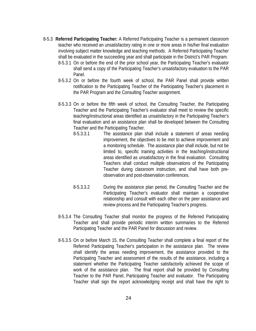- 8-5.3 **Referred Participating Teacher:** A Referred Participating Teacher is a permanent classroom teacher who received an unsatisfactory rating in one or more areas in his/her final evaluation involving subject matter knowledge and teaching methods. A Referred Participating Teacher shall be evaluated in the succeeding year and shall participate in the District's PAR Program.
	- 8-5.3.1 On or before the end of the prior school year, the Participating Teacher's evaluator shall send a copy of the Participating Teacher's unsatisfactory evaluation to the PAR Panel.
	- 8-5.3.2 On or before the fourth week of school, the PAR Panel shall provide written notification to the Participating Teacher of the Participating Teacher's placement in the PAR Program and the Consulting Teacher assignment.
	- 8-5.3.3 On or before the fifth week of school, the Consulting Teacher, the Participating Teacher and the Participating Teacher's evaluator shall meet to review the specific teaching/instructional areas identified as unsatisfactory in the Participating Teacher's final evaluation and an assistance plan shall be developed between the Consulting Teacher and the Participating Teacher.
		- 8-5.3.3.1 The assistance plan shall include a statement of areas needing improvement, the objectives to be met to achieve improvement and a monitoring schedule. The assistance plan shall include, but not be limited to, specific training activities in the teaching/instructional areas identified as unsatisfactory in the final evaluation. Consulting Teachers shall conduct multiple observations of the Participating Teacher during classroom instruction, and shall have both preobservation and post-observation conferences.
		- 8-5.3.3.2 During the assistance plan period, the Consulting Teacher and the Participating Teacher's evaluator shall maintain a cooperative relationship and consult with each other on the peer assistance and review process and the Participating Teacher's progress.
	- 8-5.3.4 The Consulting Teacher shall monitor the progress of the Referred Participating Teacher and shall provide periodic interim written summaries to the Referred Participating Teacher and the PAR Panel for discussion and review.
	- 8-5.3.5 On or before March 15, the Consulting Teacher shall complete a final report of the Referred Participating Teacher's participation in the assistance plan. The review shall identify the areas needing improvement, the assistance provided to the Participating Teacher and assessment of the results of the assistance, including a statement whether the Participating Teacher satisfactorily achieved the scope of work of the assistance plan. The final report shall be provided by Consulting Teacher to the PAR Panel, Participating Teacher and evaluator. The Participating Teacher shall sign the report acknowledging receipt and shall have the right to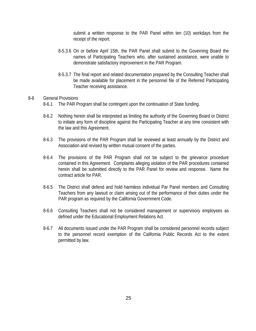submit a written response to the PAR Panel within ten (10) workdays from the receipt of the report.

- 8-5.3.6 On or before April 15th, the PAR Panel shall submit to the Governing Board the names of Participating Teachers who, after sustained assistance, were unable to demonstrate satisfactory improvement in the PAR Program.
- 8-5.3.7 The final report and related documentation prepared by the Consulting Teacher shall be made available for placement in the personnel file of the Referred Participating Teacher receiving assistance.

#### 8-6 General Provisions

- 8-6.1 The PAR Program shall be contingent upon the continuation of State funding.
- 8-6.2 Nothing herein shall be interpreted as limiting the authority of the Governing Board or District to initiate any form of discipline against the Participating Teacher at any time consistent with the law and this Agreement.
- 8-6.3 The provisions of the PAR Program shall be reviewed at least annually by the District and Association and revised by written mutual consent of the parties.
- 8-6.4 The provisions of the PAR Program shall not be subject to the grievance procedure contained in this Agreement. Complaints alleging violation of the PAR procedures contained herein shall be submitted directly to the PAR Panel for review and response. Name the contract article for PAR.
- 8-6.5 The District shall defend and hold harmless individual Par Panel members and Consulting Teachers from any lawsuit or claim arising out of the performance of their duties under the PAR program as required by the California Government Code.
- 8-6.6 Consulting Teachers shall not be considered management or supervisory employees as defined under the Educational Employment Relations Act.
- 8-6.7 All documents issued under the PAR Program shall be considered personnel records subject to the personnel record exemption of the California Public Records Act to the extent permitted by law.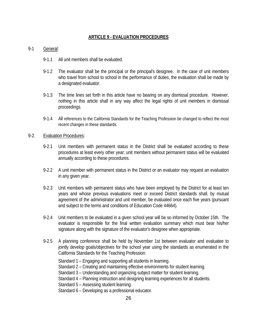# **ARTICLE 9 - EVALUATION PROCEDURES**

## 9-1 General:

- 9-1.1 All unit members shall be evaluated.
- 9-1.2 The evaluator shall be the principal or the principal's designee. In the case of unit members who travel from school to school in the performance of duties, the evaluation shall be made by a designated evaluator.
- 9-1.3 The time lines set forth in this article have no bearing on any dismissal procedure. However, nothing in this article shall in any way affect the legal rights of unit members in dismissal proceedings.
- 9-1.4 All references to the California Standards for the Teaching Profession be changed to reflect the most recent changes in these standards.

## 9-2. Evaluation Procedures:

- 9-2.1 Unit members with permanent status in the District shall be evaluated according to these procedures at least every other year; unit members without permanent status will be evaluated annually according to these procedures.
- 9-2.2 A unit member with permanent status in the District or an evaluator may request an evaluation in any given year.
- 9-2.3 Unit members with permanent status who have been employed by the District for at least ten years and whose previous evaluations meet or exceed District standards shall, by mutual agreement of the administrator and unit member, be evaluated once each five years (pursuant and subject to the terms and conditions of Education Code 44664).
- 9-2.4 Unit members to be evaluated in a given school year will be so informed by October 15th. The evaluator is responsible for the final written evaluation summary which must bear his/her signature along with the signature of the evaluator's designee when appropriate.
- 9-2.5 A planning conference shall be held by November 1st between evaluator and evaluatee to jointly develop goals/objectives for the school year using the standards as enumerated in the California Standards for the Teaching Profession:
	- Standard 1 Engaging and supporting all students in learning.
	- Standard 2 Creating and maintaining effective environments for student learning.
	- Standard 3 Understanding and organizing subject matter for student learning.
	- Standard 4 Planning instruction and designing learning experiences for all students.
	- Standard 5 Assessing student learning.
	- Standard 6 Developing as a professional educator.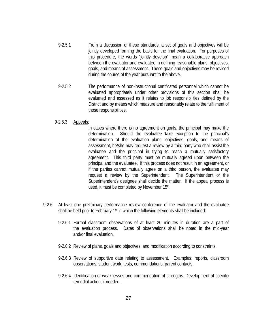- 9-2.5.1 From a discussion of these standards, a set of goals and objectives will be jointly developed forming the basis for the final evaluation. For purposes of this procedure, the words "jointly develop" mean a collaborative approach between the evaluator and evaluatee in defining reasonable plans, objectives, goals, and means of assessment. These goals and objectives may be revised during the course of the year pursuant to the above.
- 9-2.5.2 The performance of non-instructional certificated personnel which cannot be evaluated appropriately under other provisions of this section shall be evaluated and assessed as it relates to job responsibilities defined by the District and by means which measure and reasonably relate to the fulfillment of those responsibilities.
- 9-2.5.3 Appeals:

In cases where there is no agreement on goals, the principal may make the determination. Should the evaluatee take exception to the principal's determination of the evaluation plans, objectives, goals, and means of assessment, he/she may request a review by a third party who shall assist the evaluatee and the principal in trying to reach a mutually satisfactory agreement. This third party must be mutually agreed upon between the principal and the evaluatee. If this process does not result in an agreement, or if the parties cannot mutually agree on a third person, the evaluatee may request a review by the Superintendent. The Superintendent or the Superintendent's designee shall decide the matter. If the appeal process is used, it must be completed by November 15<sup>th</sup>.

- 9-2.6 At least one preliminary performance review conference of the evaluator and the evaluatee shall be held prior to February 1**st** in which the following elements shall be included:
	- 9-2.6.1 Formal classroom observations of at least 20 minutes in duration are a part of the evaluation process. Dates of observations shall be noted in the mid-year and/or final evaluation.
	- 9-2.6.2 Review of plans, goals and objectives, and modification according to constraints.
	- 9-2.6.3 Review of supportive data relating to assessment. Examples: reports, classroom observations, student work, tests, commendations, parent contacts.
	- 9-2.6.4 Identification of weaknesses and commendation of strengths. Development of specific remedial action, if needed.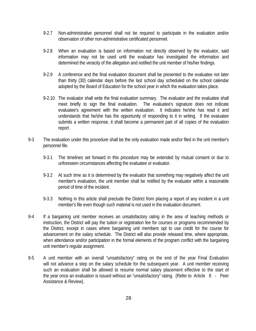- 9-2.7 Non-administrative personnel shall not be required to participate in the evaluation and/or observation of other non-administrative certificated personnel.
- 9-2.8 When an evaluation is based on information not directly observed by the evaluator, said information may not be used until the evaluator has investigated the information and determined the veracity of the allegation and notified the unit member of his/her findings.
- 9-2.9 A conference and the final evaluation document shall be presented to the evaluatee not later than thirty (30) calendar days before the last school day scheduled on the school calendar adopted by the Board of Education for the school year in which the evaluation takes place.
- 9-2.10 The evaluator shall write the final evaluation summary. The evaluator and the evaluatee shall meet briefly to sign the final evaluation. The evaluatee's signature does not indicate evaluatee's agreement with the written evaluation. It indicates he/she has read it and understands that he/she has the opportunity of responding to it in writing. If the evaluatee submits a written response, it shall become a permanent part of all copies of the evaluation report.
- 9-3 The evaluation under this procedure shall be the only evaluation made and/or filed in the unit member's personnel file.
	- 9-3.1 The timelines set forward in this procedure may be extended by mutual consent or due to unforeseen circumstances affecting the evaluatee or evaluator.
	- 9-3.2 At such time as it is determined by the evaluator that something may negatively affect the unit member's evaluation, the unit member shall be notified by the evaluator within a reasonable period of time of the incident.
	- 9-3.3 Nothing in this article shall preclude the District from placing a report of any incident in a unit member's file even though such material is not used in the evaluation document.
- 9-4 If a bargaining unit member receives an unsatisfactory rating in the area of teaching methods or instruction, the District will pay the tuition or registration fee for courses or programs recommended by the District, except in cases where bargaining unit members opt to use credit for the course for advancement on the salary schedule. The District will also provide released time, where appropriate, when attendance and/or participation in the formal elements of the program conflict with the bargaining unit member's regular assignment.
- 9-5 A unit member with an overall "unsatisfactory" rating on the end of the year Final Evaluation will not advance a step on the salary schedule for the subsequent year. A unit member receiving such an evaluation shall be allowed to resume normal salary placement effective to the start of the year once an evaluation is issued without an "unsatisfactory" rating. (Refer to Article 8 - Peer Assistance & Review).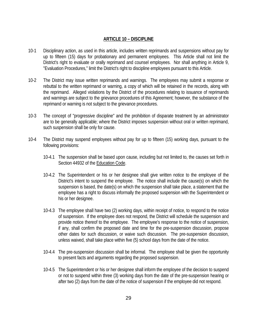# **ARTICLE 10 – DISCIPLINE**

- 10-1 Disciplinary action, as used in this article, includes written reprimands and suspensions without pay for up to fifteen (15) days for probationary and permanent employees. This Article shall not limit the District's right to evaluate or orally reprimand and counsel employees. Nor shall anything in Article 9, "Evaluation Procedures," limit the District's right to discipline employees pursuant to this Article.
- 10-2 The District may issue written reprimands and warnings. The employees may submit a response or rebuttal to the written reprimand or warning, a copy of which will be retained in the records, along with the reprimand. Alleged violations by the District of the procedures relating to issuance of reprimands and warnings are subject to the grievance procedures of this Agreement; however, the substance of the reprimand or warning is not subject to the grievance procedures.
- 10-3 The concept of "progressive discipline" and the prohibition of disparate treatment by an administrator are to be generally applicable; where the District imposes suspension without oral or written reprimand, such suspension shall be only for cause.
- 10-4 The District may suspend employees without pay for up to fifteen (15) working days, pursuant to the following provisions:
	- 10-4.1 The suspension shall be based upon cause, including but not limited to, the causes set forth in Section 44932 of the Education Code.
	- 10-4.2 The Superintendent or his or her designee shall give written notice to the employee of the District's intent to suspend the employee. The notice shall include the cause(s) on which the suspension is based, the date(s) on which the suspension shall take place, a statement that the employee has a right to discuss informally the proposed suspension with the Superintendent or his or her designee.
	- 10-4.3 The employee shall have two (2) working days, within receipt of notice, to respond to the notice of suspension. If the employee does not respond, the District will schedule the suspension and provide notice thereof to the employee. The employee's response to the notice of suspension, if any, shall confirm the proposed date and time for the pre-suspension discussion, propose other dates for such discussion, or waive such discussion. The pre-suspension discussion, unless waived, shall take place within five (5) school days from the date of the notice.
	- 10-4.4 The pre-suspension discussion shall be informal. The employee shall be given the opportunity to present facts and arguments regarding the proposed suspension.
	- 10-4.5 The Superintendent or his or her designee shall inform the employee of the decision to suspend or not to suspend within three (3) working days from the date of the pre-suspension hearing or after two (2) days from the date of the notice of suspension if the employee did not respond.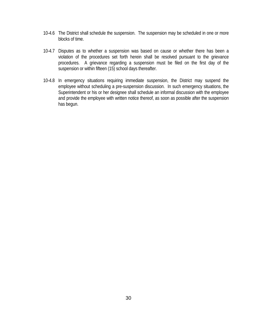- 10-4.6 The District shall schedule the suspension. The suspension may be scheduled in one or more blocks of time.
- 10-4.7 Disputes as to whether a suspension was based on cause or whether there has been a violation of the procedures set forth herein shall be resolved pursuant to the grievance procedures. A grievance regarding a suspension must be filed on the first day of the suspension or within fifteen (15) school days thereafter.
- 10-4.8 In emergency situations requiring immediate suspension, the District may suspend the employee without scheduling a pre-suspension discussion. In such emergency situations, the Superintendent or his or her designee shall schedule an informal discussion with the employee and provide the employee with written notice thereof, as soon as possible after the suspension has begun.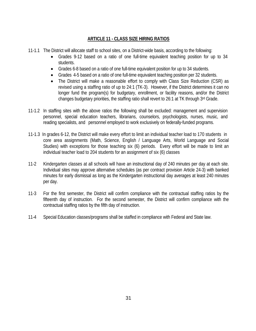# **ARTICLE 11 - CLASS SIZE HIRING RATIOS**

- 11-1.1 The District will allocate staff to school sites, on a District-wide basis, according to the following:
	- Grades 9-12 based on a ratio of one full-time equivalent teaching position for up to 34 students.
	- Grades 6-8 based on a ratio of one full-time equivalent position for up to 34 students.
	- Grades 4-5 based on a ratio of one full-time equivalent teaching position per 32 students.
	- The District will make a reasonable effort to comply with Class Size Reduction (CSR) as revised using a staffing ratio of up to 24:1 (TK-3).However, if the District determines it can no longer fund the program(s) for budgetary, enrollment, or facility reasons, and/or the District changes budgetary priorities, the staffing ratio shall revert to 26:1 at TK through 3rd Grade.
- 11-1.2 In staffing sites with the above ratios the following shall be excluded: management and supervision personnel, special education teachers, librarians, counselors, psychologists, nurses, music, and reading specialists, and personnel employed to work exclusively on federally-funded programs.
- 11-1.3 In grades 6-12, the District will make every effort to limit an individual teacher load to 170 students in core area assignments (Math, Science, English / Language Arts, World Language and Social Studies) with exceptions for those teaching six (6) periods. Every effort will be made to limit an individual teacher load to 204 students for an assignment of six (6) classes
- 11-2 Kindergarten classes at all schools will have an instructional day of 240 minutes per day at each site. Individual sites may approve alternative schedules (as per contract provision Article 24-3) with banked minutes for early dismissal as long as the Kindergarten instructional day averages at least 240 minutes per day.
- 11-3 For the first semester, the District will confirm compliance with the contractual staffing ratios by the fifteenth day of instruction. For the second semester, the District will confirm compliance with the contractual staffing ratios by the fifth day of instruction.
- 11-4 Special Education classes/programs shall be staffed in compliance with Federal and State law.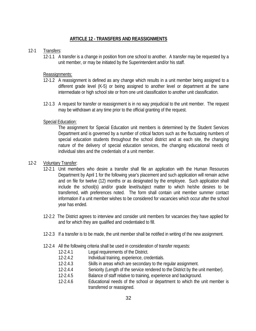# **ARTICLE 12 - TRANSFERS AND REASSIGNMENTS**

## 12-1 Transfers:

12-1.1 A transfer is a change in position from one school to another. A transfer may be requested by a unit member, or may be initiated by the Superintendent and/or his staff.

## Reassignments:

- 12-1.2 A reassignment is defined as any change which results in a unit member being assigned to a different grade level (K-5) or being assigned to another level or department at the same intermediate or high school site or from one unit classification to another unit classification.
- 12-1.3 A request for transfer or reassignment is in no way prejudicial to the unit member. The request may be withdrawn at any time prior to the official granting of the request.

## Special Education:

The assignment for Special Education unit members is determined by the Student Services Department and is governed by a number of critical factors such as the fluctuating numbers of special education students throughout the school district and at each site, the changing nature of the delivery of special education services, the changing educational needs of individual sites and the credentials of a unit member.

## 12-2 Voluntary Transfer:

- 12-2.1 Unit members who desire a transfer shall file an application with the Human Resources Department by April 1 for the following year's placement and such application will remain active and on file for twelve (12) months or as designated by the employee. Such application shall include the school(s) and/or grade level/subject matter to which he/she desires to be transferred, with preferences noted. The form shall contain unit member summer contact information if a unit member wishes to be considered for vacancies which occur after the school year has ended.
- 12-2.2 The District agrees to interview and consider unit members for vacancies they have applied for and for which they are qualified and credentialed to fill.
- 12-2.3 If a transfer is to be made, the unit member shall be notified in writing of the new assignment.
- 12-2.4 All the following criteria shall be used in consideration of transfer requests:
	- 12-2.4.1 Legal requirements of the District.
	- 12-2.4.2 Individual training, experience, credentials.
	- 12-2.4.3 Skills in areas which are secondary to the regular assignment.
	- 12-2.4.4 Seniority (Length of the service rendered to the District by the unit member).
	- 12-2.4.5 Balance of staff relative to training, experience and background.
	- 12-2.4.6 Educational needs of the school or department to which the unit member is transferred or reassigned.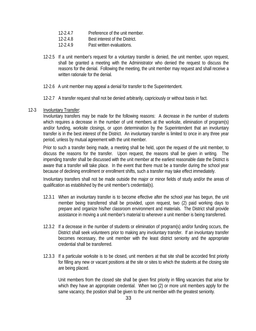- 12-2.4.7 Preference of the unit member.
- 12-2.4.8 Best interest of the District.
- 12-2.4.9 Past written evaluations.
- 12-2.5 If a unit member's request for a voluntary transfer is denied, the unit member, upon request, shall be granted a meeting with the Administrator who denied the request to discuss the reasons for the denial. Following the meeting, the unit member may request and shall receive a written rationale for the denial.
- 12-2.6 A unit member may appeal a denial for transfer to the Superintendent.
- 12-2.7 A transfer request shall not be denied arbitrarily, capriciously or without basis in fact.

## 12-3 Involuntary Transfer:

Involuntary transfers may be made for the following reasons: A decrease in the number of students which requires a decrease in the number of unit members at the worksite, elimination of program(s) and/or funding, worksite closings, or upon determination by the Superintendent that an involuntary transfer is in the best interest of the District. An involuntary transfer is limited to once in any three year period, unless by mutual agreement with the unit member.

Prior to such a transfer being made, a meeting shall be held, upon the request of the unit member, to discuss the reasons for the transfer. Upon request, the reasons shall be given in writing. The impending transfer shall be discussed with the unit member at the earliest reasonable date the District is aware that a transfer will take place. In the event that there must be a transfer during the school year because of declining enrollment or enrollment shifts, such a transfer may take effect immediately.

Involuntary transfers shall not be made outside the major or minor fields of study and/or the areas of qualification as established by the unit member's credential(s).

- 12.3.1 When an involuntary transfer is to become effective after the school year has begun, the unit member being transferred shall be provided, upon request, two (2) paid working days to prepare and organize his/her classroom environment and materials. The District shall provide assistance in moving a unit member's material to wherever a unit member is being transferred.
- 12.3.2 If a decrease in the number of students or elimination of program(s) and/or funding occurs, the District shall seek volunteers prior to making any involuntary transfer. If an involuntary transfer becomes necessary, the unit member with the least district seniority and the appropriate credential shall be transferred.
- 12.3.3 If a particular worksite is to be closed, unit members at that site shall be accorded first priority for filling any new or vacant positions at the site or sites to which the students at the closing site are being placed.

Unit members from the closed site shall be given first priority in filling vacancies that arise for which they have an appropriate credential. When two (2) or more unit members apply for the same vacancy, the position shall be given to the unit member with the greatest seniority.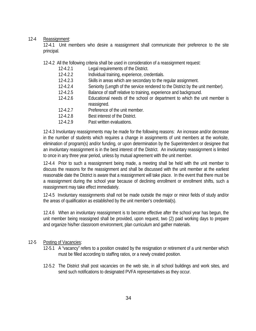## 12-4 Reassignment:

12-4.1 Unit members who desire a reassignment shall communicate their preference to the site principal.

12-4.2 All the following criteria shall be used in consideration of a reassignment request:

- 12-4.2.1 Legal requirements of the District.
- 12-4.2.2 Individual training, experience, credentials.
- 12-4.2.3 Skills in areas which are secondary to the regular assignment.
- 12-4.2.4 Seniority (Length of the service rendered to the District by the unit member).
- 12-4.2.5 Balance of staff relative to training, experience and background.
- 12-4.2.6 Educational needs of the school or department to which the unit member is reassigned.
- 12-4.2.7 Preference of the unit member.
- 12-4.2.8 Best interest of the District.
- 12-4.2.9 Past written evaluations.

12-4.3 Involuntary reassignments may be made for the following reasons: An increase and/or decrease in the number of students which requires a change in assignments of unit members at the worksite, elimination of program(s) and/or funding, or upon determination by the Superintendent or designee that an involuntary reassignment is in the best interest of the District. An involuntary reassignment is limited to once in any three year period, unless by mutual agreement with the unit member.

12-4.4 Prior to such a reassignment being made, a meeting shall be held with the unit member to discuss the reasons for the reassignment and shall be discussed with the unit member at the earliest reasonable date the District is aware that a reassignment will take place. In the event that there must be a reassignment during the school year because of declining enrollment or enrollment shifts, such a reassignment may take effect immediately.

12-4.5 Involuntary reassignments shall not be made outside the major or minor fields of study and/or the areas of qualification as established by the unit member's credential(s).

12.4.6 When an involuntary reassignment is to become effective after the school year has begun, the unit member being reassigned shall be provided, upon request, two (2) paid working days to prepare and organize his/her classroom environment, plan curriculum and gather materials.

## 12-5 Posting of Vacancies:

- 12-5.1 A "vacancy" refers to a position created by the resignation or retirement of a unit member which must be filled according to staffing ratios, or a newly created position.
- 12-5.2 The District shall post vacancies on the web site, in all school buildings and work sites, and send such notifications to designated PVFA representatives as they occur.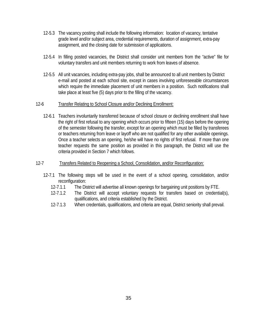- 12-5.3 The vacancy posting shall include the following information: location of vacancy, tentative grade level and/or subject area, credential requirements, duration of assignment, extra-pay assignment, and the closing date for submission of applications.
- 12-5.4 In filling posted vacancies, the District shall consider unit members from the "active" file for voluntary transfers and unit members returning to work from leaves of absence.
- 12-5.5 All unit vacancies, including extra-pay jobs, shall be announced to all unit members by District e-mail and posted at each school site, except in cases involving unforeseeable circumstances which require the immediate placement of unit members in a position. Such notifications shall take place at least five (5) days prior to the filling of the vacancy.

## 12-6 Transfer Relating to School Closure and/or Declining Enrollment:

- 12-6.1 Teachers involuntarily transferred because of school closure or declining enrollment shall have the right of first refusal to any opening which occurs prior to fifteen (15) days before the opening of the semester following the transfer, except for an opening which must be filled by transferees or teachers returning from leave or layoff who are not qualified for any other available openings. Once a teacher selects an opening, he/she will have no rights of first refusal. If more than one teacher requests the same position as provided in this paragraph, the District will use the criteria provided in Section 7 which follows.
- 12-7 Transfers Related to Reopening a School, Consolidation, and/or Reconfiguration:
	- 12-7.1 The following steps will be used in the event of a school opening, consolidation, and/or reconfiguration:
		- 12-7.1.1 The District will advertise all known openings for bargaining unit positions by FTE.
		- 12-7.1.2 The District will accept voluntary requests for transfers based on credential(s), qualifications, and criteria established by the District.
		- 12-7.1.3 When credentials, qualifications, and criteria are equal, District seniority shall prevail.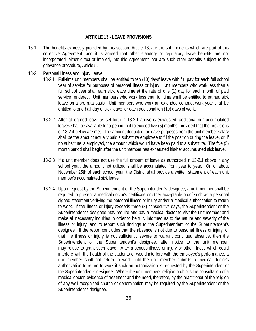#### **ARTICLE 13 - LEAVE PROVISIONS**

13-1 The benefits expressly provided by this section, Article 13, are the sole benefits which are part of this collective Agreement, and it is agreed that other statutory or regulatory leave benefits are not incorporated, either direct or implied, into this Agreement, nor are such other benefits subject to the grievance procedure, Article 5.

#### 13-2 Personal Illness and Injury Leave:

- 13-2.1 Full-time unit members shall be entitled to ten (10) days' leave with full pay for each full school year of service for purposes of personal illness or injury. Unit members who work less than a full school year shall earn sick leave time at the rate of one (1) day for each month of paid service rendered. Unit members who work less than full time shall be entitled to earned sick leave on a pro rata basis. Unit members who work an extended contract work year shall be entitled to one-half day of sick leave for each additional ten (10) days of work.
- 13-2.2 After all earned leave as set forth in 13-2.1 above is exhausted, additional non-accumulated leaves shall be available for a period, not to exceed five (5) months, provided that the provisions of 13-2.4 below are met. The amount deducted for leave purposes from the unit member salary shall be the amount actually paid a substitute employee to fill the position during the leave, or, if no substitute is employed, the amount which would have been paid to a substitute. The five (5) month period shall begin after the unit member has exhausted his/her accumulated sick leave.
- 13-2.3 If a unit member does not use the full amount of leave as authorized in 13-2.1 above in any school year, the amount not utilized shall be accumulated from year to year. On or about November 25th of each school year, the District shall provide a written statement of each unit member's accumulated sick leave.
- 13-2.4 Upon request by the Superintendent or the Superintendent's designee, a unit member shall be required to present a medical doctor's certificate or other acceptable proof such as a personal signed statement verifying the personal illness or injury and/or a medical authorization to return to work. If the illness or injury exceeds three (3) consecutive days, the Superintendent or the Superintendent's designee may require and pay a medical doctor to visit the unit member and make all necessary inquiries in order to be fully informed as to the nature and severity of the illness or injury, and to report such findings to the Superintendent or the Superintendent's designee. If the report concludes that the absence is not due to personal illness or injury, or that the illness or injury is not sufficiently severe to warrant continued absence, then the Superintendent or the Superintendent's designee, after notice to the unit member, may refuse to grant such leave. After a serious illness or injury or other illness which could interfere with the health of the students or would interfere with the employee's performance, a unit member shall not return to work until the unit member submits a medical doctor's authorization to return to work if such an authorization is requested by the Superintendent or the Superintendent's designee. Where the unit member's religion prohibits the consultation of a medical doctor, evidence of treatment and the need, therefore, by the practitioner of the religion of any well-recognized church or denomination may be required by the Superintendent or the Superintendent's designee.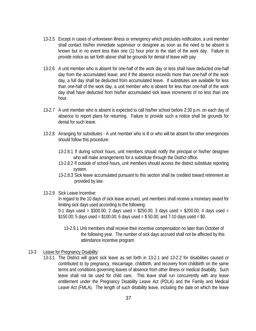- 13-2.5 Except in cases of unforeseen illness or emergency which precludes notification, a unit member shall contact his/her immediate supervisor or designee as soon as the need to be absent is known but in no event less than one (1) hour prior to the start of the work day. Failure to provide notice as set forth above shall be grounds for denial of leave with pay.
- 13-2.6 A unit member who is absent for one-half of the work day or less shall have deducted one-half day from the accumulated leave; and if the absence exceeds more than one-half of the work day, a full day shall be deducted from accumulated leave. If substitutes are available for less than one-half of the work day, a unit member who is absent for less than one-half of the work day shall have deducted from his/her accumulated sick leave increments of no less than one hour.
- 13-2.7 A unit member who is absent is expected to call his/her school before 2:30 p.m. on each day of absence to report plans for returning. Failure to provide such a notice shall be grounds for denial for such leave.
- 13-2.8 Arranging for substitutes A unit member who is ill or who will be absent for other emergencies should follow this procedure:
	- 13-2.8.1 If during school hours, unit members should notify the principal or his/her designee who will make arrangements for a substitute through the District office.
	- 13-2.8.2 If outside of school hours, unit members should access the district substitute reporting system.
	- 13-2.8.3 Sick leave accumulated pursuant to this section shall be credited toward retirement as provided by law.
- 13-2.9 Sick Leave Incentive:

In regard to the 10 days of sick leave accrued, unit members shall receive a monetary award for limiting sick days used according to the following:

0-1 days used = \$300.00; 2 days used = \$250.00; 3 days used = \$200.00; 4 days used =  $$150.00; 5$  days used =  $$100.00; 6$  days used =  $$50.00;$  and 7-10 days used =  $$0.$ 

13-2.9.1 Unit members shall receive their incentive compensation no later than October of the following year. The number of sick days accrued shall not be affected by this attendance incentive program.

## 13-3 Leave for Pregnancy Disability:

13-3.1 The District will grant sick leave as set forth in 13-2.1 and 13-2.2 for disabilities caused or contributed to by pregnancy, miscarriage, childbirth, and recovery from childbirth on the same terms and conditions governing leaves of absence from other illness or medical disability. Such leave shall not be used for child care. This leave shall run concurrently with any leave entitlement under the Pregnancy Disability Leave Act (PDLA) and the Family and Medical Leave Act (FMLA). The length of such disability leave, including the date on which the leave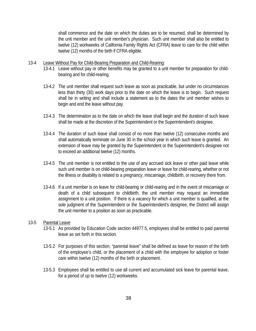shall commence and the date on which the duties are to be resumed, shall be determined by the unit member and the unit member's physician. Such unit member shall also be entitled to twelve (12) workweeks of California Family Rights Act (CFRA) leave to care for the child within twelve (12) months of the birth if CFRA eligible.

#### 13-4 Leave Without Pay for Child-Bearing Preparation and Child-Rearing:

- 13-4.1 Leave without pay or other benefits may be granted to a unit member for preparation for childbearing and for child-rearing.
- 13-4.2 The unit member shall request such leave as soon as practicable, but under no circumstances less than thirty (30) work days prior to the date on which the leave is to begin. Such request shall be in writing and shall include a statement as to the dates the unit member wishes to begin and end the leave without pay.
- 13-4.3 The determination as to the date on which the leave shall begin and the duration of such leave shall be made at the discretion of the Superintendent or the Superintendent's designee.
- 13-4.4 The duration of such leave shall consist of no more than twelve (12) consecutive months and shall automatically terminate on June 30 in the school year in which such leave is granted. An extension of leave may be granted by the Superintendent or the Superintendent's designee not to exceed an additional twelve (12) months.
- 13-4.5 The unit member is not entitled to the use of any accrued sick leave or other paid leave while such unit member is on child-bearing preparation leave or leave for child-rearing, whether or not the illness or disability is related to a pregnancy, miscarriage, childbirth, or recovery there from.
- 13-4.6 If a unit member is on leave for child-bearing or child-rearing and in the event of miscarriage or death of a child subsequent to childbirth, the unit member may request an immediate assignment to a unit position. If there is a vacancy for which a unit member is qualified, at the sole judgment of the Superintendent or the Superintendent's designee, the District will assign the unit member to a position as soon as practicable.

#### 13-5 Parental Leave

- 13-5.1 As provided by Education Code section 44977.5, employees shall be entitled to paid parental leave as set forth in this section.
- 13-5.2 For purposes of this section, "parental leave" shall be defined as leave for reason of the birth of the employee's child, or the placement of a child with the employee for adoption or foster care within twelve (12) months of the birth or placement.
- 13-5.3 Employees shall be entitled to use all current and accumulated sick leave for parental leave, for a period of up to twelve (12) workweeks.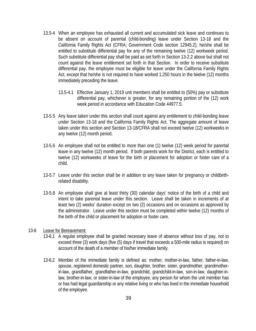- 13.5-4 When an employee has exhausted all current and accumulated sick leave and continues to be absent on account of parental (child-bonding) leave under Section 13-18 and the California Family Rights Act (CFRA; Government Code section 12945.2), he/she shall be entitled to substitute differential pay for any of the remaining twelve (12) workweek period. Such substitute differential pay shall be paid as set forth in Section 13-2.2 above but shall not count against the leave entitlement set forth in that Section. In order to receive substitute differential pay, the employee must be eligible for leave under the California Family Rights Act, except that he/she is not required to have worked 1,250 hours in the twelve (12) months immediately preceding the leave.
	- 13.5-4.1 Effective January 1, 2019 unit members shall be entitled to (50%) pay or substitute differential pay, whichever is greater, for any remaining portion of the (12) work week period in accordance with Education Code 44977.5.
- 13-5.5 Any leave taken under this section shall count against any entitlement to child-bonding leave under Section 13-18 and the California Family Rights Act. The aggregate amount of leave taken under this section and Section 13-18/CFRA shall not exceed twelve (12) workweeks in any twelve (12) month period.
- 13-5.6 An employee shall not be entitled to more than one (1) twelve (12) week period for parental leave in any twelve (12) month period. If both parents work for the District, each is entitled to twelve (12) workweeks of leave for the birth or placement for adoption or foster care of a child.
- 13-5.7 Leave under this section shall be in addition to any leave taken for pregnancy or childbirthrelated disability.
- 13-5.8 An employee shall give at least thirty (30) calendar days' notice of the birth of a child and intent to take parental leave under this section. Leave shall be taken in increments of at least two (2) weeks' duration except on two (2) occasions and on occasions as approved by the administrator. Leave under this section must be completed within twelve (12) months of the birth of the child or placement for adoption or foster care.

#### 13-6 Leave for Bereavement:

- 13-6.1 A regular employee shall be granted necessary leave of absence without loss of pay, not to exceed three (3) work days (five (5) days if travel that exceeds a 500-mile radius is required) on account of the death of a member of his/her immediate family.
- 13-6.2 Member of the immediate family is defined as: mother, mother-in-law, father, father-in-law, spouse, registered domestic partner, son, daughter, brother, sister, grandmother, grandmotherin-law, grandfather, grandfather-in-law, grandchild, grandchild-in-law, son-in-law, daughter-inlaw, brother-in-law, or sister-in-law of the employee, any person for whom the unit member has or has had legal guardianship or any relative living or who has lived in the immediate household of the employee.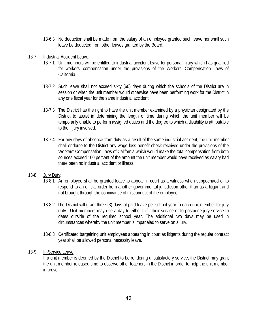- 13-6.3 No deduction shall be made from the salary of an employee granted such leave nor shall such leave be deducted from other leaves granted by the Board.
- 13-7 Industrial Accident Leave:
	- 13-7.1 Unit members will be entitled to industrial accident leave for personal injury which has qualified for workers' compensation under the provisions of the Workers' Compensation Laws of California.
	- 13-7.2 Such leave shall not exceed sixty (60) days during which the schools of the District are in session or when the unit member would otherwise have been performing work for the District in any one fiscal year for the same industrial accident.
	- 13-7.3 The District has the right to have the unit member examined by a physician designated by the District to assist in determining the length of time during which the unit member will be temporarily unable to perform assigned duties and the degree to which a disability is attributable to the injury involved.
	- 13-7.4 For any days of absence from duty as a result of the same industrial accident, the unit member shall endorse to the District any wage loss benefit check received under the provisions of the Workers' Compensation Laws of California which would make the total compensation from both sources exceed 100 percent of the amount the unit member would have received as salary had there been no industrial accident or illness.
- 13-8 Jury Duty:
	- 13-8.1 An employee shall be granted leave to appear in court as a witness when subpoenaed or to respond to an official order from another governmental jurisdiction other than as a litigant and not brought through the connivance of misconduct of the employee.
	- 13-8.2 The District will grant three (3) days of paid leave per school year to each unit member for jury duty. Unit members may use a day to either fulfill their service or to postpone jury service to dates outside of the required school year. The additional two days may be used in circumstances whereby the unit member is impaneled to serve on a jury.
	- 13-8.3 Certificated bargaining unit employees appearing in court as litigants during the regular contract year shall be allowed personal necessity leave.
- 13-9 In-Service Leave:

If a unit member is deemed by the District to be rendering unsatisfactory service, the District may grant the unit member released time to observe other teachers in the District in order to help the unit member improve.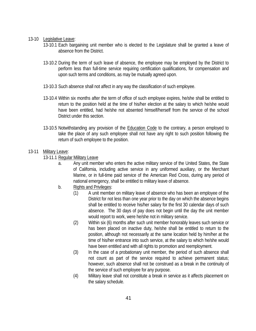#### 13-10 Legislative Leave:

- 13-10.1 Each bargaining unit member who is elected to the Legislature shall be granted a leave of absence from the District.
- 13-10.2 During the term of such leave of absence, the employee may be employed by the District to perform less than full-time service requiring certification qualifications, for compensation and upon such terms and conditions, as may be mutually agreed upon.
- 13-10.3 Such absence shall not affect in any way the classification of such employee.
- 13-10.4 Within six months after the term of office of such employee expires, he/she shall be entitled to return to the position held at the time of his/her election at the salary to which he/she would have been entitled, had he/she not absented himself/herself from the service of the school District under this section.
- 13-10.5 Notwithstanding any provision of the Education Code to the contrary, a person employed to take the place of any such employee shall not have any right to such position following the return of such employee to the position.

## 13-11 Military Leave:

- 13-11.1 Regular Military Leave
	- a. Any unit member who enters the active military service of the United States, the State of California, including active service in any uniformed auxiliary, or the Merchant Marine, or in full-time paid service of the American Red Cross, during any period of national emergency, shall be entitled to military leave of absence.
	- b. Rights and Privileges:
		- (1) A unit member on military leave of absence who has been an employee of the District for not less than one year prior to the day on which the absence begins shall be entitled to receive his/her salary for the first 30 calendar days of such absence. The 30 days of pay does not begin until the day the unit member would report to work, were he/she not in military service.
		- (2) Within six (6) months after such unit member honorably leaves such service or has been placed on inactive duty, he/she shall be entitled to return to the position, although not necessarily at the same location held by him/her at the time of his/her entrance into such service, at the salary to which he/she would have been entitled and with all rights to promotion and reemployment.
		- (3) In the case of a probationary unit member, the period of such absence shall not count as part of the service required to achieve permanent status; however, such absence shall not be construed as a break in the continuity of the service of such employee for any purpose.
		- (4) Military leave shall not constitute a break in service as it affects placement on the salary schedule.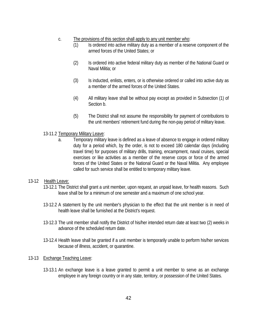#### c. The provisions of this section shall apply to any unit member who:

- (1) Is ordered into active military duty as a member of a reserve component of the armed forces of the United States; or
- (2) Is ordered into active federal military duty as member of the National Guard or Naval Militia; or
- (3) Is inducted, enlists, enters, or is otherwise ordered or called into active duty as a member of the armed forces of the United States.
- (4) All military leave shall be without pay except as provided in Subsection (1) of Section b.
- (5) The District shall not assume the responsibility for payment of contributions to the unit members' retirement fund during the non-pay period of military leave.

## 13-11.2 Temporary Military Leave:

a. Temporary military leave is defined as a leave of absence to engage in ordered military duty for a period which, by the order, is not to exceed 180 calendar days (including travel time) for purposes of military drills, training, encampment, naval cruises, special exercises or like activities as a member of the reserve corps or force of the armed forces of the United States or the National Guard or the Naval Militia. Any employee called for such service shall be entitled to temporary military leave.

## 13-12 Health Leave:

- 13-12.1 The District shall grant a unit member, upon request, an unpaid leave, for health reasons. Such leave shall be for a minimum of one semester and a maximum of one school year.
- 13-12.2 A statement by the unit member's physician to the effect that the unit member is in need of health leave shall be furnished at the District's request.
- 13-12.3 The unit member shall notify the District of his/her intended return date at least two (2) weeks in advance of the scheduled return date.
- 13-12.4 Health leave shall be granted if a unit member is temporarily unable to perform his/her services because of illness, accident, or quarantine.

## 13-13 Exchange Teaching Leave:

13-13.1 An exchange leave is a leave granted to permit a unit member to serve as an exchange employee in any foreign country or in any state, territory, or possession of the United States.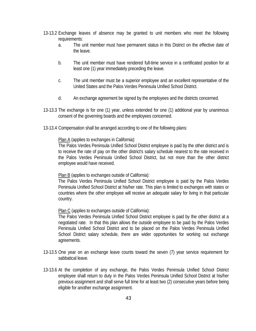- 13-13.2 Exchange leaves of absence may be granted to unit members who meet the following requirements:
	- a. The unit member must have permanent status in this District on the effective date of the leave.
	- b. The unit member must have rendered full-time service in a certificated position for at least one (1) year immediately preceding the leave.
	- c. The unit member must be a superior employee and an excellent representative of the United States and the Palos Verdes Peninsula Unified School District.
	- d. An exchange agreement be signed by the employees and the districts concerned.
- 13-13.3 The exchange is for one (1) year, unless extended for one (1) additional year by unanimous consent of the governing boards and the employees concerned.
- 13-13.4 Compensation shall be arranged according to one of the following plans:

#### Plan A (applies to exchanges in California):

The Palos Verdes Peninsula Unified School District employee is paid by the other district and is to receive the rate of pay on the other district's salary schedule nearest to the rate received in the Palos Verdes Peninsula Unified School District, but not more than the other district employee would have received.

#### Plan B (applies to exchanges outside of California):

The Palos Verdes Peninsula Unified School District employee is paid by the Palos Verdes Peninsula Unified School District at his/her rate. This plan is limited to exchanges with states or countries where the other employee will receive an adequate salary for living in that particular country.

Plan C (applies to exchanges outside of California):

The Palos Verdes Peninsula Unified School District employee is paid by the other district at a negotiated rate. In that this plan allows the outside employee to be paid by the Palos Verdes Peninsula Unified School District and to be placed on the Palos Verdes Peninsula Unified School District salary schedule, there are wider opportunities for working out exchange agreements.

- 13-13.5 One year on an exchange leave counts toward the seven (7) year service requirement for sabbatical leave.
- 13-13.6 At the completion of any exchange, the Palos Verdes Peninsula Unified School District employee shall return to duty in the Palos Verdes Peninsula Unified School District at his/her previous assignment and shall serve full time for at least two (2) consecutive years before being eligible for another exchange assignment.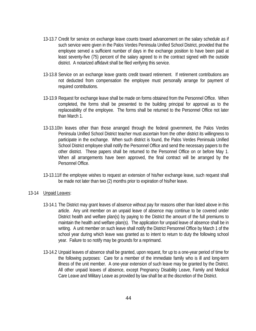- 13-13.7 Credit for service on exchange leave counts toward advancement on the salary schedule as if such service were given in the Palos Verdes Peninsula Unified School District, provided that the employee served a sufficient number of days in the exchange position to have been paid at least seventy-five (75) percent of the salary agreed to in the contract signed with the outside district. A notarized affidavit shall be filed verifying this service.
- 13-13.8 Service on an exchange leave grants credit toward retirement. If retirement contributions are not deducted from compensation the employee must personally arrange for payment of required contributions.
- 13-13.9 Request for exchange leave shall be made on forms obtained from the Personnel Office. When completed, the forms shall be presented to the building principal for approval as to the replaceability of the employee. The forms shall be returned to the Personnel Office not later than March 1.
- 13-13.10In leaves other than those arranged through the federal government, the Palos Verdes Peninsula Unified School District teacher must ascertain from the other district its willingness to participate in the exchange. When such district is found, the Palos Verdes Peninsula Unified School District employee shall notify the Personnel Office and send the necessary papers to the other district. These papers shall be returned to the Personnel Office on or before May 1. When all arrangements have been approved, the final contract will be arranged by the Personnel Office.
- 13-13.11If the employee wishes to request an extension of his/her exchange leave, such request shall be made not later than two (2) months prior to expiration of his/her leave.

#### 13-14 Unpaid Leaves:

- 13-14.1 The District may grant leaves of absence without pay for reasons other than listed above in this article. Any unit member on an unpaid leave of absence may continue to be covered under District health and welfare plan(s) by paying to the District the amount of the full premiums to maintain the health and welfare plan(s). The application for unpaid leave of absence shall be in writing. A unit member on such leave shall notify the District Personnel Office by March 1 of the school year during which leave was granted as to intent to return to duty the following school year. Failure to so notify may be grounds for a reprimand.
- 13-14.2 Unpaid leaves of absence shall be granted, upon request, for up to a one-year period of time for the following purposes: Care for a member of the immediate family who is ill and long-term illness of the unit member. A one-year extension of such leave may be granted by the District. All other unpaid leaves of absence, except Pregnancy Disability Leave, Family and Medical Care Leave and Military Leave as provided by law shall be at the discretion of the District.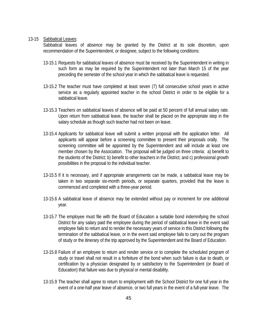#### 13-15 Sabbatical Leaves:

Sabbatical leaves of absence may be granted by the District at its sole discretion, upon recommendation of the Superintendent, or designee, subject to the following conditions:

- 13-15.1 Requests for sabbatical leaves of absence must be received by the Superintendent in writing in such form as may be required by the Superintendent not later than March 15 of the year preceding the semester of the school year in which the sabbatical leave is requested.
- 13-15.2 The teacher must have completed at least seven (7) full consecutive school years in active service as a regularly appointed teacher in the school District in order to be eligible for a sabbatical leave.
- 13-15.3 Teachers on sabbatical leaves of absence will be paid at 50 percent of full annual salary rate. Upon return from sabbatical leave, the teacher shall be placed on the appropriate step in the salary schedule as though such teacher had not been on leave.
- 13-15.4 Applicants for sabbatical leave will submit a written proposal with the application letter. All applicants will appear before a screening committee to present their proposals orally. The screening committee will be appointed by the Superintendent and will include at least one member chosen by the Association. The proposal will be judged on three criteria: a) benefit to the students of the District; b) benefit to other teachers in the District; and c) professional growth possibilities in the proposal to the individual teacher.
- 13-15.5 If it is necessary, and if appropriate arrangements can be made, a sabbatical leave may be taken in two separate six-month periods, or separate quarters, provided that the leave is commenced and completed with a three-year period.
- 13-15.6 A sabbatical leave of absence may be extended without pay or increment for one additional year.
- 13-15.7 The employee must file with the Board of Education a suitable bond indemnifying the school District for any salary paid the employee during the period of sabbatical leave in the event said employee fails to return and to render the necessary years of service in this District following the termination of the sabbatical leave, or in the event said employee fails to carry out the program of study or the itinerary of the trip approved by the Superintendent and the Board of Education.
- 13-15.8 Failure of an employee to return and render service or to complete the scheduled program of study or travel shall not result in a forfeiture of the bond when such failure is due to death, or certification by a physician designated by or satisfactory to the Superintendent (or Board of Education) that failure was due to physical or mental disability.
- 13-15.9 The teacher shall agree to return to employment with the School District for one full year in the event of a one-half year leave of absence, or two full years in the event of a full-year leave. The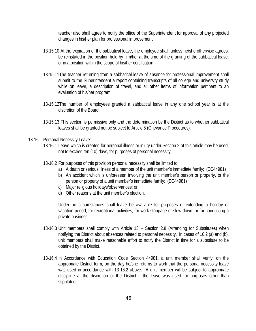teacher also shall agree to notify the office of the Superintendent for approval of any projected changes in his/her plan for professional improvement.

- 13-15.10 At the expiration of the sabbatical leave, the employee shall, unless he/she otherwise agrees, be reinstated in the position held by him/her at the time of the granting of the sabbatical leave, or in a position within the scope of his/her certification.
- 13-15.11The teacher returning from a sabbatical leave of absence for professional improvement shall submit to the Superintendent a report containing transcripts of all college and university study while on leave, a description of travel, and all other items of information pertinent to an evaluation of his/her program.
- 13-15.12The number of employees granted a sabbatical leave in any one school year is at the discretion of the Board.
- 13-15.13 This section is permissive only and the determination by the District as to whether sabbatical leaves shall be granted not be subject to Article 5 (Grievance Procedures).

#### 13-16 Personal Necessity Leave:

- 13-16.1 Leave which is created for personal illness or injury under Section 2 of this article may be used, not to exceed ten (10) days, for purposes of personal necessity.
- 13-16.2 For purposes of this provision personal necessity shall be limited to:
	- a) A death or serious illness of a member of the unit member's immediate family; (EC44981)
		- b) An accident which is unforeseen involving the unit member's person or property, or the person or property of a unit member's immediate family; (EC44981)
		- c) Major religious holidays/observances; or
		- d) Other reasons at the unit member's election.

Under no circumstances shall leave be available for purposes of extending a holiday or vacation period, for recreational activities, for work stoppage or slow-down, or for conducting a private business.

- 13-16.3 Unit members shall comply with Article 13 Section 2.8 (Arranging for Substitutes) when notifying the District about absences related to personal necessity. In cases of 16.2 (a) and (b), unit members shall make reasonable effort to notify the District in time for a substitute to be obtained by the District.
- 13-16.4 In Accordance with Education Code Section 44981, a unit member shall verify, on the appropriate District form, on the day he/she returns to work that the personal necessity leave was used in accordance with 13-16.2 above. A unit member will be subject to appropriate discipline at the discretion of the District if the leave was used for purposes other than stipulated.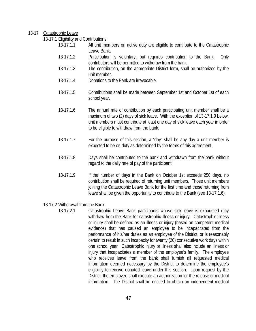#### 13-17 Catastrophic Leave

13-17.1 Eligibility and Contributions

- 13-17.1.1 All unit members on active duty are eligible to contribute to the Catastrophic Leave Bank.
- 13-17.1.2 Participation is voluntary, but requires contribution to the Bank. Only contributors will be permitted to withdraw from the bank.
- 13-17.1.3 The contribution, on the appropriate District form, shall be authorized by the unit member.
- 13-17.1.4 Donations to the Bank are irrevocable.
- 13-17.1.5 Contributions shall be made between September 1st and October 1st of each school year.
- 13-17.1.6 The annual rate of contribution by each participating unit member shall be a maximum of two (2) days of sick leave. With the exception of 13-17.1.9 below, unit members must contribute at least one day of sick leave each year in order to be eligible to withdraw from the bank.
- 13-17.1.7 For the purpose of this section, a "day" shall be any day a unit member is expected to be on duty as determined by the terms of this agreement.
- 13-17.1.8 Days shall be contributed to the bank and withdrawn from the bank without regard to the daily rate of pay of the participant.
- 13-17.1.9 If the number of days in the Bank on October 1st exceeds 250 days, no contribution shall be required of returning unit members. Those unit members joining the Catastrophic Leave Bank for the first time and those returning from leave shall be given the opportunity to contribute to the Bank (see 13-17.1.6).
- 13-17.2 Withdrawal from the Bank
	- 13-17.2.1 Catastrophic Leave Bank participants whose sick leave is exhausted may withdraw from the Bank for catastrophic illness or injury. Catastrophic illness or injury shall be defined as an illness or injury (based on competent medical evidence) that has caused an employee to be incapacitated from the performance of his/her duties as an employee of the District, or is reasonably certain to result in such incapacity for twenty (20) consecutive work days within one school year. Catastrophic injury or illness shall also include an illness or injury that incapacitates a member of the employee's family. The employee who receives leave from the bank shall furnish all requested medical information deemed necessary by the District to determine the employee's eligibility to receive donated leave under this section. Upon request by the District, the employee shall execute an authorization for the release of medical information. The District shall be entitled to obtain an independent medical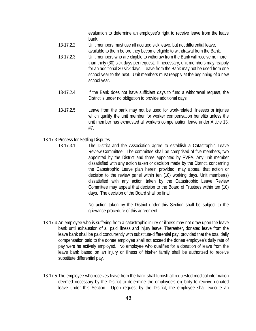evaluation to determine an employee's right to receive leave from the leave bank.

- 13-17.2.2 Unit members must use all accrued sick leave, but not differential leave, available to them before they become eligible to withdrawal from the Bank.
- 13-17.2.3 Unit members who are eligible to withdraw from the Bank will receive no more than thirty (30) sick days per request. If necessary, unit members may reapply for an additional 30 sick days. Leave from the Bank may not be used from one school year to the next. Unit members must reapply at the beginning of a new school year.
- 13-17.2.4 If the Bank does not have sufficient days to fund a withdrawal request, the District is under no obligation to provide additional days.
- 13-17.2.5 Leave from the bank may not be used for work-related illnesses or injuries which qualify the unit member for worker compensation benefits unless the unit member has exhausted all workers compensation leave under Article 13, #7.
- 13-17.3 Process for Settling Disputes
	- 13-17.3.1 The District and the Association agree to establish a Catastrophic Leave Review Committee. The committee shall be comprised of five members, two appointed by the District and three appointed by PVFA. Any unit member dissatisfied with any action taken or decision made by the District, concerning the Catastrophic Leave plan herein provided, may appeal that action or decision to the review panel within ten (10) working days. Unit member(s) dissatisfied with any action taken by the Catastrophic Leave Review Committee may appeal that decision to the Board of Trustees within ten (10) days. The decision of the Board shall be final.

No action taken by the District under this Section shall be subject to the grievance procedure of this agreement.

- 13-17.4 An employee who is suffering from a catastrophic injury or illness may not draw upon the leave bank until exhaustion of all paid illness and injury leave. Thereafter, donated leave from the leave bank shall be paid concurrently with substitute-differential pay, provided that the total daily compensation paid to the donee employee shall not exceed the donee employee's daily rate of pay were he actively employed. No employee who qualifies for a donation of leave from the leave bank based on an injury or illness of his/her family shall be authorized to receive substitute differential pay.
- 13-17.5 The employee who receives leave from the bank shall furnish all requested medical information deemed necessary by the District to determine the employee's eligibility to receive donated leave under this Section. Upon request by the District, the employee shall execute an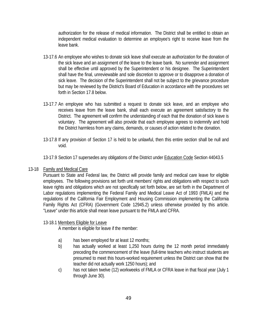authorization for the release of medical information. The District shall be entitled to obtain an independent medical evaluation to determine an employee's right to receive leave from the leave bank.

- 13-17.6 An employee who wishes to donate sick leave shall execute an authorization for the donation of the sick leave and an assignment of the leave to the leave bank. No surrender and assignment shall be effective until approved by the Superintendent or his designee. The Superintendent shall have the final, unreviewable and sole discretion to approve or to disapprove a donation of sick leave. The decision of the Superintendent shall not be subject to the grievance procedure but may be reviewed by the District's Board of Education in accordance with the procedures set forth in Section 17.8 below.
- 13-17.7 An employee who has submitted a request to donate sick leave, and an employee who receives leave from the leave bank, shall each execute an agreement satisfactory to the District. The agreement will confirm the understanding of each that the donation of sick leave is voluntary. The agreement will also provide that each employee agrees to indemnify and hold the District harmless from any claims, demands, or causes of action related to the donation.
- 13-17.8 If any provision of Section 17 is held to be unlawful, then this entire section shall be null and void.
- 13-17.9 Section 17 supersedes any obligations of the District under Education Code Section 44043.5

#### 13-18 Family and Medical Care

Pursuant to State and Federal law, the District will provide family and medical care leave for eligible employees. The following provisions set forth unit members' rights and obligations with respect to such leave rights and obligations which are not specifically set forth below, are set forth in the Department of Labor regulations implementing the Federal Family and Medical Leave Act of 1993 (FMLA) and the regulations of the California Fair Employment and Housing Commission implementing the California Family Rights Act (CFRA) (Government Code 12945.2) unless otherwise provided by this article. "Leave" under this article shall mean leave pursuant to the FMLA and CFRA.

#### 13-18.1 Members Eligible for Leave

A member is eligible for leave if the member:

- a) has been employed for at least 12 months;
- b) has actually worked at least 1,250 hours during the 12 month period immediately preceding the commencement of the leave (full-time teachers who instruct students are presumed to meet this hours-worked requirement unless the District can show that the teacher did not actually work 1250 hours); and
- c) has not taken twelve (12) workweeks of FMLA or CFRA leave in that fiscal year (July 1 through June 30).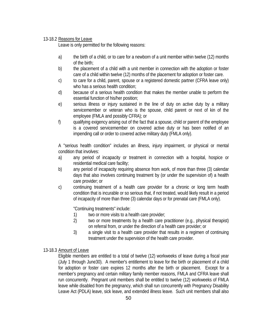#### 13-18.2 Reasons for Leave

Leave is only permitted for the following reasons:

- a) the birth of a child, or to care for a newborn of a unit member within twelve (12) months of the birth;
- b) the placement of a child with a unit member in connection with the adoption or foster care of a child within twelve (12) months of the placement for adoption or foster care.
- c) to care for a child, parent, spouse or a registered domestic partner (CFRA leave only) who has a serious health condition;
- d) because of a serious health condition that makes the member unable to perform the essential function of his/her position;
- e) serious illness or injury sustained in the line of duty on active duty by a military servicemember or veteran who is the spouse, child parent or next of kin of the employee (FMLA and possibly CFRA); or
- f) qualifying exigency arising out of the fact that a spouse, child or parent of the employee is a covered servicemember on covered active duty or has been notified of an impending call or order to covered active military duty (FMLA only).

A "serious health condition" includes an illness, injury impairment, or physical or mental condition that involves:

- a) any period of incapacity or treatment in connection with a hospital, hospice or residential medical care facility;
- b) any period of incapacity requiring absence from work, of more than three (3) calendar days that also involves continuing treatment by (or under the supervision of) a health care provider; or
- c) continuing treatment of a health care provider for a chronic or long term health condition that is incurable or so serious that, if not treated, would likely result in a period of incapacity of more than three (3) calendar days or for prenatal care (FMLA only).

"Continuing treatments" include:

- 1) two or more visits to a health care provider;
- 2) two or more treatments by a health care practitioner (e.g., physical therapist) on referral from, or under the direction of a health care provider; or
- 3) a single visit to a health care provider that results in a regimen of continuing treatment under the supervision of the health care provider.
- 13-18.3 Amount of Leave

Eligible members are entitled to a total of twelve (12) workweeks of leave during a fiscal year (July 1 through June30). A member's entitlement to leave for the birth or placement of a child for adoption or foster care expires 12 months after the birth or placement. Except for a member's pregnancy and certain military family member reasons, FMLA and CFRA leave shall run concurrently. Pregnant unit members shall be entitled to twelve (12) workweeks of FMLA leave while disabled from the pregnancy, which shall run concurrently with Pregnancy Disability Leave Act (PDLA) leave, sick leave, and extended illness leave. Such unit members shall also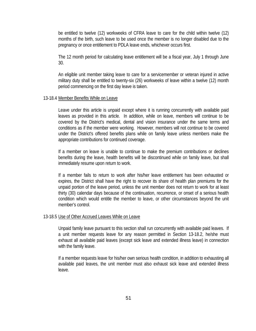be entitled to twelve (12) workweeks of CFRA leave to care for the child within twelve (12) months of the birth, such leave to be used once the member is no longer disabled due to the pregnancy or once entitlement to PDLA leave ends, whichever occurs first.

The 12 month period for calculating leave entitlement will be a fiscal year, July 1 through June 30.

An eligible unit member taking leave to care for a servicemember or veteran injured in active military duty shall be entitled to twenty-six (26) workweeks of leave within a twelve (12) month period commencing on the first day leave is taken.

#### 13-18.4 Member Benefits While on Leave

Leave under this article is unpaid except where it is running concurrently with available paid leaves as provided in this article. In addition, while on leave, members will continue to be covered by the District's medical, dental and vision insurance under the same terms and conditions as if the member were working. However, members will not continue to be covered under the District's offered benefits plans while on family leave unless members make the appropriate contributions for continued coverage.

If a member on leave is unable to continue to make the premium contributions or declines benefits during the leave, health benefits will be discontinued while on family leave, but shall immediately resume upon return to work.

If a member fails to return to work after his/her leave entitlement has been exhausted or expires, the District shall have the right to recover its share of health plan premiums for the unpaid portion of the leave period, unless the unit member does not return to work for at least thirty (30) calendar days because of the continuation, recurrence, or onset of a serious health condition which would entitle the member to leave, or other circumstances beyond the unit member's control.

#### 13-18.5 Use of Other Accrued Leaves While on Leave

Unpaid family leave pursuant to this section shall run concurrently with available paid leaves. If a unit member requests leave for any reason permitted in Section 13-18.2, he/she must exhaust all available paid leaves (except sick leave and extended illness leave) in connection with the family leave.

If a member requests leave for his/her own serious health condition, in addition to exhausting all available paid leaves, the unit member must also exhaust sick leave and extended illness leave.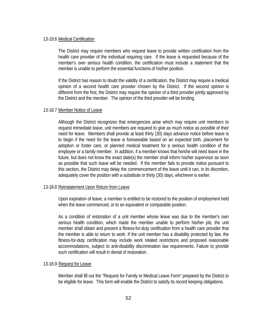#### 13-18.6 Medical Certification

The District may require members who request leave to provide written certification from the health care provider of the individual requiring care. If the leave is requested because of the member's own serious health condition, the certification must include a statement that the member is unable to perform the essential functions of his/her position.

If the District has reason to doubt the validity of a certification, the District may require a medical opinion of a second health care provider chosen by the District. If the second opinion is different from the first, the District may require the opinion of a third provider jointly approved by the District and the member. The opinion of the third provider will be binding.

#### 13-18.7 Member Notice of Leave

Although the District recognizes that emergencies arise which may require unit members to request immediate leave, unit members are required to give as much notice as possible of their need for leave. Members shall provide at least thirty (30) days advance notice before leave is to begin if the need for the leave is foreseeable based on an expected birth, placement for adoption or foster care, or planned medical treatment for a serious health condition of the employee or a family member. In addition, if a member knows that he/she will need leave in the future, but does not know the exact date(s) the member shall inform his/her supervisor as soon as possible that such leave will be needed. If the member fails to provide notice pursuant to this section, the District may delay the commencement of the leave until it can, in its discretion, adequately cover the position with a substitute or thirty (30) days, whichever is earlier.

#### 13-18.8 Reinstatement Upon Return from Leave

Upon expiration of leave, a member is entitled to be restored to the position of employment held when the leave commenced, or to an equivalent or comparable position.

As a condition of restoration of a unit member whose leave was due to the member's own serious health condition, which made the member unable to perform his/her job, the unit member shall obtain and present a fitness-for-duty certification from a health care provider that the member is able to return to work. If the unit member has a disability protected by law, the fitness-for-duty certification may include work related restrictions and proposed reasonable accommodations, subject to anti-disability discrimination law requirements. Failure to provide such certification will result in denial of restoration.

#### 13-18.9 Request for Leave

Member shall fill out the "Request for Family or Medical Leave Form" prepared by the District to be eligible for leave. This form will enable the District to satisfy its record keeping obligations.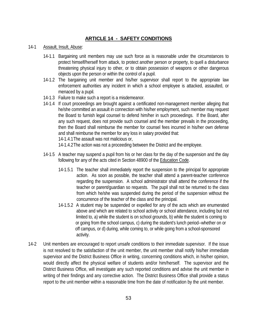## **ARTICLE 14 - SAFETY CONDITIONS**

- 14-1 Assault, Insult, Abuse:
	- 14-1.1 Bargaining unit members may use such force as is reasonable under the circumstances to protect himself/herself from attack, to protect another person or property, to quell a disturbance threatening physical injury to other, or to obtain possession of weapons or other dangerous objects upon the person or within the control of a pupil.
	- 14-1.2 The bargaining unit member and his/her supervisor shall report to the appropriate law enforcement authorities any incident in which a school employee is attacked, assaulted, or menaced by a pupil.
	- 14-1.3 Failure to make such a report is a misdemeanor.
	- 14-1.4 If court proceedings are brought against a certificated non-management member alleging that he/she committed an assault in connection with his/her employment, such member may request the Board to furnish legal counsel to defend him/her in such proceedings. If the Board, after any such request, does not provide such counsel and the member prevails in the proceeding, then the Board shall reimburse the member for counsel fees incurred in his/her own defense and shall reimburse the member for any loss in salary provided that:

14-1.4.1The assault was not malicious or,

14-1.4.2The action was not a proceeding between the District and the employee.

- 14-1.5 A teacher may suspend a pupil from his or her class for the day of the suspension and the day following for any of the acts cited in Section 48900 of the **Education Code**.
	- 14-1.5.1 The teacher shall immediately report the suspension to the principal for appropriate action. As soon as possible, the teacher shall attend a parent-teacher conference regarding the suspension. A school administrator shall attend the conference if the teacher or parent/guardian so requests. The pupil shall not be returned to the class from which he/she was suspended during the period of the suspension without the concurrence of the teacher of the class and the principal.
	- 14-1.5.2 A student may be suspended or expelled for any of the acts which are enumerated above and which are related to school activity or school attendance, including but not limited to, a) while the student is on school grounds, b) while the student is coming to or going from the school campus, c) during the student's lunch period--whether on or off campus, or d) during, while coming to, or while going from a school-sponsored activity.
- 14-2 Unit members are encouraged to report unsafe conditions to their immediate supervisor. If the issue is not resolved to the satisfaction of the unit member, the unit member shall notify his/her immediate supervisor and the District Business Office in writing, concerning conditions which, in his/her opinion, would directly affect the physical welfare of students and/or him/herself. The supervisor and the District Business Office, will investigate any such reported conditions and advise the unit member in writing of their findings and any corrective action. The District Business Office shall provide a status report to the unit member within a reasonable time from the date of notification by the unit member.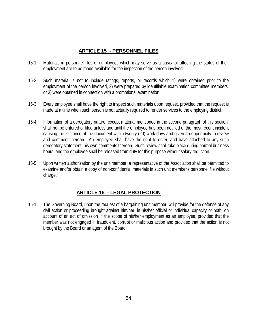## **ARTICLE 15 - PERSONNEL FILES**

- 15-1 Materials in personnel files of employees which may serve as a basis for affecting the status of their employment are to be made available for the inspection of the person involved.
- 15-2 Such material is not to include ratings, reports, or records which 1) were obtained prior to the employment of the person involved, 2) were prepared by identifiable examination committee members, or 3) were obtained in connection with a promotional examination.
- 15-3 Every employee shall have the right to inspect such materials upon request, provided that the request is made at a time when such person is not actually required to render services to the employing district.
- 15-4 Information of a derogatory nature, except material mentioned in the second paragraph of this section, shall not be entered or filed unless and until the employee has been notified of the most recent incident causing the issuance of the document within twenty (20) work days and given an opportunity to review and comment thereon. An employee shall have the right to enter, and have attached to any such derogatory statement, his own comments thereon. Such review shall take place during normal business hours, and the employee shall be released from duty for this purpose without salary reduction.
- 15-5 Upon written authorization by the unit member, a representative of the Association shall be permitted to examine and/or obtain a copy of non-confidential materials in such unit member's personnel file without charge.

## **ARTICLE 16 - LEGAL PROTECTION**

16-1 The Governing Board, upon the request of a bargaining unit member, will provide for the defense of any civil action or proceeding brought against him/her, in his/her official or individual capacity or both, on account of an act of omission in the scope of his/her employment as an employee, provided that the member was not engaged in fraudulent, corrupt or malicious action and provided that the action is not brought by the Board or an agent of the Board.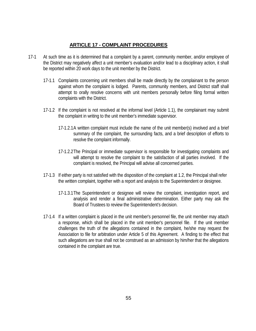## **ARTICLE 17 - COMPLAINT PROCEDURES**

- 17-1 At such time as it is determined that a complaint by a parent, community member, and/or employee of the District may negatively affect a unit member's evaluation and/or lead to a disciplinary action, it shall be reported within 20 work days to the unit member by the District.
	- 17-1.1 Complaints concerning unit members shall be made directly by the complainant to the person against whom the complaint is lodged. Parents, community members, and District staff shall attempt to orally resolve concerns with unit members personally before filing formal written complaints with the District.
	- 17-1.2 If the complaint is not resolved at the informal level (Article 1.1), the complainant may submit the complaint in writing to the unit member's immediate supervisor.
		- 17-1.2.1A written complaint must include the name of the unit member(s) involved and a brief summary of the complaint, the surrounding facts, and a brief description of efforts to resolve the complaint informally.
		- 17-1.2.2The Principal or immediate supervisor is responsible for investigating complaints and will attempt to resolve the complaint to the satisfaction of all parties involved. If the complaint is resolved, the Principal will advise all concerned parties.
	- 17-1.3 If either party is not satisfied with the disposition of the complaint at 1.2, the Principal shall refer the written complaint, together with a report and analysis to the Superintendent or designee.
		- 17-1.3.1The Superintendent or designee will review the complaint, investigation report, and analysis and render a final administrative determination. Either party may ask the Board of Trustees to review the Superintendent's decision.
	- 17-1.4 If a written complaint is placed in the unit member's personnel file, the unit member may attach a response, which shall be placed in the unit member's personnel file. If the unit member challenges the truth of the allegations contained in the complaint, he/she may request the Association to file for arbitration under Article 5 of this Agreement. A finding to the effect that such allegations are true shall not be construed as an admission by him/her that the allegations contained in the complaint are true.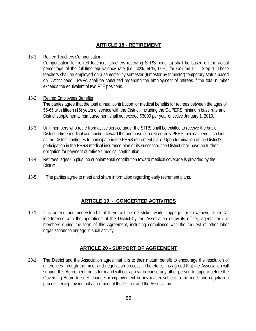## **ARTICLE 18 - RETIREMENT**

#### 18-1 Retired Teachers Compensation

Compensation for retired teachers (teachers receiving STRS benefits) shall be based on the actual percentage of the full-time equivalency rate (i.e. 40%, 50%, 60%) for Column III – Step 1 .These teachers shall be employed on a semester-by semester (trimester by trimester) temporary status based on District need. PVFA shall be consulted regarding the employment of retirees if the total number exceeds the equivalent of two FTE positions.

## 18-2 Retired Employees Benefits

The parties agree that the total annual contribution for medical benefits for retirees between the ages of 55-65 with fifteen (15) years of service with the District, including the CalPERS minimum base rate and District supplemental reimbursement shall not exceed \$3000 per year effective January 1, 2010**.**

- 18-3 Unit members who retire from active service under the STRS shall be entitled to receive the basic District retiree medical contribution toward the purchase of a retiree-only PERS medical benefit so long as the District continues to participate in the PERS retirement plan. Upon termination of the District's participation in the PERS medical insurance plan or its successor, the District shall have no further obligation for payment of retiree's medical contribution.
- 18-4 Retirees, ages 65 plus: no supplemental contribution toward medical coverage is provided by the District*.*
- 18-5 The parties agree to meet and share information regarding early retirement plans.

## **ARTICLE 19 - CONCERTED ACTIVITIES**

19-1 It is agreed and understood that there will be no strike, work stoppage, or slowdown, or similar interference with the operations of the District by the Association or by its officer, agents, or unit members during the term of this Agreement, including compliance with the request of other labor organizations to engage in such activity.

## **ARTICLE 20 - SUPPORT OF AGREEMENT**

20-1 The District and the Association agree that it is to their mutual benefit to encourage the resolution of differences through the meet and negotiation process. Therefore, it is agreed that the Association will support this Agreement for its term and will not appear or cause any other person to appear before the Governing Board to seek change or improvement in any matter subject to the meet and negotiation process, except by mutual agreement of the District and the Association.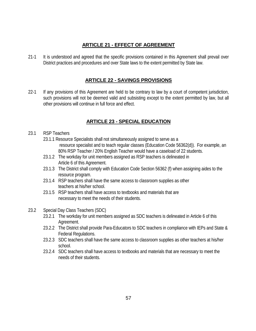## **ARTICLE 21 - EFFECT OF AGREEMENT**

21-1 It is understood and agreed that the specific provisions contained in this Agreement shall prevail over District practices and procedures and over State laws to the extent permitted by State law.

## **ARTICLE 22 - SAVINGS PROVISIONS**

22-1 If any provisions of this Agreement are held to be contrary to law by a court of competent jurisdiction, such provisions will not be deemed valid and subsisting except to the extent permitted by law, but all other provisions will continue in full force and effect.

## **ARTICLE 23 - SPECIAL EDUCATION**

## 23.1 RSP Teachers

- 23.1.1 Resource Specialists shall not simultaneously assigned to serve as a resource specialist and to teach regular classes (Education Code 56362(d)). For example, an 80% RSP Teacher / 20% English Teacher would have a caseload of 22 students.
- 23.1.2 The workday for unit members assigned as RSP teachers is delineated in Article 6 of this Agreement.
- 23.1.3 The District shall comply with Education Code Section 56362 (f) when assigning aides to the resource program.
- 23.1.4 RSP teachers shall have the same access to classroom supplies as other teachers at his/her school.
- 23.1.5 RSP teachers shall have access to textbooks and materials that are necessary to meet the needs of their students.
- 23.2 Special Day Class Teachers (SDC)
	- 23.2.1 The workday for unit members assigned as SDC teachers is delineated in Article 6 of this Agreement.
	- 23.2.2 The District shall provide Para-Educators to SDC teachers in compliance with IEPs and State & Federal Regulations.
	- 23.2.3 SDC teachers shall have the same access to classroom supplies as other teachers at his/her school.
	- 23.2.4 SDC teachers shall have access to textbooks and materials that are necessary to meet the needs of their students.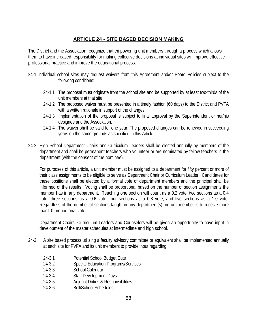## **ARTICLE 24 - SITE BASED DECISION MAKING**

The District and the Association recognize that empowering unit members through a process which allows them to have increased responsibility for making collective decisions at individual sites will improve effective professional practice and improve the educational process.

- 24-1 Individual school sites may request waivers from this Agreement and/or Board Policies subject to the following conditions:
	- 24-1.1 The proposal must originate from the school site and be supported by at least two-thirds of the unit members at that site.
	- 24-1.2 The proposed waiver must be presented in a timely fashion (60 days) to the District and PVFA with a written rationale in support of the changes.
	- 24-1.3 Implementation of the proposal is subject to final approval by the Superintendent or her/his designee and the Association.
	- 24-1.4 The waiver shall be valid for one year. The proposed changes can be renewed in succeeding years on the same grounds as specified in this Article.
- 24-2 High School Department Chairs and Curriculum Leaders shall be elected annually by members of the department and shall be permanent teachers who volunteer or are nominated by fellow teachers in the department (with the consent of the nominee).

For purposes of this article, a unit member must be assigned to a department for fifty percent or more of their class assignments to be eligible to serve as Department Chair or Curriculum Leader. Candidates for these positions shall be elected by a formal vote of department members and the principal shall be informed of the results. Voting shall be proportional based on the number of section assignments the member has in any department. Teaching one section will count as a 0.2 vote, two sections as a 0.4 vote, three sections as a 0.6 vote, four sections as a 0.8 vote, and five sections as a 1.0 vote. Regardless of the number of sections taught in any department(s), no unit member is to receive more than1.0 proportional vote.

Department Chairs, Curriculum Leaders and Counselors will be given an opportunity to have input in development of the master schedules at intermediate and high school.

- 24-3 A site based process utilizing a faculty advisory committee or equivalent shall be implemented annually at each site for PVFA and its unit members to provide input regarding:
	- 24-3.1 Potential School Budget Cuts
	- 24-3.2 Special Education Programs/Services
	- 24-3.3 School Calendar
	- 24-3.4 Staff Development Days
	- 24-3.5 Adjunct Duties & Responsibilities
	- 24-3.6 Bell/School Schedules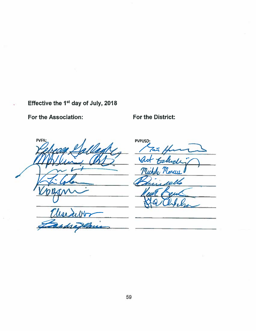## Effective the 1<sup>st</sup> day of July, 2018

For the Association:

For the District:

Wedibb

tradain

**PVPUSD**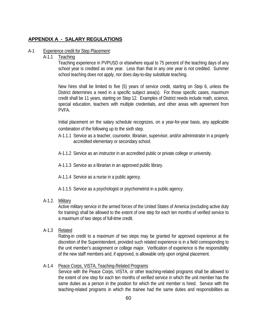## **APPENDIX A - SALARY REGULATIONS**

#### A-1 Experience credit for Step Placement:

#### A-1.1 Teaching

Teaching experience in PVPUSD or elsewhere equal to 75 percent of the teaching days of any school year is credited as one year. Less than that in any one year is not credited. Summer school teaching does not apply, nor does day-to-day substitute teaching.

New hires shall be limited to five (5) years of service credit, starting on Step 6, unless the District determines a need in a specific subject area(s). For those specific cases, maximum credit shall be 11 years, starting on Step 12. Examples of District needs include math, science, special education, teachers with multiple credentials, and other areas with agreement from PVFA.

Initial placement on the salary schedule recognizes, on a year-for-year basis, any applicable combination of the following up to the sixth step.

- A-1.1.1 Service as a teacher, counselor, librarian, supervisor, and/or administrator in a properly accredited elementary or secondary school.
- A-1.1.2 Service as an instructor in an accredited public or private college or university.
- A-1.1.3 Service as a librarian in an approved public library.
- A-1.1.4 Service as a nurse in a public agency.
- A-1.1.5 Service as a psychologist or psychometrist in a public agency.

## A-1.2. Military

Active military service in the armed forces of the United States of America (excluding active duty for training) shall be allowed to the extent of one step for each ten months of verified service to a maximum of two steps of full-time credit.

A-1.3 Related

Rating-in credit to a maximum of two steps may be granted for approved experience at the discretion of the Superintendent, provided such related experience is in a field corresponding to the unit member's assignment or college major. Verification of experience is the responsibility of the new staff members and, if approved, is allowable only upon original placement.

## A-1.4 Peace Corps, VISTA, Teaching-Related Programs

Service with the Peace Corps, VISTA, or other teaching-related programs shall be allowed to the extent of one step for each ten months of verified service in which the unit member has the same duties as a person in the position for which the unit member is hired. Service with the teaching-related programs in which the trainee had the same duties and responsibilities as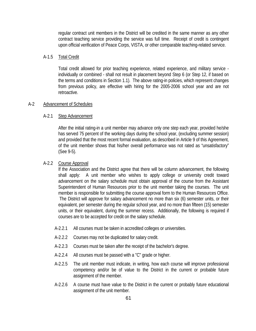regular contract unit members in the District will be credited in the same manner as any other contract teaching service providing the service was full time. Receipt of credit is contingent upon official verification of Peace Corps, VISTA, or other comparable teaching-related service.

#### A-1.5 Total Credit

Total credit allowed for prior teaching experience, related experience, and military service individually or combined - shall not result in placement beyond Step 6 (or Step 12, if based on the terms and conditions in Section 1.1). The above rating-in policies, which represent changes from previous policy, are effective with hiring for the 2005-2006 school year and are not retroactive.

#### A-2 Advancement of Schedules

#### A-2.1 Step Advancement

After the initial rating-in a unit member may advance only one step each year, provided he/she has served 75 percent of the working days during the school year, (excluding summer session) and provided that the most recent formal evaluation, as described in Article 9 of this Agreement, of the unit member shows that his/her overall performance was not rated as "unsatisfactory" (See 9-5).

#### A-2.2 Course Approval

If the Association and the District agree that there will be column advancement, the following shall apply: A unit member who wishes to apply college or university credit toward advancement on the salary schedule must obtain approval of the course from the Assistant Superintendent of Human Resources prior to the unit member taking the courses. The unit member is responsible for submitting the course approval form to the Human Resources Office. The District will approve for salary advancement no more than six (6) semester units, or their equivalent, per semester during the regular school year, and no more than fifteen (15) semester units, or their equivalent, during the summer recess. Additionally, the following is required if courses are to be accepted for credit on the salary schedule.

- A-2.2.1 All courses must be taken in accredited colleges or universities.
- A-2.2.2 Courses may not be duplicated for salary credit.
- A-2.2.3 Courses must be taken after the receipt of the bachelor's degree.
- A-2.2.4 All courses must be passed with a "C" grade or higher.
- A-2.2.5 The unit member must indicate, in writing, how each course will improve professional competency and/or be of value to the District in the current or probable future assignment of the member.
- A-2.2.6 A course must have value to the District in the current or probably future educational assignment of the unit member.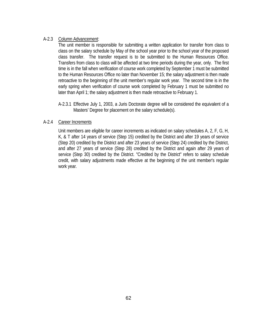#### A-2.3 Column Advancement:

The unit member is responsible for submitting a written application for transfer from class to class on the salary schedule by May of the school year prior to the school year of the proposed class transfer. The transfer request is to be submitted to the Human Resources Office. Transfers from class to class will be affected at two time periods during the year, only. The first time is in the fall when verification of course work completed by September 1 must be submitted to the Human Resources Office no later than November 15; the salary adjustment is then made retroactive to the beginning of the unit member's regular work year. The second time is in the early spring when verification of course work completed by February 1 must be submitted no later than April 1; the salary adjustment is then made retroactive to February 1.

A-2.3.1 Effective July 1, 2003, a Juris Doctorate degree will be considered the equivalent of a Masters' Degree for placement on the salary schedule(s).

#### A-2.4 Career Increments

Unit members are eligible for career increments as indicated on salary schedules A, 2, F, G, H, K, & T after 14 years of service (Step 15) credited by the District and after 19 years of service (Step 20) credited by the District and after 23 years of service (Step 24) credited by the District, and after 27 years of service (Step 28) credited by the District and again after 29 years of service (Step 30) credited by the District. "Credited by the District" refers to salary schedule credit, with salary adjustments made effective at the beginning of the unit member's regular work year.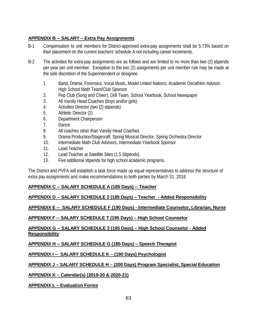#### **APPENDIX B -- SALARY – Extra Pay Assignments**

- B-1 Compensation to unit members for District-approved extra-pay assignments shall be 5.73% based on their placement on the current teachers' schedule A not including career increments.
- B-2 The activities for extra-pay assignments are as follows and are limited to no more than two (2) stipends per year per unit member. Exception to the two (2) assignments per unit member rule may be made at the sole discretion of the Superintendent or designee.
	- 1. Band, Drama, Forensics, Vocal Music, Model United Nations, Academic Decathlon Advisor, High School Math Team/Club Sponsor
	- 2. Pep Club (Song and Cheer), Drill Team, School Yearbook, School Newspaper
	- 3. All Varsity Head Coaches (boys and/or girls)
	- 4. Activities Director (two [2] stipends)
	- 5. Athletic Director (2)
	- 6. Department Chairperson
	- 7. Dance
	- 8. All coaches other than Varsity Head Coaches
	- 9. Drama Production/Stagecraft, Spring Musical Director, Spring Orchestra Director
	- 10. Intermediate Math Club Advisors, Intermediate Yearbook Sponsor
	- 11. Lead Teacher
	- 12. Lead Teacher at Satellite Sites (1.5 Stipends).
	- 13. Five additional stipends for high school academic programs.

The District and PVFA will establish a task force made up equal representatives to address the structure of extra pay assignments and make recommendations to both parties by March 31, 2018.

## **APPENDIX C -- SALARY SCHEDULE A (185 Days) -- Teacher**

## **APPENDIX D -- SALARY SCHEDULE 2 (185 Days) – Teacher - Added Responsibility**

## **APPENDIX E -- SALARY SCHEDULE F (190 Days) - Intermediate Counselor, Librarian, Nurse**

## **APPENDIX F -- SALARY SCHEDULE T (195 Days) – High School Counselor**

#### **APPENDIX G -- SALARY SCHEDULE 3 (195 Days) – High School Counselor - Added Responsibility**

**APPENDIX H -- SALARY SCHEDULE G (185 Days) – Speech Therapist**

## **APPENDIX I -- SALARY SCHEDULE K – (190 Days) Psychologist**

## **APPENDIX J – SALARY SCHEDULE H – (200 Days) Program Specialist, Special Education**

## **APPENDIX K – Calendar(s) (2019-20 & 2020-21)**

**APPENDIX L – Evaluation Forms**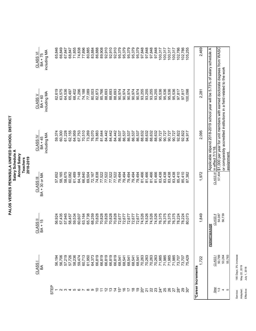| including MA<br>CLASS VI<br>BA + 75       |             | 65,846           | 66,849 | 67,847 | 68,847 | 71,855 | 74,838 | 77,896 | 80,885 | 83,884 | 86,888 | 89,908 | 92,910 | 92,910 | 92,910 | 95,379 | 95,379 | 95,379 | 95,379 | 95,379 | 97,848 | 97,848 | 97,848 | 97,848 | 100,317 | 100,317 | 100,317 | 100,317 | 102,786 | 102,786 | 105,255 |                    | 2,469 |                                                                             |                            |                                                                                  |                                                                      |            |
|-------------------------------------------|-------------|------------------|--------|--------|--------|--------|--------|--------|--------|--------|--------|--------|--------|--------|--------|--------|--------|--------|--------|--------|--------|--------|--------|--------|---------|---------|---------|---------|---------|---------|---------|--------------------|-------|-----------------------------------------------------------------------------|----------------------------|----------------------------------------------------------------------------------|----------------------------------------------------------------------|------------|
| including MA<br><b>CLASS V</b><br>BA + 60 |             | 62,619           | 63,575 | 64,536 | 65,497 | 68,402 | 71,296 | 74,188 | 77,089 | 80,003 | 82,873 | 85,766 | 88,693 | 88,693 | 88,693 | 90,974 | 90,974 | 90,974 | 90,974 | 90,974 | 93,255 | 93,255 | 93,255 | 93,255 | 95,536  | 95,536  | 95,536  | 95,536  | 97,817  | 97,817  | 100,098 |                    | 2,281 |                                                                             |                            |                                                                                  |                                                                      |            |
| including MA<br>CLASS IV<br>$BA + 45$     |             | 59,374           | 60,300 | 61,228 | 62,155 | 64,959 | 67,753 | 70,510 | 73,269 | 76,070 | 78,883 | 81,644 | 84,442 | 84,442 | 84,442 | 86,537 | 86,537 | 86,537 | 86,537 | 86,537 | 88,632 | 88,632 | 88,632 | 88,632 | 90,727  | 90,727  | 90,727  | 90,727  | 92,822  | 92,822  | 94,917  |                    | 2,095 | Applicable stipend 2018-2019 school year will be 5.73% of salary schedule A |                            | 57,404 \$1,000 per year for unit members with earned doctorate degrees from WASC | or comparably accredited institutions in a field related to the work | assignment |
| BA + 30 or MA<br>CLASS III                |             | 57,652           | 58,165 | 58,675 | 60,082 | 61,489 | 64,148 | 66,840 | 69,504 | 72,167 | 74,838 | 77,522 | 77,522 | 77,522 | 77,522 | 79,494 | 79,494 | 79,494 | 79,494 | 79,494 | 81,466 | 81,466 | 81,466 | 81,466 | 83,438  | 83,438  | 83,438  | 83,438  | 85,410  | 85,410  | 87,382  |                    | 1,972 |                                                                             | CLASS III in effect 7/1/18 |                                                                                  |                                                                      |            |
| <b>CLASS II</b><br>BA + 15                |             | 56,924           | 57,435 | 57,945 | 58,457 | 59,534 | 60,607 | 63,164 | 65,738 | 68,259 | 70,828 | 70,828 | 70,828 | 70,828 | 70,828 | 72,677 | 72,677 | 72,677 | 72,677 | 72,677 | 74,526 | 74,526 | 74,526 | 74,526 | 76,375  | 76,375  | 76,375  | 76,375  | 78,224  | 78,224  | 80,073  |                    | 1,849 | <b>AIVER</b><br>PERMIT/W                                                    | <b>CLASS II</b>            | 54,087                                                                           | 56,739                                                               |            |
| CLASS <sub>I</sub><br>Ъ                   |             | 56,194<br>56,706 |        |        |        |        |        |        |        |        |        |        |        |        |        |        |        |        |        |        |        |        |        |        |         |         |         |         |         |         |         |                    | 1,722 |                                                                             | CLASS <sub>I</sub>         | 50,789                                                                           | 53,264<br>55,783                                                     |            |
|                                           | <b>STEP</b> |                  |        |        |        |        |        |        |        |        |        |        |        |        |        |        |        |        |        |        |        |        |        |        |         |         |         |         |         |         |         | *Career Increments |       |                                                                             | Step                       | $1 - 3$                                                                          | 4                                                                    |            |

185 Days; 3% increase<br>May 22, 2019<br>July 1, 2018 Service: 185 Days; 3% increase Adopted: May 22, 2019 Effective: July 1, 2018 Service:<br>Adopted:<br>Effective: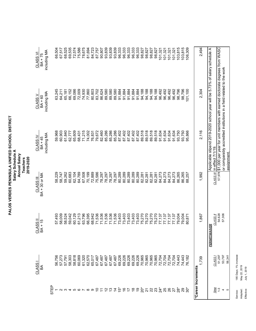| including MA<br>CLASS VI<br>BA + 75<br>including MA<br><b>CLASSV</b><br>BA + 60 |      | 66,504<br>63,245 | 67,517<br>64,211 | 68,525<br>65,181 | 69,535<br>66,152 | 72,574<br>69,086 | 75,586<br>72,009 | 78,675<br>74,930          | 81,694<br>77,860 | 84,723<br>80,803 | 87,757<br>83,702 | 90,807<br>86,624           | 93,839<br>89,580 | 93,839<br>89,580 | 93,839<br>89,580 | 96,333<br>91,884 | 96,333<br>91,884 | 96,333<br>91,884 | 96,333<br>91,884 | 96,333<br>91,884 | 98,827<br>94,188 | 98,827<br>94,188 | 98,827<br>94,188 | 98,827<br>94,188 | 101,321<br>96,492 | 101,321<br>96,492 | 101,321<br>96,492 | 101,321<br>96,492 | 103,815<br>98,796 | 103,815<br>98,796 | 106,309<br>01,100 |                    | 2,494<br>2,304 | Applicable stipend 2019-2020 school year will be 5.73% of salary schedule A |                  | 57,978 \$1,000 per year for unit members with earned doctorate degrees from WASC |                                                                      |            |
|---------------------------------------------------------------------------------|------|------------------|------------------|------------------|------------------|------------------|------------------|---------------------------|------------------|------------------|------------------|----------------------------|------------------|------------------|------------------|------------------|------------------|------------------|------------------|------------------|------------------|------------------|------------------|------------------|-------------------|-------------------|-------------------|-------------------|-------------------|-------------------|-------------------|--------------------|----------------|-----------------------------------------------------------------------------|------------------|----------------------------------------------------------------------------------|----------------------------------------------------------------------|------------|
| including MA<br><b>CLASS IV</b><br>BA + 45                                      |      | 59,968           | 60,903           | 61,840           | 62,777           | 65,609           | 68,431           | 71,215                    | 74,002           | 76,831           | 79,672           | 82,460                     | 85,286           | 85,286           | 85,286           | 87,402           | 87,402           | 87,402           | 87,402           | 87,402           | 89,518           | 89,518           | 89,518           | 89,518           | 91,634            | 91,634            | 91,634            | 91,634            | 93,750            | 93,750            | 95,866            |                    | 2,116          |                                                                             | in effect 7/1/19 |                                                                                  | or comparably accredited institutions in a field related to the work |            |
| BA + 30 or MA<br><b>CLASS III</b>                                               |      | 58,229           | 58,747           | 59,262           | 60,683           | 62,104           | 64,789           | 67,508                    | 70,199           | 72,889           | 75,586           | 78,297                     | 78,297           | 78,297           | 78,297           | 80,289           | 80,289           | 80,289           | 80,289           | 80,289           | 82,281           | 82,281           | 82,281           | 82,281           | 84,273            | 84,273            | 84,273            | 84,273            | 86,265            | 86,265            | 88,257            |                    | 1,992          |                                                                             | CLASS III        |                                                                                  |                                                                      | assignment |
| CLASS <sub>II</sub><br>BA + 15                                                  |      | 57,493           | 58,009           | 58,524           | 59,042           | 60,129           | 61,213           | 63,796                    | 66,395           | 68,942           | 71,536           | 71,536                     | 71,536           | 71,536           | 71,536           | 73,403           | 73,403           | 73,403           | 73,403           | 73,403           | 75,270           | 75,270           | 75,270           | 75,270           | 77,137            | 77,137            | 77,137            | 77,137            | 79,004            | 79,004            | 80,871            |                    | 1,867          | <b>PERMIT/WAIVER</b>                                                        | <b>CLASS II</b>  | 54,628                                                                           | 57,306                                                               |            |
| CLASS<br>Ка                                                                     |      | 56,756           | 57,273           | 57,791           | 58,303           | 58,818           | 60,069           | 61,320                    | 62,570<br>65,017 |                  | 67,487           | 67,487<br>67,487<br>67,487 |                  |                  | 67,487           |                  | 69,226<br>69,226 | 69,226           | 69,226           | 69,226<br>70,965 |                  | 70,965           | 70,965           | 70,965           | 72,704            | 72,704            |                   | 72,704<br>72,704  | 74,443            | 74,443<br>76,182  |                   |                    | 1,739          |                                                                             | CLASS            | 51,297                                                                           | 53,797                                                               | 56,341     |
|                                                                                 | STEP |                  |                  |                  |                  |                  |                  | 4567890723はばそれやねがかひみがあみみが |                  |                  |                  |                            |                  |                  |                  |                  |                  |                  |                  |                  |                  |                  |                  |                  |                   |                   |                   |                   |                   |                   |                   | *Career Increments |                |                                                                             | Step             | $1\overline{3}$                                                                  | 4                                                                    |            |

185 Days; 1% increase<br>May 22, 2019<br>July 1, 2019 Service: 185 Days; 1% increase Adopted: May 22, 2019 Effective: July 1, 2019 Service:<br>Adopted:<br>Effective: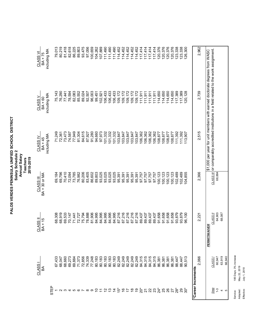|                            |              |                                                                                            |               |                                 | 66,940                               |                             |
|----------------------------|--------------|--------------------------------------------------------------------------------------------|---------------|---------------------------------|--------------------------------------|-----------------------------|
|                            |              |                                                                                            |               | 68,087                          | 63,919                               | 46                          |
|                            |              |                                                                                            | 68,884        | 64,903                          | 60,947                               | $1-3$                       |
|                            |              | CLASS III or comparably accredited institutions in a field related to the work assignment. |               | CLASS <sub>II</sub>             | CLASS <sub>1</sub>                   | Step                        |
|                            |              | \$1,000 per year for unit members with earned doctorate degrees from WASC                  |               | <b>AIVER</b><br><b>PERMIT/W</b> |                                      |                             |
| 2,962                      | 2,739        | 2,515                                                                                      | 2,366         | 2,221                           | 2,066                                |                             |
|                            |              |                                                                                            |               |                                 |                                      | *Career Increments          |
| 126,300                    | 20,128       | 113,907                                                                                    | 04,855        | 96,100                          | 90,513                               |                             |
| 123,338                    | 117,389      | 111,392                                                                                    | 02,489        | 93,879                          | 88,447                               |                             |
| 123,338                    | 117,389      | 111,392                                                                                    | 102,489       | 93,879                          | 88,447                               | 2345678901234がそれほねがかいごだかみかか |
| 120,376                    | 114,650      | 108,877                                                                                    | 00,123        | 91,658                          | 86,381                               |                             |
| 120,376                    | 114,650      | 108,877                                                                                    | 00,123        | 91,658                          |                                      |                             |
| 120,376                    | 114,650      | 108,877                                                                                    | 100,123       | 91,658                          | 86,381<br>86,381<br>86,381           |                             |
| 120,376                    | 114,650      | 108,877                                                                                    | 100,123       | 91,658                          |                                      |                             |
| 117,414                    | 111,911      | 106,362                                                                                    | 97,757        | 89,437                          | 84,315                               |                             |
|                            | 111,911      | 106,362                                                                                    | 97,757        | 89,437                          |                                      |                             |
| 117,414<br>117,414         | 111,911      | 106,362                                                                                    | 97,757        | 89,437                          | 84,315<br>84,315                     |                             |
| 117,414                    | 111,911      | 106,362                                                                                    | 97,757        | 89,437                          | 84,315                               |                             |
| 114,452                    | 109,172      | 103,847                                                                                    | 95,391        | 87,216                          | 82,249                               |                             |
| 114,452                    | 109,172      | 103,847                                                                                    | 95,391        | 87,216                          |                                      |                             |
| 114,452                    | 109,172      | 103,847                                                                                    | 95,391        | 87,216                          | 82,249<br>82,249<br>82,249           |                             |
| 114,452                    | 109,172      | 103,847                                                                                    | 95,391        | 87,216                          |                                      |                             |
| 114,452                    | 109,172      | 103,847                                                                                    | 95,391        | 87,216                          | 82,249                               |                             |
| 111,490                    | 106,433      | 101,332                                                                                    | 93,025        | 84,995                          | 80,183<br>80,183                     |                             |
| 111,490                    | 106,433      | 101,332                                                                                    | 93,025        | 84,995                          |                                      |                             |
| 111,490                    | 106,433      | 101,332                                                                                    | 93,025        | 84,995                          | 80,183                               |                             |
| 107,889                    | 102,921      | 97,973                                                                                     | 93,025        | 84,995                          | 80,183                               |                             |
| 104,262                    | 99,451       | 94,660                                                                                     | 89,803        | 84,995                          | 80,183                               |                             |
| 100,659                    | 96,003       | 91,280                                                                                     | 86,602        | 81,906                          | 77,248                               |                             |
| 97,056                     | 92,507       | 87,927                                                                                     | 83,405        | 78,888                          | 69,884<br>71,373<br>72,856<br>74,339 |                             |
| 93,475                     | 89,024       | 84,615                                                                                     | 80,206        | 75,794                          |                                      |                             |
| 89,803                     | 85,552       | 81,304                                                                                     | 76,982        | 72,727                          |                                      |                             |
| 86,225                     | 82,083       | 77,949                                                                                     | 73,785        | 71,441                          |                                      |                             |
| 82,618                     | 78,594       | 74,587                                                                                     | 72,094        | 70,147                          | 69,273                               |                             |
| 81,418                     | 77,441       | 73,473                                                                                     | 70,410        | 69,533                          | 68,660                               |                             |
| 80,219                     | 76,290       | 72,361                                                                                     | 69,796        | 68,919                          | 68,047                               |                             |
| 79,013                     | 75,143       | 71,249                                                                                     | 69,184        | 68,308                          |                                      |                             |
|                            |              |                                                                                            |               |                                 |                                      | STEP                        |
| including MA               | including MA | including MA                                                                               |               |                                 |                                      |                             |
| <b>CLASS VI</b><br>BA + 75 | BA + 60      | BA + 45                                                                                    | BA + 30 or MA | BA + 15                         | ВA                                   |                             |
|                            | CLASS V      | CLASS IV                                                                                   | CLASS III     | CLASS II                        | CLASS <sub>I</sub>                   |                             |

185 Days; 3% increase<br>May 22, 2019<br>July 1, 2018 Service: 185 Days; 3% increase Adopted: May 22, 2019 Service:<br>Adopted:<br>Effective:

Effective: July 1, 2018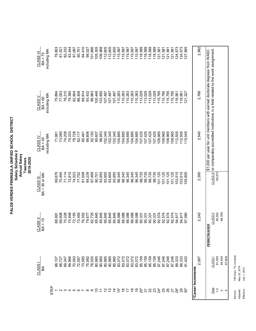|                    | CLASS I                    | CLASS II             | CLASS III     | CLASS IV     | CLASS <sub>V</sub>                                                                         | CLASS VI     |
|--------------------|----------------------------|----------------------|---------------|--------------|--------------------------------------------------------------------------------------------|--------------|
|                    | ВÁ                         | BA + 15              | BA + 30 or MA | BA + 45      | $BA + 60$                                                                                  | BA + 75      |
|                    |                            |                      |               | including MA | including MA                                                                               | including MA |
| STEP               |                            |                      |               |              |                                                                                            |              |
|                    |                            | 68,991               | 69,876        | 71,961       | 75,894                                                                                     | 79,803       |
|                    | 68,107<br>68,727           | 69,608               | 70,494        | 73,085       | 77,053                                                                                     | 81,021       |
|                    | 69,347                     | 70,228               | 71,114        | 74,208       | 78,215                                                                                     | 82,232       |
|                    | 69,966                     | 70,848               | 72,815        | 75,333       | 79,380                                                                                     | 83,444       |
|                    |                            | 72,155               | 74,523        | 78,728       | 82,904                                                                                     | 87,087       |
|                    | 70,583<br>72,087<br>73,585 | 73,454               | 77,752        | 82,117       | 86,408                                                                                     | 90,701       |
|                    |                            | 76,552               | 81,008        | 85,461       | 89,914                                                                                     | 94,410       |
|                    | 75,082                     | 79,677               | 84,239        | 88,806       | 93,432                                                                                     | 98,027       |
| $\circ$            | 78,020                     | 82,725               | 87,468        | 92,193       | 96,963                                                                                     | 101,666      |
|                    | 80,985                     | 85,845               | 90,701        | 95,607       | 100,446                                                                                    | 105,305      |
|                    | 80,985                     | 85,845               | 93,955        | 98,953       | 103,950                                                                                    | 108,968      |
|                    | 80,985                     | 85,845               | 93,955        | 102,345      | 107,497                                                                                    | 112,605      |
|                    | 80,985                     | 85,845               | 93,955        | 102,345      | 107,497                                                                                    | 112,605      |
|                    | 80,985                     | 85,845               | 93,955        | 102,345      | 107,497                                                                                    | 112,605      |
|                    | 83,072                     | 88,088               | 96,345        | 104,885      | 110,263                                                                                    | 115,597      |
|                    | 83,072<br>83,072<br>83,072 | 88,088               | 96,345        | 104,885      | 110,263                                                                                    | 115,597      |
|                    |                            | 88,088               | 96,345        | 104,885      | 110,263                                                                                    | 115,597      |
|                    |                            | 88,088               | 96,345        | 104,885      | 110,263                                                                                    | 115,597      |
|                    | 83,072                     | 88,088               | 96,345        | 104,885      | 110,263                                                                                    | 115,597      |
|                    | 85,159                     | 90,331               | 98,735        | 107,425      | 113,029                                                                                    | 118,589      |
|                    | 85,159                     | 90,331               | 98,735        | 107,425      | 113,029                                                                                    | 118,589      |
|                    | 85,159                     | 90,331               | 98,735        | 107,425      | 113,029                                                                                    | 118,589      |
|                    | 85,159                     | 90,331               | 98,735        | 107,425      | 113,029                                                                                    | 118,589      |
|                    | 87,246                     | 92,574               | 101,125       | 109,965      | 115,795                                                                                    | 121,581      |
|                    | 87,246                     | 92,574               | 101,125       | 109,965      | 115,795                                                                                    | 121,581      |
|                    | 87,246                     | 92,574               | 101,125       | 109,965      | 115,795                                                                                    | 121,581      |
|                    | 87,246                     | 92,574               | 101,125       | 109,965      | 115,795                                                                                    | 121,581      |
| $28^*$             | 89,333                     | 94,817               | 103,515       | 112,505      | 118,561                                                                                    | 124,573      |
| ని స్టే            | 89,333                     | 94,817               | 103,515       | 112,505      | 118,561                                                                                    | 124,573      |
|                    | 91,420                     | 97,060               | 105,905       | 115,045      | 121,327                                                                                    | 127,565      |
| *Career Increments |                            |                      |               |              |                                                                                            |              |
|                    | 2,087                      | 2,243                | 2,390         | 2,540        | 2,766                                                                                      | 2,992        |
|                    |                            | <b>PERMIT/WAIVER</b> |               |              | \$1,000 per year for unit members with earned doctorate degrees from WASC                  |              |
| Step               | CLASS <sub>1</sub>         | CLASS II             |               |              | CLASS III or comparably accredited institutions in a field related to the work assignment. |              |
| $1 - 3$            | 61,556                     | 65,552               | 69,573        |              |                                                                                            |              |
| 4                  | 64,558                     | 68,768               |               |              |                                                                                            |              |
| LO                 | 67,609                     |                      |               |              |                                                                                            |              |

185 Days; 1% increase<br>May 22, 2019<br>July 1, 2019 Service: 185 Days; 1% increase Adopted: May 22, 2019 Service:<br>Adopted:<br>Effective:

Effective: July 1, 2019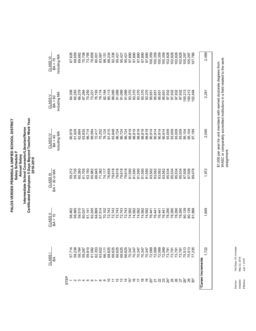# Annual Salary<br>Intermediate School Counselor/Librarian/Nurse<br>Certificated Employees 5 Days Beyond Teacher Work Year<br>2018-2019 PALOS VERDES PENINSULA UNIFIED SCHOOL DISTRICT<br>Salary Schedule F **Certificated Employees 5 Days Beyond Teacher Work Year PALOS VERDES PENINSULA UNIFIED SCHOOL DISTRICT Intermediate School Counselor/Librarian/Nurse Salary Schedule F Annual Salary 2018-2019**

| 2,469                                | 2,281                                   | 2,095                                                                                 | 1,972                                                   | 1,849                                                    | 1,722                           |                                 |
|--------------------------------------|-----------------------------------------|---------------------------------------------------------------------------------------|---------------------------------------------------------|----------------------------------------------------------|---------------------------------|---------------------------------|
|                                      |                                         |                                                                                       |                                                         |                                                          |                                 | *Career Increments              |
|                                      |                                         |                                                                                       |                                                         |                                                          |                                 |                                 |
| 107,766                              | 102,494                                 | 97,199                                                                                | 89,478                                                  | 81,988                                                   |                                 |                                 |
| 105,297                              | 100,213                                 | 95,104                                                                                | 87,506                                                  | 80,139                                                   |                                 |                                 |
| 105,297                              | 100,213                                 | 95,104                                                                                | 87,506                                                  | 80,139                                                   |                                 |                                 |
| 102,828                              |                                         |                                                                                       |                                                         |                                                          |                                 |                                 |
| 102,828                              | 97,932<br>97,932                        | $\begin{array}{l} 774000000 \\ -0.5000000 \\ -0.5000000 \\ -0.5000000 \\ \end{array}$ | 85,534<br>85,534<br>85,534                              | 78,290<br>78,290<br>78,290<br>78,290                     |                                 |                                 |
| 102,828                              |                                         |                                                                                       |                                                         |                                                          |                                 |                                 |
| 102,828                              | 97,932<br>97,932                        |                                                                                       | 85,534                                                  |                                                          |                                 |                                 |
| 100,359                              | 95,651                                  |                                                                                       | 83,562                                                  | 76,441                                                   |                                 |                                 |
| 100,359                              | 95,651                                  |                                                                                       | 83,562                                                  | 76,441                                                   |                                 |                                 |
| 100,359                              | 95,651                                  |                                                                                       |                                                         | 76,441                                                   |                                 |                                 |
| 100,359                              |                                         |                                                                                       |                                                         |                                                          |                                 |                                 |
|                                      | 93,370<br>95,651                        |                                                                                       |                                                         |                                                          |                                 |                                 |
|                                      | 93,370                                  |                                                                                       |                                                         |                                                          |                                 |                                 |
|                                      | 93,370                                  |                                                                                       |                                                         |                                                          |                                 |                                 |
|                                      | 93,370                                  |                                                                                       |                                                         |                                                          |                                 |                                 |
|                                      | 93,370                                  |                                                                                       | 590<br>ភូមិ 590<br>ស. 590<br>ស. 590<br>ស. 562<br>ស. 562 | 74,592<br>74,592<br>74,592<br>74,592<br>74,592<br>74,592 |                                 |                                 |
| 95,421                               | 91,089                                  |                                                                                       |                                                         |                                                          |                                 |                                 |
|                                      |                                         |                                                                                       |                                                         |                                                          |                                 |                                 |
| 33<br>335<br>30.3427<br>35.427       | 85,113<br>88,085<br>91,089<br>91,089    |                                                                                       | $74,717\n76,856\n79,676\n79,678\n79,678\n79,678$        | 70,102<br>72,743<br>72,743<br>72,743<br>72,743           |                                 |                                 |
|                                      |                                         |                                                                                       |                                                         |                                                          |                                 |                                 |
|                                      |                                         |                                                                                       |                                                         |                                                          |                                 |                                 |
| 86,151                               | 82,164                                  |                                                                                       |                                                         |                                                          |                                 |                                 |
| 83,067                               | 79,174                                  |                                                                                       | 71,382                                                  | 67,514                                                   |                                 |                                 |
| 80,001                               |                                         |                                                                                       | 68,645                                                  | 64,869                                                   |                                 |                                 |
|                                      |                                         |                                                                                       |                                                         |                                                          |                                 |                                 |
|                                      | 67,264<br>70,250<br>73,221<br>76,193    |                                                                                       |                                                         |                                                          |                                 |                                 |
|                                      |                                         |                                                                                       |                                                         |                                                          |                                 |                                 |
| 69,682<br>70,708<br>73,795<br>76,859 | 66,279                                  |                                                                                       | 59,212<br>59,7360<br>59,050,508<br>59,050,60<br>59,060  | 59,510<br>60,037<br>61,141<br>62,245                     |                                 | 2345678901212は付いわけおりがおおおおみかかかる。 |
| 68,659                               | 65,293                                  |                                                                                       |                                                         | 58,985                                                   |                                 |                                 |
| 67,626                               | 64,308                                  |                                                                                       |                                                         | 58,462                                                   |                                 |                                 |
|                                      |                                         |                                                                                       |                                                         |                                                          |                                 | STEP                            |
| including MA                         | including MA                            | including MA                                                                          |                                                         |                                                          |                                 |                                 |
| BA + 75                              | $\frac{\text{CLASS V}}{\text{BA} + 60}$ | $\frac{CLASSIV}{BA+45}$                                                               | BA + 30 or MA                                           | $BA + 15$                                                | $rac{\text{CLASSI}}{\text{BA}}$ |                                 |
| <u>CLASS VI</u>                      |                                         |                                                                                       | <b>CLASS III</b>                                        | <b>CLASS II</b>                                          |                                 |                                 |

\$1,000 per year for unit members with earned doctorate degrees from<br>WASC or comparably accredited institutions in a field related to the work<br>assignment. WASC or comparably accredited institutions in a field related to the work \$1,000 per year for unit members with earned doctorate degrees from assignment.

> 190 Days; 3% increase<br>May 22, 2019 Service: 190 Days; 3% increase Adopted: May 22, 2019 July 1, 2018 Effective: July 1, 2018 Adopted: Effective: Service: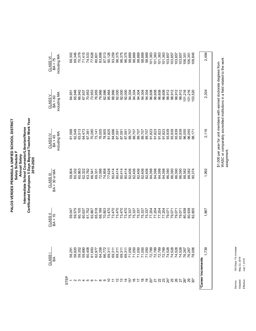# Annual Salary<br>Intermediate School Counselor/Librarian/Nurse<br>Certificated Employees 5 Days Beyond Teacher Work Year<br>2019-2020 PALOS VERDES PENINSULA UNIFIED SCHOOL DISTRICT<br>Salary Schedule F **Certificated Employees 5 Days Beyond Teacher Work Year PALOS VERDES PENINSULA UNIFIED SCHOOL DISTRICT Intermediate School Counselor/Librarian/Nurse Salary Schedule F Annual Salary 2019-2020**

| 2,494                                           | 2,304                                                  | 2,116                                    | 1,992                                                                                                                                                                                                                                                             | 1,867                                                    | ,739         | *Career Increments            |
|-------------------------------------------------|--------------------------------------------------------|------------------------------------------|-------------------------------------------------------------------------------------------------------------------------------------------------------------------------------------------------------------------------------------------------------------------|----------------------------------------------------------|--------------|-------------------------------|
|                                                 |                                                        |                                          |                                                                                                                                                                                                                                                                   |                                                          |              |                               |
| 108,845                                         | 103,520                                                | 98,171                                   | 90,374                                                                                                                                                                                                                                                            | 80,938<br>82,805                                         |              |                               |
| 106,351                                         | 101,216                                                | 96,055                                   | 88,382                                                                                                                                                                                                                                                            |                                                          |              |                               |
| 106,351                                         | 101,216                                                | 96,055                                   | 88,382                                                                                                                                                                                                                                                            | 80,938                                                   |              |                               |
| 103,857                                         | 98,912                                                 | 93,939                                   | 86,390                                                                                                                                                                                                                                                            | 79,071                                                   |              |                               |
| 103,857                                         | 98,912                                                 |                                          |                                                                                                                                                                                                                                                                   |                                                          |              | 2345678907におはばそれほりがみひみがあめみがのか |
| 103,857                                         | 98,912                                                 |                                          |                                                                                                                                                                                                                                                                   |                                                          |              |                               |
|                                                 | 98,912                                                 | 01,823<br>03,939<br>03,939<br>03,939     |                                                                                                                                                                                                                                                                   | 77,204<br>79,071<br>79,071<br>79,071<br>79,071           |              |                               |
| 101,363<br>103,857                              | 96,608                                                 |                                          |                                                                                                                                                                                                                                                                   |                                                          |              |                               |
|                                                 | 96,608                                                 | 91,823                                   | 398<br>3980<br>35990<br>3598<br>36988                                                                                                                                                                                                                             |                                                          |              |                               |
|                                                 | 96,608                                                 |                                          | 84,398                                                                                                                                                                                                                                                            | 77,204<br>77,204                                         |              |                               |
| $\frac{101,363}{101,363}$                       |                                                        |                                          |                                                                                                                                                                                                                                                                   |                                                          |              |                               |
|                                                 |                                                        |                                          |                                                                                                                                                                                                                                                                   |                                                          |              |                               |
|                                                 |                                                        |                                          |                                                                                                                                                                                                                                                                   |                                                          |              |                               |
| 869<br>8688<br>98.869<br>98.869                 |                                                        |                                          |                                                                                                                                                                                                                                                                   |                                                          |              |                               |
|                                                 |                                                        |                                          |                                                                                                                                                                                                                                                                   |                                                          |              |                               |
| 98,869                                          | 4 4 4 4 4 9<br>6 6 6 6 6 6<br>5 4 5 6 6<br>5 6 6 6 6 6 |                                          |                                                                                                                                                                                                                                                                   | 75,337<br>75,337<br>75,337<br>75,337<br>77,204<br>77,204 |              |                               |
| 96,375                                          | 92,000                                                 |                                          |                                                                                                                                                                                                                                                                   | 73,470                                                   |              |                               |
|                                                 |                                                        |                                          |                                                                                                                                                                                                                                                                   |                                                          |              |                               |
| 898<br>63,012<br>63,012<br>69,05,05<br>69,05,05 | 85,964<br>88,966<br>92,000<br>92,000                   |                                          |                                                                                                                                                                                                                                                                   | 70,803<br>73,4770<br>73,4770<br>77,4770<br>77,4770       |              |                               |
|                                                 |                                                        |                                          |                                                                                                                                                                                                                                                                   |                                                          |              |                               |
|                                                 |                                                        |                                          |                                                                                                                                                                                                                                                                   |                                                          |              |                               |
|                                                 | 82,986                                                 |                                          |                                                                                                                                                                                                                                                                   |                                                          |              |                               |
|                                                 | 79,966                                                 |                                          |                                                                                                                                                                                                                                                                   | 68,189                                                   |              |                               |
| 80,801                                          | 76,955                                                 |                                          |                                                                                                                                                                                                                                                                   |                                                          |              |                               |
| 77,628                                          | 73,953                                                 |                                          |                                                                                                                                                                                                                                                                   |                                                          |              |                               |
| 74,533                                          | 67,937<br>70,953                                       |                                          |                                                                                                                                                                                                                                                                   | 60,637<br>61,752<br>62,867<br>65,518                     |              |                               |
|                                                 |                                                        |                                          |                                                                                                                                                                                                                                                                   |                                                          |              |                               |
| 69,346<br>70,379<br>71,415                      | 66,942                                                 |                                          | $\begin{array}{l} 29.808 & 20.808 & 20.808 & 20.808 & 20.808 & 20.808 & 20.808 & 20.808 & 20.808 & 20.808 & 20.808 & 20.808 & 20.808 & 20.808 & 20.808 & 20.808 & 20.808 & 20.808 & 20.808 & 20.808 & 20.808 & 20.808 & 20.808 & 20.808 & 20.808 & 20.808 & 20.8$ | 60,105                                                   |              |                               |
|                                                 | 65,946                                                 |                                          |                                                                                                                                                                                                                                                                   | 59,575                                                   |              |                               |
| 68,302                                          | 64,951                                                 | 61,588                                   |                                                                                                                                                                                                                                                                   | 59,047                                                   |              |                               |
|                                                 |                                                        |                                          |                                                                                                                                                                                                                                                                   |                                                          |              | <b>STEP</b>                   |
| including MA                                    | including MA                                           | including MA                             |                                                                                                                                                                                                                                                                   |                                                          |              |                               |
| BA + 75                                         | $\frac{\text{CLASS V}}{\text{BA} + 60}$                | $\frac{\text{CLASS IV}}{\text{BA} + 45}$ | <b>BA + 30 or MA</b>                                                                                                                                                                                                                                              | CLASS II<br>BA + 15                                      | ВÁ           |                               |
| <u>CLASS VI</u>                                 |                                                        |                                          | <b>CLASS III</b>                                                                                                                                                                                                                                                  |                                                          | <b>CLASS</b> |                               |

\$1,000 per year for unit members with earned doctorate degrees from<br>WASC or comparably accredited institutions in a field related to the work<br>assignment. WASC or comparably accredited institutions in a field related to the work \$1,000 per year for unit members with earned doctorate degrees from assignment.

> 190 Days; 1% increase<br>May 22, 2019 Service: 190 Days; 1% increase Adopted: May 22, 2019 July 1, 2019 Effective: July 1, 2019 Adopted: Effective: Service: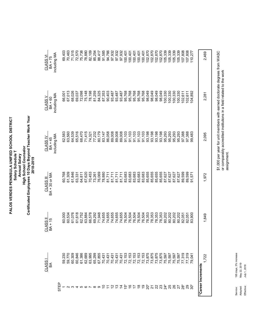Certificated Employees 10 Days Beyond Teacher Work Year **Certificated Employees 10 Days Beyond Teacher Work Year** PALOS VERDES PENINSULA UNIFIED SCHOOL DISTRICT **PALOS VERDES PENINSULA UNIFIED SCHOOL DISTRICT High School Counselor High School Counselor** Salary Schedule T **Salary Schedule T** Annual Salary **Annual Salary**

**2018-2019**

2018-2019

 $\begin{array}{l} 100,401\\ 100,401\\ 100,401\\ 100,401\\ 100,401\\ 100,401\\ 100,401\\ 100,800\\ 100,800\\ 100,800\\ 100,800\\ 100,300\\ 100,300\\ 100,300\\ 100,300\\ 100,300\\ 100,300\\ 100,300\\ 100,300\\ 100,300\\ 100,300\\ 100,300\\ 100,300\\ 100,3$ 69,403 70,463 71,515  $757888887778868332$ <br> $75887777887788778332$ <br> $75887775868778332$ <br> $75888877788877832$ 100,401 105,339 107,808 107,808<br>110,277 1 59,000 60,000 60,000 60,000 60,000 60,000 60,000 60,000 60,000 60,000 60,000 60,000 60,000 60,000 60,000 60, 2 59,770 60,534 61,309 63,560 67,013 70,463 3 60,309 61,076 61,846 64,539 68,026 71,515 4 60,846 61,618 63,331 65,516 69,037 72,570 5 61,386 62,752 64,811 68,470 72,098 75,738 6 62,689 63,884 67,620 71,415 75,148 78,880 7 63,995 66,578 66,578 74,321 74,321 74,321 78,198 82,109 82,109 8 65,299 69,292 73,261 77,232 81,259 85,254 9 67,855 87,855 71,948 76,069 80,069 76,069 80,069 71,948 88,417 10 70,431 74,655 78,880 83,147 87,353 91,585 11 90,470,100 90,050 90,050 90,050 90,050 90,050 90,050 90,050 90,050 90,050 90,050 90,050 90,050 90,050 90,050 90,050 90,050 90,050 90,050 90,050 90,050 90,050 90,050 90,050 90,050 90,050 90,050 90,050 90,050 90,050 90,050 12 70,487 93,4855 89,008 99,008 89,008 89,008 99,008 89,008 94,057 11 13 70,70,487 93,485 93,0008 93,0008 80,0008 80,0008 94,057 11 87,711 87,711 97,000 14 70,710,710 89,0008 99,0008 81,711 81,711 81,711 81,711 81,710 81,8487 93,722 20\* 73,875 78,353 85,655 93,198 98,049 102,870 21 73,875 78,353 85,655 93,198 98,049 102,870 22 73,875 78,353 85,655 93,198 98,049 102,870 23 73,875 78,353 85,655 93,198 98,049 102,870 24\* 75,597 80,202 87,627 95,293 100,330 105,339 25 75,597 80,202 87,627 95,293 100,330 105,339 26 75,597 80,202 87,627 95,293 100,330 105,339 27 75,597 80,202 87,627 95,293 100,330 105,339 28\* 77,319 97,319 97,319 97,388 97,388 97,388 97,388 97,388 97,388 97,388 97,319 97,410 97,511 97,511 97,511 9 20 102,007,007 92,009,008 92,009,009,009 92,009,009 92,009,009 92,009,009 92,009 92,000 92,000 92,000 92,000 9 20.01 92,088,101 92,089,100 92,089,000 92,000 92,000 93,000 93,000 93,000 93,000 93,000 93,000 93,00 2,469 15\* 72,153 76,504 83,683 91,103 95,768 100,401 16 72,153 76,504 83,683 91,103 95,768 100,401 17 12,153 95,153 95,504 95,504 95,504 96,504 96,504 96,504 96,768 96,768 96,768 96,768 96,768 96,768 96,768 96 18 18 191,103 95,153 95,504 95,504 95,504 96,504 96,504 96,504 96,504 96,504 96,504 96,768 96,768 96,768 96,768 19 72,153 76,504 83,683 91,103 95,768 100,401 1,722 1,849 1,972 2,095 2,281 2,469 including MA including MA CLASS VI CLASS VI BA + 75 84,325<br>87,353<br>90,403 98,049 98,049 67,013 72,098<br>75,148 78,198 81,259 93,487 93,487 93,487 95,768 95,768 95,768 95,768 95,768 98,049 98,049 00,330 100,330 100,330 100,330 68,026 69,037 102.611 102,611 04,892 66,001 2,281 including MA including MA **CLASS V** CLASS V BA + 60 71,415 86,058<br>89,008 91,103<br>91,103<br>91,103 65,516 80,179 89,008 89,008 93,198 93,198 93,198 93,198 95,293 95,293 95,293 62,583 63,560 64,539 68,470 74,321 77,232 83,147 91,103 91,103 95,293 97,388 97,388 99,483 2,095 including MA including MA CLASS IV **CLASS IV** BA + 45 83<br>683<br>83683<br>83688 85,655 61,846 70,453 76,069 78,880<br>81,711 85,655 85,655 85,655 89,599 50,768 61,309 63,331 64,811<br>67,620 73,261 81,711<br>81,711 81,711 87,627 87,627 87,627 87,627 89,599<br>91,571 1,972 BA + 30 or MA BA + 30 or MA **CLASS III** CLASS III 61,618 66,578 71,948 74,655 74,655 74,655 74,655 74,655 76,504 76,504<br>76,504<br>76,504<br>76,504 78,353 78,353 78,353 78,353 80,202 80,202 80,202 61,076 62,752 63,884 69,292 80,202 60,000 60,534 82,051 82,051<br>83,900 1,849 CLASS II **CLASS II** BA + 15 59,230 59,770 60,309 60,846 61,386<br>62,689 63,995 65,299 67,855 72,153 72, 153<br>72, 153<br>72, 153<br>72, 153 73,875 73,875 73,875 73,875 75,597 75,597 75,597 75,597 77,319 77,319 70,431 70,431 70,431 70,431 70,431 79,041 1.722 CLASS<sub>I</sub> CLASS I BA \*Career Increments **\*Career Increments** STEP 4567890700はがおけれるかがいですがある。  $\mathfrak{S}$  $\sim$ 

\$1,000 per year for unit members with earned doctorate degrees from WASC \$1,000 per year for unit members with earned doctorate degrees from WASC or comparably accredited institutions in a field related to the work or comparably accredited institutions in a field related to the work assignment. assignment.

> 195 days, 3% increase Service: 195 days, 3% increase May 22, 2019 Adopted: May 22, 2019 July 1, 2018 Effective: July 1, 2018 Effective: Adopted: Service: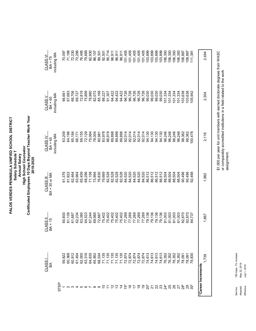Certificated Employees 10 Days Beyond Teacher Work Year **Certificated Employees 10 Days Beyond Teacher Work Year** PALOS VERDES PENINSULA UNIFIED SCHOOL DISTRICT **PALOS VERDES PENINSULA UNIFIED SCHOOL DISTRICT High School Counselor High School Counselor** Salary Schedule T **Salary Schedule T** Annual Salary **Annual Salary**

**2019-2020**

2019-2020

 $\begin{array}{l} 1,4,4,6,6\\ 7,4,4,6,6\\ 8,6,6,6\\ 9,6,7,6,8\\ 9,8,8,8\\ 9,8,8,8\\ 9,8,8,8\\ 9,8,8,8\\ 9,8,8,8\\ 9,8,8,8\\ 9,8,8,8\\ 9,8,8,8\\ 9,8,8,8\\ 9,8,8,8\\ 9,8,8,8\\ 9,8,8,8\\ 9,8,8,8\\ 9,8,8,8\\ 9,8,8,8\\ 9,8,8,8\\ 9,8,8,8\\ 9,8,8,8\\ 9,8,8,8\\$ 70,097 71,168 72,230  $\begin{array}{l} 7.7500 \\ 7.7700 \\ 8.7700 \\ 1.7700 \\ 1.7700 \\ 1.7700 \\ 1.7700 \\ 1.7700 \\ 1.7700 \\ 1.7700 \\ 1.7700 \\ 1.7700 \\ 1.7700 \\ 1.7700 \\ 1.7700 \\ 1.7700 \\ 1.7700 \\ 1.7700 \\ 1.7700 \\ 1.7700 \\ 1.7700 \\ 1.7700 \\ 1.7700 \\ 1.7700 \\ 1.7700 \\ 1.7700 \\ 1.77$ 108,887 111,381 1 59,622 66,661 66,928 63,222 63,223 63,222 66,928 66,099 66,209 66,000 66,000 66,000 66,000 66,000 66,000 66, 2 60,368 61,139 61,922 64,196 67,683 71,168 3 60,912 61,687 62,464 65,184 68,706 72,230 4 61,454 62,234 63,964 66,171 69,727 73,296 5 62,000 63,380 65,459 69,155 72,819 76,495 6 63,316 64,523 68,296 72,129 75,899 79,669 7 64,635 67,244 71,158 75,064 78,980 82,930 8 65,952 69,985 73,994 78,004 82,072 86,107 11 71,135 75,402 82,528 86,919 91,307 95,714 15\* 72,874 77,269 84,520 92,014 96,726 101,405 16 72,874 77,269 84,520 92,014 96,726 101,405 17 72,874 77,269 84,520 92,014 96,726 101,405 18 72,874 77,269 84,520 92,014 96,726 101,405 19 72,874 77,269 84,520 92,014 96,726 101,405 20\* 20\* 74,6130 99,130 99,130 99,130 99,130 99,130 99,130 99,130 99,130 99,130 99,130 99,130 99,130 99,130 99, 21 74,620 99,136 94,136 94,136 94,136 94,136 94,136 94,136 94,136 94,136 95,137 94,138 99,137 99,138 99,138 99 22 74,613 99,136 99,136 99,136 99,130 99,130 99,130 99,130 99,130 99,130 99,130 99,130 99,130 99,130 99,130 99 23 23 24,613 99,136 99,136 86,513 99,130 99,130 99,130 99,130 99,130 99,130 99,130 99,130 99,130 99,130 99,130 24\* 76,0352 88,503 88,504 101,334 107,3352 88,503 88,503 88,503 88,503 88,503 88,503 88 25 76,352 81,003 88,504 96,246 101,334 106,393 26 76,352 81,003 88,504 96,246 101,334 106,393 27 76,352 81,003 88,504 96,246 101,334 106,393 287 82,870 103,892 103,962 103,962 104,964 104,962 104,962 104,962 104,962 104,963 104,094 103,094 109,094 109 298,800 103,000 103,000 900,000 900,000 900,000 900,000 82,870 103,000 82,870 103,000 103,000 103,000 103,000 1 9 68,534 85,168 80,534 85,534 85,534 85,5831 85,168 80,981 85,168 89,501 89,501 89,501 89,501 89,501 89,501 89 10 71,135 75,402 79,669 83,978 88,227 92,501 12 71,135 75,402 82,528 89,898 94,422 98,911 13 71,135 75,402 82,528 89,898 94,422 98,911 14 71,135 94,422 94,4422 94,4422 94,528 99,898 99,898 99,898 94,422 94,422 94,422 94,422 94,422 94,422 94,422 94,422 94,422 94,422 94,422 94,422 94,422 94,422 94,422 94,422 94,422 94,422 94,422 94,422 94,422 94,422 94,422 9 50\* 79,825,100 92,4700 92,4700 92,488 105,1281 1281,1384 105,082 107 92,1381 107 92,1381 108 107 92, 2,494 1,739 1,867 1,992 2,116 2,304 2,494 including MA including MA CLASS VI CLASS VI BA + 75 67,683 68,706 72,819 75,899 78,980 82,072 85,168 91,307 94,422 94,422 94,422 96,726 96,726 96,726 96,726 96,726 99,030 99,030 99,030 99,030 101,334 101,334 101,334 101,334 103,638 69,727 88,227 103,638 105,942 66,661 2,304 including MA including MA **CLASS V** CLASS V BA + 60 86,919 83,978 89,898 89,898 89,898 92,014 92,014 92,014 92,014 94,130 94,130 96,246 96,246 96,246 96,246 53,209 64,196 69,155 72,129 75,064 78,004 92,014 94,130 94,130 98,362 98,362 00,478 65,184 66,171 80,981 2,116 including MA including MA CLASS IV **CLASS IV** BA + 45 8 8 8 8 8 8 8 9 9 9 9 9 1 2 3 5 6<br>8 5 6 6 6 6 6 6 6 6 6 7 8 7 8 7 8 7 8 9<br>8 8 8 9 8 8 7 8 8 9 8 9 8 9 8 9 62,464 65,459 71,158 73,994 76,830 88,504 88,504 88,504 61,376 61,922 63,964 68,296 90,496 90,496 92,488 1,992 BA + 30 or MA BA + 30 or MA **CLASS III** CLASS III 77,269<br>77,269<br>77,269 67,244<br>69,985 75,402 77,269 77,269 79,136 79,136<br>79,136 81,003 81,003 81,003 81,003 60,600 61,139 61,687 62,234 63,380 64,523 72,667 75,402 75,402 75,402 75,402 79,136 82,870 82,870<br>84,737 1,867 CLASS II **CLASS II** BA + 15 60,368 60,912 62,000 63,316 64,635 65,952 68,534 71,135 71,135 71,135 71,135 71,135 72,874 72,874 72,874 72,874 72,874 74,613 74,613 74,613 74,613 76,352 76,352 76,352 76,352 59,822 61,454 79,830 78,091 78,091 1.739 CLASS<sub>I</sub> CLASS I BA \*Career Increments **\*Career Increments** STEP 4567890723はかおわれるかがいとおおおおかか  $\infty$  $\sim$ 

\$1,000 per year for unit members with earned doctorate degrees from WASC \$1,000 per year for unit members with earned doctorate degrees from WASC or comparably accredited institutions in a field related to the work or comparably accredited institutions in a field related to the work assignment. assignment.

> 195 days, 1% increase Service: 195 days, 1% increase May 22, 2019 Adopted: May 22, 2019 July 1, 2019 Effective: July 1, 2019 Effective: Adopted: Service: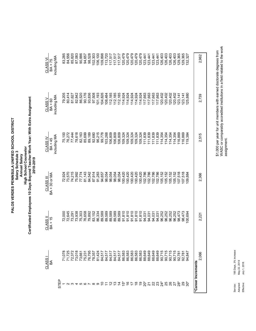PALOS VERDES PENINSULA UNIFIED SCHOOL DISTRICT<br>Salary Schedule 3<br>Annual Salary<br>Certificated Employees 10 Days Beyond Teacher Work Year: With Extra Assignment<br>2018-2019 **PALOS VERDES PENINSULA UNIFIED SCHOOL DISTRICT High School Counselor Salary Schedule 3 Annual Salary**

**Certificated Employees 10 Days Beyond Teacher Work Year: With Extra Assignment 2018-2019**

| CLASS VI<br>BA + 75               | including MA | 83,285           | 84,556 | 85,820 | 87,083 | 90,886 | 94,657 | 98,528 | 102,303                       | 106,100 | 109,898 | 13,720  | 117,517                       | 117,517 | 117,517 | 120,479 | 120,479 | 120,479            | 120,479 | 120,479 | 123,441 | 123,441                                  | 123,441 | 123,441 | 126,403 | 126,403 | 126,403 | 126,403 | 29,365   | 129,365  | 32,327  |                    | 2,962 |  |
|-----------------------------------|--------------|------------------|--------|--------|--------|--------|--------|--------|-------------------------------|---------|---------|---------|-------------------------------|---------|---------|---------|---------|--------------------|---------|---------|---------|------------------------------------------|---------|---------|---------|---------|---------|---------|----------|----------|---------|--------------------|-------|--|
| $CLASSV$<br>$BA + 60$             | including MA | 79,205           | 80,414 | 81,627 | 82,842 | 86,520 | 90,176 | 93,836 | 97,508                        | 101,193 | 104,826 | 108,484 | 112,185<br>112,185<br>112,185 |         |         | 114,924 | 114,924 | 114,924<br>114,924 |         |         |         | 114,924<br>117,663<br>117,663<br>117,663 |         |         | 120,402 | 120,402 | 120,402 | 120,402 | 123, 141 | 123, 141 | 125,880 |                    | 2,739 |  |
| CLASS <sub>IV</sub><br>$BA + 45$  | including MA | 75,100<br>76,272 |        | 77,444 | 78,618 | 82,163 | 85,699 | 89,189 | 92,680                        | 96,215  | 99,778  | 103,268 | 106,809                       | 106,809 | 106,809 | 109,324 | 109,324 | 109,324            | 109,324 | 109,324 | 111,839 | 111,839                                  | 111,839 | 111,839 | 114,354 | 14,354  | 14,354  | 114,354 | 16,869   | 16,869   | 19,384  |                    | 2,515 |  |
| BA + 30 or MA<br><b>CLASS III</b> |              | 72,924           | 73,570 | 74,215 | 75,992 | 77,774 | 81,143 | 84,542 | 87,914                        | 91,283  | 94,657  | 98,054  | 98,054                        | 98,054  | 98,054  | 100,420 | 100,420 | 100,420            | 100,420 | 100,420 | 102,786 | 102,786                                  | 102,786 | 102,786 | 105,152 | 105,152 | 105,152 | 105,152 | 107,518  | 07,518   | 109,884 |                    | 2,366 |  |
| CLASS II<br>$BA + 15$             |              | 72,000           | 72,645 | 73,291 | 73,938 | 75,303 | 76,658 | 79,892 | 83,152                        | 86,334  | 89,589  | 89,589  | 89,589                        | 89,589  | 89,589  | 91,810  | 91,810  | 91,810             | 91,810  | 91,810  | 94,031  | 94,031                                   | 94,031  | 94,031  | 96,252  | 96,252  | 96,252  | 96,252  | 98,473   | 98,473   | 00,694  |                    | 2,221 |  |
| CLASS<br>ЗА                       |              |                  |        |        |        |        |        |        |                               |         |         |         |                               |         |         |         |         |                    |         |         |         |                                          |         |         |         |         |         |         |          |          |         |                    | 2,066 |  |
|                                   | <b>STEP</b>  |                  |        |        |        |        |        |        | 234567890723はかのけねねがいたおおおみがあるか |         |         |         |                               |         |         |         |         |                    |         |         |         |                                          |         |         |         |         |         |         |          |          |         | *Career Increments |       |  |

\$1,000 per year for unit members with earned doctorate degrees from<br>WASC or comparably accredited institutions in a field related to the work<br>assignment. WASC or comparably accredited institutions in a field related to the work \$1,000 per year for unit members with earned doctorate degrees from assignment.

> 195 Days, 3% increase Service: 195 Days, 3% increase May 22, 2019<br>July 1, 2018 Adopted: May 22, 2019 Effective: July 1, 2018 Effective: Adopted: Service: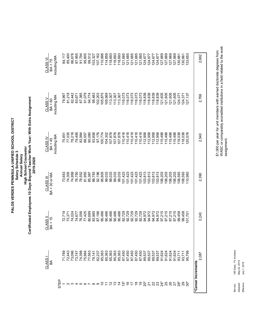PALOS VERDES PENINSULA UNIFIED SCHOOL DISTRICT<br>Salary Schedule 3<br>Annual Salary<br>Certificated Employees 10 Days Beyond Teacher Work Year: With Extra Assignment<br>2019-2020 **PALOS VERDES PENINSULA UNIFIED SCHOOL DISTRICT High School Counselor Salary Schedule 3 Annual Salary**

**Certificated Employees 10 Days Beyond Teacher Work Year: With Extra Assignment 2019-2020**

| CLASS <sub>VI</sub><br>BA + 75    | including MA | 84,117<br>85,400 |        | 86,678 | 87,955 | 91,794                              | 95,605 | 99,512 | 103,327 | 107,162 | 110,998 | 114,859 | 118,693 | 118,693 | 118,693 | 121,685 | 121,685 | 21,685  | 21,685  | 21,685  | 124,677 | 124,677                                                       | 124,677 | 124,677 | 127,669                    | 127,669 | 127,669 | 127,669 | 130,661 | 30,661           | 133,653  |                    |       | 2,992 |
|-----------------------------------|--------------|------------------|--------|--------|--------|-------------------------------------|--------|--------|---------|---------|---------|---------|---------|---------|---------|---------|---------|---------|---------|---------|---------|---------------------------------------------------------------|---------|---------|----------------------------|---------|---------|---------|---------|------------------|----------|--------------------|-------|-------|
| $\frac{CLASSV}{BA+60}$            | including MA | 79,997           | 81,218 | 82,442 | 83,671 | 87,385                              | 91,079 | 94,774 | 98,483  | 102,203 | 105,875 | 109,569 | 113,307 | 113,307 | 113,307 | 116,073 | 116,073 | 116,073 | 116,073 | 116,073 | 118,839 | 118,839                                                       | 118,839 | 118,839 | 121,605                    | 121,605 | 121,605 | 121,605 | 124,371 | 124,371          | 127, 137 |                    |       | 2,766 |
| $\frac{CLASS}{BA+45}$             | including MA | 75,851<br>77,035 |        | 78,218 | 79,406 | 82,984                              | 86,557 | 90,080 | 93,606  | 97,176  | 100,774 | 104,302 | 107,878 | 107,878 | 107,878 | 110,418 | 110,418 | 110,418 |         |         |         | $110,418$<br>$110,418$<br>$112,958$<br>$112,958$<br>$112,958$ |         | 112,958 | 115,498                    | 15,498  | 15,498  | 115,498 | 118,038 | 118,038          | 20,578   |                    |       | 2,540 |
| BA + 30 or MA<br><b>CLASS III</b> |              | 73,653<br>74,305 |        | 74,958 | 76,750 | 78,552                              | 81,955 | 85,387 | 88,793  | 92,196  | 95,605  | 99,033  | 99,033  | 99,033  | 99,033  | 101,423 | 101,423 | 101,423 | 101,423 | 101,423 | 103,813 | 103,813                                                       | 103,813 | 103,813 | 106,203                    | 106,203 | 106,203 | 106,203 | 108,593 | 108,593          | 110,983  |                    | 2,390 |       |
| CLASS II<br>$BA + 15$             |              | 72,719           | 73,371 | 74,024 | 74,677 | 76,056                              | 77,425 | 80,689 | 83,985  | 87,196  | 90,486  | 90,486  | 90,486  | 90,486  | 90,486  | 92,729  | 92,729  | 92,729  | 92,729  | 92,729  | 94,972  | 94,972<br>94,972                                              |         | 94,972  | 97,215<br>97,215<br>97,215 |         |         | 97,215  | 99,458  | 99,458           | 101,701  |                    | 2,243 |       |
| CLASS <sub>I</sub><br>ЗА          |              |                  |        |        |        | 71789<br>7219077<br>721977<br>77777 |        |        |         |         |         |         |         |         |         |         |         |         |         |         |         |                                                               |         |         |                            |         | 91,624  | 91,624  | 93,711  | 93,711<br>95,798 |          |                    | 2,087 |       |
|                                   | <b>STEP</b>  |                  |        |        |        |                                     |        |        |         |         |         |         |         |         |         |         |         |         |         |         |         |                                                               |         |         |                            |         |         |         |         |                  |          | *Career Increments |       |       |

\$1,000 per year for unit members with earned doctorate degrees from<br>WASC or comparably accredited institutions in a field related to the work<br>assignment. WASC or comparably accredited institutions in a field related to the work \$1,000 per year for unit members with earned doctorate degrees from assignment.

> 195 Days, 1% increase Service: 195 Days, 1% increase May 22, 2019<br>July 1, 2019 Adopted: May 22, 2019 Effective: July 1, 2019 Effective: Adopted: Service: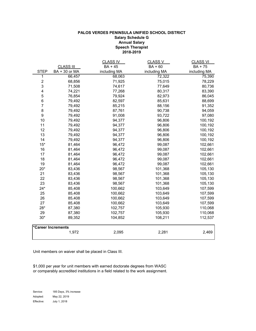### **PALOS VERDES PENINSULA UNIFIED SCHOOL DISTRICT Salary Schedule G Annual Salary Speech Therapist 2018-2019**

|                         |                    | <b>CLASS IV</b> | <b>CLASS V</b> | <b>CLASS VI</b> |
|-------------------------|--------------------|-----------------|----------------|-----------------|
|                         | <b>CLASS III</b>   | BA + 45         | $BA + 60$      | BA + 75         |
| <b>STEP</b>             | BA + 30 or MA      | including MA    | including MA   | including MA    |
| 1                       | 66,457             | 68,063          | 72,322         | 75,390          |
| $\overline{\mathbf{c}}$ | 68,856             | 71,925          | 75,015         | 78,229          |
| 3                       | 71,508             | 74,617          | 77,649         | 80,736          |
| 4                       | 74,221             | 77,268          | 80,317         | 83,390          |
| 5                       | 76,854             | 79,924          | 82,973         | 86,045          |
| 6                       | 79,492             | 82,597          | 85,631         | 88,699          |
| $\boldsymbol{7}$        | 79,492             | 85,215          | 88,156         | 91,352          |
| 8                       | 79,492             | 87,761          | 90,738         | 94,059          |
| $\boldsymbol{9}$        | 79,492             | 91,008          | 93,722         | 97,080          |
| 10                      | 79,492             | 94,377          | 96,806         | 100,192         |
| 11                      | 79,492             | 94,377          | 96,806         | 100,192         |
| 12                      | 79,492             | 94,377          | 96,806         | 100,192         |
| 13                      | 79,492             | 94,377          | 96,806         | 100,192         |
| 14                      | 79,492             | 94,377          | 96,806         | 100,192         |
| $15*$                   | 81,464             | 96,472          | 99,087         | 102,661         |
| 16                      | 81,464             | 96,472          | 99,087         | 102,661         |
| 17                      | 81,464             | 96,472          | 99,087         | 102,661         |
| 18                      | 81,464             | 96,472          | 99,087         | 102,661         |
| 19                      | 81,464             | 96,472          | 99,087         | 102,661         |
| $20*$                   | 83,436             | 98,567          | 101,368        | 105,130         |
| 21                      | 83,436             | 98,567          | 101,368        | 105,130         |
| 22                      | 83,436             | 98,567          | 101,368        | 105,130         |
| 23                      | 83,436             | 98,567          | 101,368        | 105,130         |
| $24*$                   | 85,408             | 100,662         | 103,649        | 107,599         |
| 25                      | 85,408             | 100,662         | 103,649        | 107,599         |
| 26                      | 85,408             | 100,662         | 103,649        | 107,599         |
| 27                      | 85,408             | 100,662         | 103,649        | 107,599         |
| $28*$                   | 87,380             | 102,757         | 105,930        | 110,068         |
| 29                      | 87,380             | 102,757         | 105,930        | 110,068         |
| $30*$                   | 89,352             | 104,852         | 108,211        | 112,537         |
|                         | *Career Increments |                 |                |                 |
|                         | 1,972              | 2,095           | 2,281          | 2,469           |

Unit members on waiver shall be placed in Class III.

\$1,000 per year for unit members with earned doctorate degrees from WASC or comparably accredited institutions in a field related to the work assignment.

Service: 185 Days, 3% increase Adopted: May 22, 2019 Effective: July 1, 2018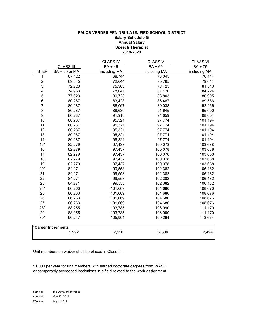### **PALOS VERDES PENINSULA UNIFIED SCHOOL DISTRICT Salary Schedule G Annual Salary Speech Therapist 2019-2020**

|                  |                    | <b>CLASS IV</b> | <b>CLASS V</b> | <b>CLASS VI</b> |
|------------------|--------------------|-----------------|----------------|-----------------|
|                  | <b>CLASS III</b>   | BA + 45         | BA + 60        | BA + 75         |
| <b>STEP</b>      | BA + 30 or MA      | including MA    | including MA   | including MA    |
| 1                | 67,122             | 68,744          | 73,045         | 76,144          |
| $\boldsymbol{2}$ | 69,545             | 72,644          | 75,765         | 79,011          |
| 3                | 72,223             | 75,363          | 78,425         | 81,543          |
| 4                | 74,963             | 78,041          | 81,120         | 84,224          |
| $\,$ 5 $\,$      | 77,623             | 80,723          | 83,803         | 86,905          |
| 6                | 80,287             | 83,423          | 86,487         | 89,586          |
| $\boldsymbol{7}$ | 80,287             | 86,067          | 89,038         | 92,266          |
| 8                | 80,287             | 88,639          | 91,645         | 95,000          |
| $\boldsymbol{9}$ | 80,287             | 91,918          | 94,659         | 98,051          |
| 10               | 80,287             | 95,321          | 97,774         | 101,194         |
| 11               | 80,287             | 95,321          | 97,774         | 101,194         |
| 12               | 80,287             | 95,321          | 97,774         | 101,194         |
| 13               | 80,287             | 95,321          | 97,774         | 101,194         |
| 14               | 80,287             | 95,321          | 97,774         | 101,194         |
| $15*$            | 82,279             | 97,437          | 100,078        | 103,688         |
| 16               | 82,279             | 97,437          | 100,078        | 103,688         |
| 17               | 82,279             | 97,437          | 100,078        | 103,688         |
| 18               | 82,279             | 97,437          | 100,078        | 103,688         |
| 19               | 82,279             | 97,437          | 100,078        | 103,688         |
| $20*$            | 84,271             | 99,553          | 102,382        | 106,182         |
| 21               | 84,271             | 99,553          | 102,382        | 106,182         |
| 22               | 84,271             | 99,553          | 102,382        | 106,182         |
| 23               | 84,271             | 99,553          | 102,382        | 106,182         |
| $24*$            | 86,263             | 101,669         | 104,686        | 108,676         |
| 25               | 86,263             | 101,669         | 104,686        | 108,676         |
| 26               | 86,263             | 101,669         | 104,686        | 108,676         |
| 27               | 86,263             | 101,669         | 104,686        | 108,676         |
| 28*              | 88,255             | 103,785         | 106,990        | 111,170         |
| 29               | 88,255             | 103,785         | 106,990        | 111,170         |
| $30*$            | 90,247             | 105,901         | 109,294        | 113,664         |
|                  | *Career Increments |                 |                |                 |
|                  | 1,992              | 2,116           | 2,304          | 2,494           |

Unit members on waiver shall be placed in Class III.

\$1,000 per year for unit members with earned doctorate degrees from WASC or comparably accredited institutions in a field related to the work assignment.

Service: 185 Days, 1% increase Adopted: May 22, 2019 Effective: July 1, 2019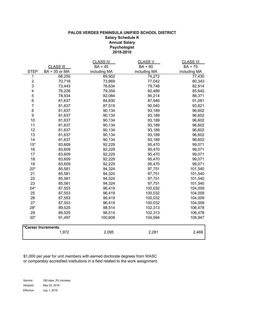### **Psychologist 2018-2019 PALOS VERDES PENINSULA UNIFIED SCHOOL DISTRICT Salary Schedule K Annual Salary**

|                         |                    | <b>CLASS IV</b> | <b>CLASS V</b> | <b>CLASS VI</b> |
|-------------------------|--------------------|-----------------|----------------|-----------------|
|                         | <b>CLASS III</b>   | $BA + 45$       | $BA + 60$      | BA + 75         |
| <b>STEP</b>             | BA + 30 or MA      | including MA    | including MA   | including MA    |
| 1                       | 68,255             | 69,902          | 74,272         | 77,430          |
| $\overline{\mathbf{c}}$ | 70,718             | 73,869          | 77,042         | 80,343          |
| 3                       | 73,443             | 76,634          | 79,748         | 82,914          |
| 4                       | 76,226             | 79,354          | 82,489         | 85,642          |
| 5                       | 78,934             | 82,084          | 85,214         | 88,371          |
| $\overline{6}$          | 81,637             | 84,830          | 87,946         | 91,091          |
| $\overline{7}$          | 81,637             | 87,519          | 90,540         | 93,821          |
| 8                       | 81,637             | 90,134          | 93,189         | 96,602          |
| $\boldsymbol{9}$        | 81,637             | 90,134          | 93,189         | 96,602          |
| 10                      | 81,637             | 90,134          | 93,189         | 96,602          |
| 11                      | 81,637             | 90,134          | 93,189         | 96,602          |
| 12                      | 81,637             | 90,134          | 93,189         | 96,602          |
| 13                      | 81,637             | 90,134          | 93,189         | 96,602          |
| 14                      | 81,637             | 90,134          | 93,189         | 96,602          |
| $15*$                   | 83,609             | 92,229          | 95,470         | 99,071          |
| 16                      | 83,609             | 92,229          | 95,470         | 99,071          |
| 17                      | 83,609             | 92,229          | 95,470         | 99,071          |
| 18                      | 83,609             | 92,229          | 95,470         | 99,071          |
| 19                      | 83,609             | 92,229          | 95,470         | 99,071          |
| $20*$                   | 85,581             | 94,324          | 97,751         | 101,540         |
| 21                      | 85,581             | 94,324          | 97,751         | 101,540         |
| 22                      | 85,581             | 94,324          | 97,751         | 101,540         |
| 23                      | 85,581             | 94,324          | 97,751         | 101,540         |
| $24*$                   | 87,553             | 96,419          | 100,032        | 104,009         |
| 25                      | 87,553             | 96,419          | 100,032        | 104,009         |
| 26                      | 87,553             | 96,419          | 100,032        | 104,009         |
| 27                      | 87,553             | 96,419          | 100,032        | 104,009         |
| $28*$                   | 89,525             | 98,514          | 102,313        | 106,478         |
| 29                      | 89,525             | 98,514          | 102,313        | 106,478         |
| $30*$                   | 91,497             | 100,609         | 104,594        | 108,947         |
|                         | *Career Increments |                 |                |                 |
|                         | 1,972              | 2,095           | 2,281          | 2,469           |

\$1,000 per year for unit members with earned doctorate degrees from WASC or comparably accredited institutions in a field related to the work assignment.

Service: 190 days, 3% increase Adopted: May 22, 2019 Effective: July 1, 2018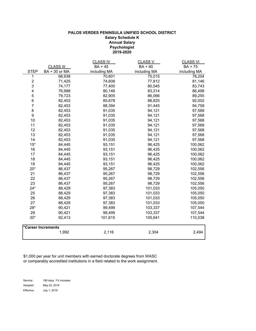### **PALOS VERDES PENINSULA UNIFIED SCHOOL DISTRICT Salary Schedule K Annual Salary Psychologist 2019-2020**

|                          |                    | <b>CLASS IV</b> | <b>CLASS V</b> | <b>CLASS VI</b> |
|--------------------------|--------------------|-----------------|----------------|-----------------|
|                          | <b>CLASS III</b>   | $BA + 45$       | $BA + 60$      | BA + 75         |
| <b>STEP</b>              | BA + 30 or MA      | including MA    | including MA   | including MA    |
| 1                        | 68,938             | 70,601          | 75,015         | 78,204          |
| $\overline{\mathbf{c}}$  | 71,425             | 74,608          | 77,812         | 81,146          |
| 3                        | 74,177             | 77,400          | 80,545         | 83,743          |
| $\overline{\mathbf{4}}$  | 76,988             | 80,148          | 83,314         | 86,498          |
| 5                        | 79,723             | 82,905          | 86,066         | 89,255          |
| 6                        | 82,453             | 85,678          | 88,825         | 92,002          |
| $\overline{\mathcal{I}}$ | 82,453             | 88,394          | 91,445         | 94,759          |
| 8                        | 82,453             | 91,035          | 94,121         | 97,568          |
| 9                        | 82,453             | 91,035          | 94,121         | 97,568          |
| 10                       | 82,453             | 91,035          | 94,121         | 97,568          |
| 11                       | 82,453             | 91,035          | 94,121         | 97,568          |
| 12                       | 82,453             | 91,035          | 94,121         | 97,568          |
| 13                       | 82,453             | 91,035          | 94,121         | 97,568          |
| 14                       | 82,453             | 91,035          | 94,121         | 97,568          |
| $15*$                    | 84,445             | 93,151          | 96,425         | 100,062         |
| 16                       | 84,445             | 93,151          | 96,425         | 100,062         |
| 17                       | 84,445             | 93,151          | 96,425         | 100,062         |
| 18                       | 84,445             | 93,151          | 96,425         | 100,062         |
| 19                       | 84,445             | 93,151          | 96,425         | 100,062         |
| $20*$                    | 86,437             | 95,267          | 98,729         | 102,556         |
| 21                       | 86,437             | 95,267          | 98,729         | 102,556         |
| 22                       | 86,437             | 95,267          | 98,729         | 102,556         |
| 23                       | 86,437             | 95,267          | 98,729         | 102,556         |
| $24*$                    | 88,429             | 97,383          | 101,033        | 105,050         |
| 25                       | 88,429             | 97,383          | 101,033        | 105,050         |
| 26                       | 88,429             | 97,383          | 101,033        | 105,050         |
| 27                       | 88,429             | 97,383          | 101,033        | 105,050         |
| $28*$                    | 90,421             | 99,499          | 103,337        | 107,544         |
| 29                       | 90,421             | 99,499          | 103,337        | 107,544         |
| $30*$                    | 92,413             | 101,615         | 105,641        | 110,038         |
|                          | *Career Increments |                 |                |                 |
|                          | 1,992              | 2,116           | 2,304          | 2,494           |

\$1,000 per year for unit members with earned doctorate degrees from WASC or comparably accredited institutions in a field related to the work assignment.

Service: 190 days, 1% increase Adopted: May 22, 2019 Effective: July 1, 2019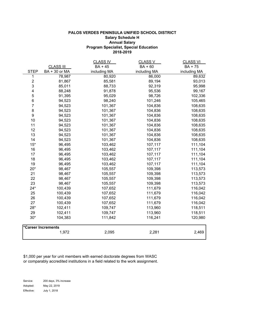#### **Program Specialist, Special Education 2018-2019 PALOS VERDES PENINSULA UNIFIED SCHOOL DISTRICT Salary Schedule H Annual Salary**

|                         |                    | <b>CLASS IV</b> | <u>CLASS V</u> | <b>CLASS VI</b> |
|-------------------------|--------------------|-----------------|----------------|-----------------|
|                         | <b>CLASS III</b>   | <b>BA + 45</b>  | BA + 60        | BA + 75         |
| <b>STEP</b>             | BA + 30 or MA      | including MA    | including MA   | including MA    |
| 1                       | 78,987             | 80,920          | 86,000         | 89,632          |
| $\sqrt{2}$              | 81,867             | 85,581          | 89,194         | 93,013          |
| 3                       | 85,011             | 88,733          | 92,319         | 95,998          |
| $\overline{\mathbf{4}}$ | 88,248             | 91,878          | 95,536         | 99,167          |
| 5                       | 91,395             | 95,029          | 98,726         | 102,336         |
| $\,6$                   | 94,523             | 98,240          | 101,246        | 105,465         |
| $\boldsymbol{7}$        | 94,523             | 101,367         | 104,836        | 108,635         |
| $\,8\,$                 | 94,523             | 101,367         | 104,836        | 108,635         |
| $\boldsymbol{9}$        | 94,523             | 101,367         | 104,836        | 108,635         |
| 10                      | 94,523             | 101,367         | 104,836        | 108,635         |
| 11                      | 94,523             | 101,367         | 104,836        | 108,635         |
| 12                      | 94,523             | 101,367         | 104,836        | 108,635         |
| 13                      | 94,523             | 101,367         | 104,836        | 108,635         |
| 14                      | 94,523             | 101,367         | 104,836        | 108,635         |
| $15*$                   | 96,495             | 103,462         | 107,117        | 111,104         |
| 16                      | 96,495             | 103,462         | 107,117        | 111,104         |
| 17                      | 96,495             | 103,462         | 107,117        | 111,104         |
| 18                      | 96,495             | 103,462         | 107,117        | 111,104         |
| 19                      | 96,495             | 103,462         | 107,117        | 111,104         |
| $20*$                   | 98,467             | 105,557         | 109,398        | 113,573         |
| 21                      | 98,467             | 105,557         | 109,398        | 113,573         |
| 22                      | 98,467             | 105,557         | 109,398        | 113,573         |
| 23                      | 98,467             | 105,557         | 109,398        | 113,573         |
| $24*$                   | 100,439            | 107,652         | 111,679        | 116,042         |
| 25                      | 100,439            | 107,652         | 111,679        | 116,042         |
| 26                      | 100,439            | 107,652         | 111,679        | 116,042         |
| 27                      | 100,439            | 107,652         | 111,679        | 116,042         |
| 28*                     | 102,411            | 109,747         | 113,960        | 118,511         |
| 29                      | 102,411            | 109,747         | 113,960        | 118,511         |
| $30*$                   | 104,383            | 111,842         | 116,241        | 120,980         |
|                         | *Career Increments |                 |                |                 |
|                         | 1,972              | 2,095           | 2,281          | 2,469           |

\$1,000 per year for unit members with earned doctorate degrees from WASC or comparably accredited institutions in a field related to the work assignment.

Service: 200 days, 3% increase Adopted: May 22, 2019 Effective: July 1, 2018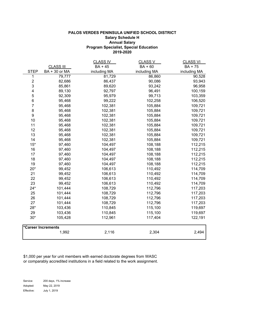#### **PALOS VERDES PENINSULA UNIFIED SCHOOL DISTRICT Salary Schedule H Annual Salary Program Specialist, Special Education 2019-2020**

|                           |                    | <u>CLASS IV</u> | <u>CLASS V</u> | <b>CLASS VI</b> |
|---------------------------|--------------------|-----------------|----------------|-----------------|
|                           | <b>CLASS III</b>   | <b>BA + 45</b>  | BA + 60        | BA + 75         |
| <b>STEP</b>               | BA + 30 or MA      | including MA    | including MA   | including MA    |
| 1                         | 79,777             | 81,729          | 86,860         | 90,528          |
| $\boldsymbol{2}$          | 82,686             | 86,437          | 90,086         | 93,943          |
| $\ensuremath{\mathsf{3}}$ | 85,861             | 89,620          | 93,242         | 96,958          |
| $\overline{\mathbf{4}}$   | 89,130             | 92,797          | 96,491         | 100,159         |
| $\mathbf 5$               | 92,309             | 95,979          | 99,713         | 103,359         |
| $\,6$                     | 95,468             | 99,222          | 102,258        | 106,520         |
| $\boldsymbol{7}$          | 95,468             | 102,381         | 105,884        | 109,721         |
| $\,8\,$                   | 95,468             | 102,381         | 105,884        | 109,721         |
| $\boldsymbol{9}$          | 95,468             | 102,381         | 105,884        | 109,721         |
| 10                        | 95,468             | 102,381         | 105,884        | 109,721         |
| 11                        | 95,468             | 102,381         | 105,884        | 109,721         |
| 12                        | 95,468             | 102,381         | 105,884        | 109,721         |
| 13                        | 95,468             | 102,381         | 105,884        | 109,721         |
| 14                        | 95,468             | 102,381         | 105,884        | 109,721         |
| $15*$                     | 97,460             | 104,497         | 108,188        | 112,215         |
| 16                        | 97,460             | 104,497         | 108,188        | 112,215         |
| 17                        | 97,460             | 104,497         | 108,188        | 112,215         |
| 18                        | 97,460             | 104,497         | 108,188        | 112,215         |
| 19                        | 97,460             | 104,497         | 108,188        | 112,215         |
| $20*$                     | 99,452             | 106,613         | 110,492        | 114,709         |
| 21                        | 99,452             | 106,613         | 110,492        | 114,709         |
| 22                        | 99,452             | 106,613         | 110,492        | 114,709         |
| 23                        | 99,452             | 106,613         | 110,492        | 114,709         |
| $24*$                     | 101,444            | 108,729         | 112,796        | 117,203         |
| 25                        | 101,444            | 108,729         | 112,796        | 117,203         |
| 26                        | 101,444            | 108,729         | 112,796        | 117,203         |
| 27                        | 101,444            | 108,729         | 112,796        | 117,203         |
| $28*$                     | 103,436            | 110,845         | 115,100        | 119,697         |
| 29                        | 103,436            | 110,845         | 115,100        | 119,697         |
| $30*$                     | 105,428            | 112,961         | 117,404        | 122,191         |
|                           | *Career Increments |                 |                |                 |
|                           | 1,992              | 2,116           | 2,304          | 2,494           |

\$1,000 per year for unit members with earned doctorate degrees from WASC or comparably accredited institutions in a field related to the work assignment.

Service: 200 days, 1% increase Adopted: May 22, 2019 Effective: July 1, 2019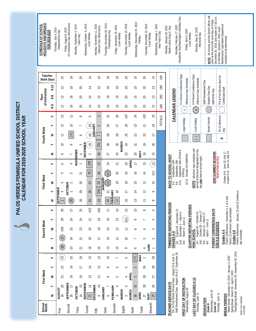**PALOS VERDES PENINSULA UNIFIED SCHOOL DISTRICT**  PALOS VERDES PENINSULA UNIFIED SCHOOL DISTRICT **CALENDAR FOR 2019-2020 SCHOOL YEAR**

| <b>HOLIDAYS AND BREAKS</b><br>SCHEDULE OF SCHOOL | FOR 2019-2020 | Thursday, July 4, 2019<br>Independence Day     | Friday, August 9, 2019<br>CA Admission Day Observance | Monday, September 2, 2019<br>Labor Day            | Wednesday, October 9, 2019<br>Local Holiday | Monday, November 11, 2019<br>Veterans Day Observance | Thursday, November 28, 2019<br>Thanksgiving Day | Friday, November 29, 2019<br>Local Holiday | Tuesday, December 24, 2019<br>ocal Holiday  | Wednesday, December 25, 2019<br>Holiday     | Tuesday, December 31, 2019 | Local Holiday                | Wednesday, January 1, 2020<br>New Year's Day | Monday, January 20, 2020<br>Martin Luther King Jr. Day                                                                               | Presidents' Day/Washington's Birthday<br>Monday, February 17, 2020  | Friday, April 3, 2020<br>Local Holiday | Monday, May 25, 2020<br><b>Memorial Day</b>                                                             | NOTE: All schools and the District offic   | close at the end of the work day on Frio<br>December 20, 2019, and reopen at 7:3 | Maintenance/ Operations Department<br>on Monday, January 6, 2020, exact<br>schedule to be determined. |                                                                                                                                                  |
|--------------------------------------------------|---------------|------------------------------------------------|-------------------------------------------------------|---------------------------------------------------|---------------------------------------------|------------------------------------------------------|-------------------------------------------------|--------------------------------------------|---------------------------------------------|---------------------------------------------|----------------------------|------------------------------|----------------------------------------------|--------------------------------------------------------------------------------------------------------------------------------------|---------------------------------------------------------------------|----------------------------------------|---------------------------------------------------------------------------------------------------------|--------------------------------------------|----------------------------------------------------------------------------------|-------------------------------------------------------------------------------------------------------|--------------------------------------------------------------------------------------------------------------------------------------------------|
| Teacher<br><b>Work Days</b>                      |               | 15                                             | $\overline{P}$                                        | $\overline{20}$                                   | $\overline{4}$                              | $\approx$                                            | $\tilde{e}$                                     | <u>م</u>                                   | 20                                          | $\frac{5}{1}$                               | 20                         | $\overline{4}$               | 185                                          |                                                                                                                                      |                                                                     |                                        |                                                                                                         |                                            |                                                                                  |                                                                                                       |                                                                                                                                                  |
|                                                  | $9 - 12$      | $\overline{c}$                                 | $\frac{8}{1}$                                         | $\Omega$                                          | $\overline{1}$                              | $\Xi$                                                | $\overline{0}$                                  | ٩,                                         | 20                                          | $\frac{5}{1}$                               | 20                         | $\tilde{1}$                  | 180                                          |                                                                                                                                      | K-5 Parent Conference Days                                          | (Minimum Day Schedule)                 | 6-8 Parent Conference Days<br>(Minimum Day Schedule)                                                    | Staff Development Day                      |                                                                                  | Pre & Post Service days for                                                                           |                                                                                                                                                  |
| of Instruction<br>Days                           | $6-8$         | $\overline{c}$                                 | $\approx$                                             | 20                                                | $\overline{1}$                              | $\Xi$                                                | $\overline{0}$                                  | $\tilde{e}$                                | 20                                          | $\frac{5}{1}$                               | 20                         | $\tilde{1}$                  | 180                                          |                                                                                                                                      |                                                                     |                                        |                                                                                                         | Student Free Day                           | Staff Work Day                                                                   | Certificated Staff                                                                                    |                                                                                                                                                  |
|                                                  | $K-5$         | $\approx$                                      | $\frac{8}{1}$                                         | 20                                                | $\overline{1}$                              | $\approx$                                            | $\tilde{e}$                                     | <u>م</u>                                   | 20                                          | $\frac{5}{1}$                               | 20                         | $\tilde{1}$                  | 180                                          | <b>CALENDAR LEGEND</b>                                                                                                               | $\ddagger$                                                          |                                        | $\#$                                                                                                    |                                            |                                                                                  |                                                                                                       |                                                                                                                                                  |
|                                                  | L             | $\tilde{1}$                                    | $\rightleftarrows$                                    | $\infty$                                          | P                                           | 3                                                    | స్                                              | 28                                         | #27                                         | 24                                          | #22                        | $\tilde{e}$                  | <b>TOTALS</b>                                |                                                                                                                                      |                                                                     |                                        |                                                                                                         |                                            |                                                                                  |                                                                                                       |                                                                                                                                                  |
|                                                  | ⊢             | $\overline{c}$                                 | $\Xi$                                                 |                                                   | #5                                          | <b>IANUARY</b><br>$\sim$                             | $30\,$                                          | 27                                         | 26                                          | 23                                          | $\overline{21}$            | $\frac{8}{1}$                |                                              |                                                                                                                                      | Legal Holiday                                                       |                                        | Local Holiday                                                                                           | <b>Break Periods</b>                       |                                                                                  | TK-12 Minimum<br>Day                                                                                  |                                                                                                                                                  |
| Fourth Week                                      | ≥             | $\overline{\overline{\phantom{0}}\phantom{0}}$ | $\begin{bmatrix} 9 \end{bmatrix}$                     | $\circ$                                           | #4                                          |                                                      | 29                                              | 26                                         | 25                                          | 22                                          | 20                         | $\overline{\overline{a}}$    |                                              |                                                                                                                                      |                                                                     |                                        | $\Box$                                                                                                  |                                            |                                                                                  | #                                                                                                     |                                                                                                                                                  |
|                                                  | ⊢             | ₽                                              | $\infty$                                              | 5                                                 | <b>DECEMBER</b><br>$\sharp\sharp$           | $[31]$                                               | 28                                              | <b>MARCH</b><br>25                         | 24                                          | 21                                          | $\overline{P}$             | $\frac{9}{1}$                |                                              |                                                                                                                                      |                                                                     |                                        |                                                                                                         |                                            |                                                                                  |                                                                                                       |                                                                                                                                                  |
|                                                  | Σ             | $\sigma$                                       | $\overline{ }$                                        | EMBER<br>4                                        | $\sim$                                      | 30                                                   | 27                                              | 24                                         | 23                                          | ΜŅ<br>20                                    | $\approx$                  | $\frac{5}{1}$                |                                              |                                                                                                                                      |                                                                     |                                        |                                                                                                         |                                            |                                                                                  |                                                                                                       |                                                                                                                                                  |
|                                                  | щ             | ∘                                              | 4                                                     | $\overline{5}$                                    | [29]                                        | 27                                                   | 24                                              | 21                                         | <b>APRIL</b><br>$20\,$                      | $\overline{\overline{a}}$                   | $\overline{1}$             | $\overline{C}$               |                                              | BACK TO SCHOOL NIGHT<br>September 12th                                                                                               | September 26th (PVHS &<br>September 19th                            | October 3rd (RdMHS)                    | Minimum day schedules will<br>prevail at the level designated on the<br>day after back-to-school night. |                                            | 2020 SUMMER SESSION                                                              | Grades K-8: June 22-July 17<br>Grades 9-12: June 22-July 24<br><b>TENTATIVE DATES</b>                 |                                                                                                                                                  |
|                                                  | ⊢             | 5                                              | 3                                                     | $\overline{5}$                                    | 28                                          | 26                                                   | #23                                             | 20                                         | ٩P,                                         | $\frac{9}{1}$                               | $\overline{1}$             | #11                          |                                              |                                                                                                                                      | PVPHS)                                                              |                                        |                                                                                                         |                                            |                                                                                  |                                                                                                       |                                                                                                                                                  |
| <b>Third Week</b>                                | ≋             | 4                                              | <b>OCTOBER</b><br>$\sim$                              | $30\,$                                            | 27                                          | 25                                                   | NUARY<br>#22<br>≤                               | P)                                         | $\frac{8}{1}$                               | 15                                          | $\frac{1}{2}$              | $\supseteq$                  |                                              | Κ-5                                                                                                                                  | $9 - 12$<br>$6-8$                                                   | $10 - 12$                              | NOTE: I                                                                                                 |                                            |                                                                                  |                                                                                                       |                                                                                                                                                  |
|                                                  | $\vdash$<br>Σ | <b>SEPTEMBER</b><br>3                          | $30\,$                                                | 29<br>28                                          | 26<br>25                                    | [24]<br>23                                           | 21<br>20                                        | $\approx$<br>FEBRUARY<br>$\overline{1}$    | π<br>$\frac{9}{1}$                          | $\overline{4}$<br>$\frac{1}{3}$             | Ω<br>는                     | q<br>$\infty$                |                                              |                                                                                                                                      |                                                                     |                                        |                                                                                                         |                                            |                                                                                  |                                                                                                       |                                                                                                                                                  |
|                                                  | щ             | Q                                              | Ē                                                     | ம                                                 | 22                                          | $\overline{20}$                                      | $\overline{ }$                                  | 4                                          | S                                           | $\circ$                                     | $\infty$                   |                              |                                              |                                                                                                                                      | $\sim$                                                              | <b>IODS</b>                            |                                                                                                         |                                            | S                                                                                |                                                                                                       | $3, 4, 8, 5$ and                                                                                                                                 |
|                                                  | ⊢             | 29                                             | 26                                                    | 24                                                | ₩<br>$\overline{2}$                         | P,                                                   | $\frac{9}{1}$                                   | $\tilde{c}$                                | #12                                         | ò                                           | $\overline{ }$             | 4                            |                                              |                                                                                                                                      |                                                                     |                                        |                                                                                                         |                                            |                                                                                  |                                                                                                       |                                                                                                                                                  |
| Second Week                                      | ≋             | #28                                            | 25                                                    | 23                                                | $\infty$                                    | $\approx$                                            | $\overline{15}$                                 | $\overline{c}$                             | $\overline{\phantom{0}}$                    | $\infty$                                    | P                          | $\sim$                       |                                              | TRIMESTER REPORTING PERIODS                                                                                                          | August 28 - November 2<br>December 2 - March 6<br>March 9 - June 11 | QUARTER REPORTING PERI                 | October 28 - January 17<br>August 28 - October 25                                                       | January 21 - March 27<br>April 6 - June 11 | PARENT CONFERENCE DAY                                                            |                                                                                                       |                                                                                                                                                  |
|                                                  | ⊢             | 27                                             | $\overline{24}$                                       | $\mathbf{z}$                                      | $\overline{P}$                              | $\overline{\Box}$                                    | $\overline{4}$                                  | $\Xi$                                      | $\approx$                                   | $\overline{ }$                              | 5                          | $\sim$                       |                                              |                                                                                                                                      |                                                                     |                                        | HIGH SCHOOL                                                                                             |                                            |                                                                                  | FOR K-8 STUDENTS<br>Grades K-5                                                                        | Parent conferences: December                                                                                                                     |
|                                                  | Σ             | 26                                             | 23                                                    | $\overline{z}$                                    | $\approx$                                   | $\frac{9}{5}$                                        | $\tilde{c}$                                     | $\ominus$                                  | q                                           | Ó                                           | 4                          | <b>MNE</b><br>$\overline{ }$ |                                              | GRADES K-8                                                                                                                           | 2nd:<br>1st:<br>3rd:                                                |                                        | 2nd:<br>1st:                                                                                            | 4th:<br>3rd:                               |                                                                                  |                                                                                                       |                                                                                                                                                  |
|                                                  | щ             | $\overline{23}$                                | 20                                                    | $\frac{8}{1}$                                     | $\frac{5}{2}$                               | $\frac{3}{2}$                                        | $\approx$                                       | $\overline{ }$                             | P                                           | YAW<br>$[3]$                                | $\overline{ }$             | 29                           |                                              |                                                                                                                                      |                                                                     |                                        |                                                                                                         |                                            |                                                                                  |                                                                                                       |                                                                                                                                                  |
|                                                  | ⊢             | 22                                             | P,                                                    | $\overline{1}$                                    | $\overline{1}$                              | $\overline{c}$                                       | $\circ$                                         | ◡                                          | 5                                           | $\sim$                                      | $\overline{30}$            | 28                           |                                              |                                                                                                                                      |                                                                     |                                        |                                                                                                         |                                            |                                                                                  |                                                                                                       |                                                                                                                                                  |
| First Week                                       | ≥             | 21                                             | $\approx$                                             | $\frac{9}{5}$                                     | $\tilde{1}$                                 | $\rightleftharpoons$                                 | $\infty$                                        | 5                                          | APRIL<br>4                                  | $\overline{ }$                              | 8                          | 27                           |                                              |                                                                                                                                      |                                                                     |                                        |                                                                                                         |                                            |                                                                                  |                                                                                                       |                                                                                                                                                  |
|                                                  | $\vdash$<br>Σ | 20<br><b>AUGUST</b><br>$\overline{P}$          | <b>SEPTEMBER</b><br>$\overline{1}$<br>$\frac{6}{1}$   | $\frac{5}{1}$<br><b>OCTOBER</b><br>$\overline{1}$ | NOVEMBER<br>$\approx$<br>$\overline{1}$     | $\supseteq$<br><b>DECEMBER</b><br>$\circ$            | JANUARY<br>$\bullet$                            | FEBRUARY<br>4<br>$\sim$                    | 3<br><b>MARCH</b><br><b>MARCH</b><br>$\sim$ | $\overline{31}$<br>APRIL<br>30 <sub>o</sub> | 28<br>27                   | 26<br>ŠΣ<br>25               |                                              | Pre- & Post-School Service Days: August 23 & June 12<br>Staff Development Days: August 26 & 27, September 30<br>TEACHER SERVICE DAYS | FIRST DAY OF INSTRUCTION                                            | Wednesday, August 28                   | AST DAY OF CLASSES K-12<br>Thursday, June 11                                                            |                                            | Wednesday, June 10                                                               | Thursday, June 11<br>BREAK PERIODS                                                                    | Winter Break: December 23, 2019 – January 3, 2020<br>Spring Break: March 30 – April 3, 2020<br>Thanksgiving Break: November 25—November 29, 2019 |
| School<br>Month                                  |               |                                                | Second                                                |                                                   | Fourth                                      |                                                      |                                                 | Seventh                                    | Eighth                                      |                                             | Tenth                      | Eleventh                     |                                              |                                                                                                                                      |                                                                     |                                        |                                                                                                         | <b>GRADUATION</b><br>Grade 8:              | Grade 12:                                                                        |                                                                                                       |                                                                                                                                                  |

Wednesday, December 25, 2019 Inesday, December 25, 2019<br>Holiday

Presidents' Day/Washington's Birthday Obs. onday, February 17, 2020<br>s' Day/Washington's Birthday Obs.

\* \* \* \* \* \* \* \* \* \* \* \* \* \* \* \* \* \* \* \* \* \* \* \* \* \* \* \* \* \* \* \*\*\*\*\*\*\*\*\*\*\*\*\*\*\*\*\*\*\*\*\*\*\*

er 20, 2019, and reopen at 7:30 a.m.<br>ay, January 6, 2020, exact<br>nnce/ Operations Department<br>s to be determined. Maintenance/ Operations Department on Monday, January 6, 2020, exact schedule to be determined.

day schedule)

Work Year Calendar Work Year Calendar<br>4-30-2019

**NOTE**: All schools and the District offices will close at the end of the work day on Friday, December 20, 2019, and reopen at 7:30 a.m.

schools and the District offices will<br>e end of the work day on Friday,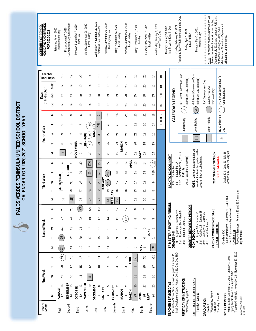| <b>HOLIDAYS AND BREAKS</b><br>SCHEDULE OF SCHOOL | FOR 2020-2021               | Saturday, July 4, 2020 | Independence Day                    | Friday, August 7, 2020<br>CA Admission Day Observance | Monday, September 7, 2020<br>Labor Day | Monday, September 28, 2020<br>Local Holiday | Wednesday, November 11, 2020<br>Veterans Day Observance | Thursday, November 26, 2020<br>Thanksgiving Day               | Friday, November 27, 2020<br>Local Holiday | Thursday, December 24, 2020<br>Local Holiday | Friday, December 25, 2020<br>Holiday | Tuesday, December 31, 2020 | Wednesday, January 1, 2021<br>_ocal Holiday | New Year's Day | Monday, January 18, 2021<br>Martin Luther King Jr. Day | Monday, February 15, 2021                                                                                   | Presidents' Day/Washington's Birthday Obs.       | Friday, April 2, 2021<br>Local Holiday | Monday, May 31, 2021<br>Memorial Day                                 |                                                  | NOTE: All schools and the District offices will<br>close at the end of the work day on Friday, | December 18, 2020, and reopen at 7:30 a.m.<br>Maintenance/ Operations Department<br>on Monday, January 4, 2021, exact | schedule to be determined.                                                |                                                                                               |                    |
|--------------------------------------------------|-----------------------------|------------------------|-------------------------------------|-------------------------------------------------------|----------------------------------------|---------------------------------------------|---------------------------------------------------------|---------------------------------------------------------------|--------------------------------------------|----------------------------------------------|--------------------------------------|----------------------------|---------------------------------------------|----------------|--------------------------------------------------------|-------------------------------------------------------------------------------------------------------------|--------------------------------------------------|----------------------------------------|----------------------------------------------------------------------|--------------------------------------------------|------------------------------------------------------------------------------------------------|-----------------------------------------------------------------------------------------------------------------------|---------------------------------------------------------------------------|-----------------------------------------------------------------------------------------------|--------------------|
|                                                  |                             |                        |                                     |                                                       |                                        |                                             |                                                         |                                                               |                                            |                                              |                                      |                            |                                             |                |                                                        |                                                                                                             |                                                  |                                        |                                                                      |                                                  |                                                                                                |                                                                                                                       |                                                                           |                                                                                               |                    |
|                                                  | Teacher<br><b>Work Days</b> |                        | $\frac{5}{1}$                       | $\overline{0}$                                        | $\overline{20}$                        | $\overline{1}$                              | $\approx$                                               | P,                                                            | P)                                         | $\overline{20}$                              | $\frac{5}{1}$                        | 20                         | $\overline{1}$                              | 185            |                                                        |                                                                                                             |                                                  |                                        |                                                                      |                                                  |                                                                                                |                                                                                                                       |                                                                           |                                                                                               |                    |
|                                                  |                             | $9 - 12$               | 2                                   | P)                                                    | $\overline{0}$                         | $\overline{1}$                              | $\Xi$                                                   | P,                                                            | <u>م</u>                                   | 20                                           | $\frac{5}{1}$                        | 20                         | $\tilde{1}$                                 | 180            |                                                        |                                                                                                             |                                                  |                                        |                                                                      |                                                  |                                                                                                |                                                                                                                       |                                                                           |                                                                                               |                    |
| Day <sub>s</sub>                                 | of Instruction              | $6 - 8$                | $\approx$                           | <u>م</u>                                              | $\overline{0}$                         | ュ                                           | $\Xi$                                                   | <u>م</u>                                                      | $\overline{e}$                             | 20                                           | $\frac{5}{1}$                        | $\Omega$                   | $\frac{3}{2}$                               | 180            |                                                        |                                                                                                             | K-5 Parent Conference Days                       | (Minimum Day Schedule)                 | 6-8 Parent Conference Days<br>(Minimum Day Schedule)                 | Staff Development Day                            | Student Free Day<br>Staff Work Day                                                             | Pre & Post Service days for                                                                                           | Certificated Staff                                                        |                                                                                               |                    |
|                                                  |                             | $K-5$                  | $\approx$                           | ٩P                                                    | ٩P                                     | $\overline{1}$                              | $\approx$                                               | <u>م</u>                                                      | $\overline{e}$                             | 20                                           | $\frac{5}{1}$                        | $\Omega$                   | $\tilde{1}$                                 | 180            |                                                        |                                                                                                             |                                                  |                                        |                                                                      |                                                  |                                                                                                |                                                                                                                       |                                                                           |                                                                                               |                    |
|                                                  |                             | щ                      | $\overline{1}$                      | $\circ$                                               | ∘                                      | 4                                           |                                                         | 29                                                            | 26                                         | #26                                          | 23                                   | 21                         | $\approx$                                   |                |                                                        | CALENDAR LEGEND                                                                                             |                                                  | $\#$                                   | $\#$                                                                 |                                                  |                                                                                                |                                                                                                                       |                                                                           |                                                                                               |                    |
|                                                  |                             | $\vdash$               | $\Xi$                               | $\infty$                                              | 5                                      | #3                                          | $[31]$                                                  | 28                                                            | 25                                         | 25                                           | 22                                   | $\Omega$                   | $\overline{\phantom{0}}$                    | <b>TOTALS</b>  |                                                        |                                                                                                             |                                                  | Legal Holiday                          | Local Holiday                                                        |                                                  | <b>Break Periods</b>                                                                           | TK-12 Minimum                                                                                                         |                                                                           |                                                                                               |                    |
| Fourth Week                                      |                             | ≥                      | o                                   |                                                       | 4                                      | $\widetilde{t}^{\#}$                        | <b>JANUARY</b><br>30                                    | 27                                                            | 24                                         | 24                                           | 21                                   | $\overline{0}$             | $\frac{6}{1}$                               |                |                                                        |                                                                                                             |                                                  |                                        |                                                                      |                                                  |                                                                                                |                                                                                                                       | Day                                                                       |                                                                                               |                    |
|                                                  |                             | $\vdash$               | $\infty$                            | 9                                                     | 3                                      | DECEMBER<br>$\frac{1}{2}$                   | 29                                                      | 26                                                            | 23                                         | 23                                           | 20                                   | $\frac{8}{1}$              | $\overline{15}$                             |                |                                                        |                                                                                                             |                                                  |                                        | $\Box$                                                               |                                                  |                                                                                                | #                                                                                                                     |                                                                           |                                                                                               |                    |
|                                                  |                             | Σ                      |                                     | 5                                                     | NOVEMBER<br>$\sim$                     | 30                                          | 28                                                      | 25                                                            | <b>MARCH</b><br>22                         | 22                                           | $\tilde{e}$                          | NAV<br>$\overline{1}$      | $\overline{a}$                              |                |                                                        |                                                                                                             |                                                  |                                        |                                                                      |                                                  |                                                                                                |                                                                                                                       |                                                                           |                                                                                               |                    |
|                                                  |                             | щ                      | 4                                   |                                                       | $30\,$                                 | $[27]$                                      | 25                                                      | 22                                                            | $\overline{0}$                             | APRIL<br>$\overline{e}$                      | $\frac{9}{1}$                        | ュ                          | $\equiv$                                    |                | BACK TO SCHOOL NIGHT                                   | $\equiv$                                                                                                    | September 24 (PVHS &                             | October 1 (RdMHS)                      | Minimum day schedules will<br>prevail at the level designated on the | day after back-to-school night.                  | 2021 SUMMER SESSION                                                                            | <b>TENTATIVE DATES</b>                                                                                                | Grades K-8: June 21-July 16<br>Grades 9-12: June 21-July 23               |                                                                                               |                    |
|                                                  |                             | $\vdash$               |                                     | OCTOBER $\frac{1}{2}$                                 | 29                                     | 26                                          | [24]                                                    | #21                                                           | $\frac{8}{10}$                             | $\frac{8}{1}$                                | $\frac{5}{1}$                        | $\tilde{1}$                | #10                                         |                |                                                        | September 10<br>September                                                                                   | PVPHS)                                           |                                        |                                                                      |                                                  |                                                                                                |                                                                                                                       |                                                                           |                                                                                               |                    |
| <b>Third Week</b>                                |                             | ≥                      | $\frac{1}{2}$ SEPTE <sub>MBER</sub> | $\mathcal{S}$                                         | 28                                     | 25                                          | 23                                                      | JANUAR<br>#20                                                 | π                                          | H                                            | $\overline{4}$                       | $\approx$                  | $\circ$                                     |                |                                                        | Κ-5<br>$6-8$                                                                                                | $9-12$                                           | $10 - 12$                              | <b>NOTE:</b>                                                         |                                                  |                                                                                                |                                                                                                                       |                                                                           |                                                                                               |                    |
|                                                  |                             | $\vdash$               |                                     | 29                                                    | 27                                     | 24                                          | 22                                                      | $\tilde{e}$                                                   | $\frac{6}{1}$                              | $\frac{9}{5}$                                | 13                                   | $\overline{\overline{1}}$  | $\infty$                                    |                |                                                        |                                                                                                             |                                                  |                                        |                                                                      |                                                  |                                                                                                |                                                                                                                       |                                                                           |                                                                                               |                    |
|                                                  |                             | ⋝                      | Σ                                   | $[28]$                                                | ∘<br>$\sim$                            | 23                                          | $\overline{21}$                                         | $\stackrel{\textstyle\omega}{\textstyle=}$                    | <b>EBRUARY</b><br>$\tilde{\mathbf{r}}$     | 5                                            |                                      | $\circ$                    |                                             |                |                                                        |                                                                                                             |                                                  |                                        |                                                                      |                                                  |                                                                                                |                                                                                                                       | and                                                                       | Parent conferences: January 20 and 21 (minimum                                                |                    |
|                                                  |                             | щ                      | 28                                  | 25                                                    | $\left  \frac{23}{2} \right $          | #20                                         | #18                                                     | $\frac{5}{1}$                                                 | $\Xi$                                      | $\approx$                                    | $\circ$                              |                            | 4                                           |                | TRIMESTER REPORTING PERIODS                            |                                                                                                             |                                                  |                                        |                                                                      |                                                  |                                                                                                |                                                                                                                       | Parent conferences: December 1, 2, & 3                                    |                                                                                               |                    |
|                                                  |                             | $\vdash$               | 27                                  | 24                                                    | 22                                     | P,                                          | $\overline{1}$                                          | $\overline{a}$                                                | Ξ                                          | #11                                          | $\infty$                             | ∘                          | 3                                           |                |                                                        |                                                                                                             | August 26 – November 20<br>November 30 – March 5 | <b>QUARTER REPORTING PERIODS</b>       | August 26 - October 23                                               | October 25 - January 15<br>January 19 - March 26 | PARENT CONFERENCE DAYS                                                                         |                                                                                                                       |                                                                           | March 11 (minimum day schedule)                                                               |                    |
| Second Week                                      |                             | ≷                      | #26                                 | 23                                                    | 21                                     | $\frac{8}{1}$                               | $\frac{9}{1}$                                           | $\tilde{c}$                                                   | $\approx$                                  | $\approx$                                    |                                      | 5                          | $\sim$<br><b>MNE</b>                        |                |                                                        |                                                                                                             |                                                  | March 8 - June 10                      |                                                                      | April 5 - June 10                                |                                                                                                | FOR K-8 STUDENTS                                                                                                      |                                                                           |                                                                                               |                    |
|                                                  |                             | $\vdash$               | 25                                  | 22                                                    | $\overline{20}$                        | $\overline{1}$                              | $\frac{5}{1}$                                           | $\overline{c}$                                                | ò                                          | ò                                            | P                                    | 4                          |                                             |                |                                                        | <b>GRADES K-8</b><br>İst                                                                                    | 2nd:                                             | 3rd:                                   | HIGH SCHOOL<br>ist:                                                  | 2nd:<br>4th:                                     |                                                                                                |                                                                                                                       | Grades K-5                                                                | Grades 6-8                                                                                    | day schedule)      |
|                                                  |                             | Σ                      | 24                                  | 21                                                    | <u>م</u>                               | $\frac{9}{1}$                               | $\overline{4}$                                          | $\stackrel{\textstyle\scriptstyle\smile}{\scriptstyle\!\sim}$ | $\infty$                                   | $\infty$                                     | 5                                    | <b>NAY</b><br>2            | $\overline{31}$                             |                |                                                        |                                                                                                             |                                                  |                                        |                                                                      | 3rd:                                             |                                                                                                |                                                                                                                       |                                                                           |                                                                                               |                    |
|                                                  |                             | щ                      | $\widetilde{\Sigma}$                | $\frac{8}{1}$                                         | $\frac{9}{1}$                          | $\frac{1}{2}$                               | $\overline{1}$                                          | $\infty$                                                      | 5                                          | 5<br><b>APRIL</b>                            | $[2]$                                | $30\,$                     | #28                                         |                |                                                        |                                                                                                             |                                                  |                                        |                                                                      |                                                  |                                                                                                |                                                                                                                       |                                                                           |                                                                                               |                    |
|                                                  |                             | $\vdash$               | $\overline{c}$                      | 17                                                    | $\overline{15}$                        | $\tilde{c}$                                 | $\approx$                                               | $\overline{ }$                                                | 4                                          | 4                                            | $\overline{ }$                       | 29                         | 27                                          |                |                                                        |                                                                                                             |                                                  |                                        |                                                                      |                                                  |                                                                                                |                                                                                                                       |                                                                           |                                                                                               |                    |
| First Week                                       |                             | ≷                      | $\overline{0}$                      | $\frac{6}{1}$                                         | $\overline{1}$                         | $\overline{\phantom{0}}$                    | ò                                                       | ∘                                                             | 3                                          | 3                                            | $\overline{31}$                      | 28                         | 26                                          |                |                                                        |                                                                                                             |                                                  |                                        |                                                                      |                                                  |                                                                                                |                                                                                                                       |                                                                           |                                                                                               |                    |
|                                                  |                             | $\vdash$               | $\frac{8}{1}$                       | $\frac{5}{1}$                                         | $\tilde{1}$                            | $\approx$                                   | $\infty$                                                | S                                                             | $\sim$                                     | $\sim$                                       | 30                                   | 27                         | 25                                          |                |                                                        |                                                                                                             |                                                  |                                        |                                                                      |                                                  |                                                                                                |                                                                                                                       |                                                                           |                                                                                               |                    |
|                                                  |                             | Σ                      | RUGUST<br>17                        | SEPTEMBER<br>$\frac{4}{3}$                            | <b>OCTOBER</b><br>$\overline{C}$       | NOVEMBER<br>$\circ$                         | <b>DECEMBER</b>                                         | JANUARY<br>4                                                  | FEBRUARY                                   | <b>MARCH</b><br><b>MARCH</b>                 | <b>APRIL</b><br>29                   | 26                         | MAY<br>24                                   |                |                                                        |                                                                                                             |                                                  |                                        |                                                                      |                                                  |                                                                                                |                                                                                                                       |                                                                           |                                                                                               |                    |
|                                                  | School<br>Month             |                        |                                     | Second                                                |                                        | Fourth                                      |                                                         |                                                               | Seventh                                    | Eighth                                       |                                      | Tenth                      | Eleventh                                    |                | TEACHER SERVICE DAYS                                   | Pre- & Post-School Service Days: August 19 & June 11<br>Staff Development Days: August 20 & 21, One Day TBD | FIRST DAY OF INSTRUCTION                         | Wednesday, August 26                   | LAST DAY OF CLASSES K-12<br>Thursday, June 10                        | GRADUATION                                       | Wednesday, June 9<br>Grade 8:                                                                  | Thursday, June 10<br>Grade 12:                                                                                        | Winter Break: December 21, 2020 - January 1, 2021<br><b>BREAK PERIODS</b> | Spring Break: March 29 - April 2, 2021<br>Thanksgiving Break: November 23 - November 27, 2020 | Work Year Calendar |
|                                                  |                             |                        | First                               |                                                       | Third                                  |                                             | Eifth                                                   | Sixth                                                         |                                            |                                              | Ninth                                |                            |                                             |                |                                                        |                                                                                                             |                                                  |                                        |                                                                      |                                                  |                                                                                                |                                                                                                                       |                                                                           |                                                                                               |                    |

Work Year Calendar Work Year Calendar<br>4-30-2019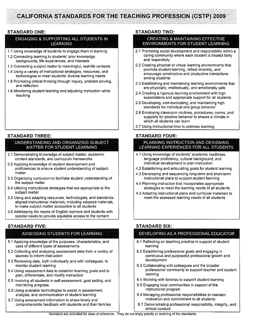## **CALIFORNIA STANDARDS FOR THE TEACHING PROFESSION (CSTP) 2009**

## **STANDARD ONE:**

### ENGAGING & SUPPORTING ALL STUDENTS IN **LEARNING**

- 1.1 Using knowledge of students to engage them in learning
- 1.2 Connecting learning to students' prior knowledge, backgrounds, life experiences, and interests
- 1.3 Connecting subject matter to meaningful, real-life contexts
- 1.4 Using a variety of instructional strategies, resources, and technologies to meet students' diverse learning needs
- 1.5 Promoting critical thinking through inquiry, problem solving, and reflection
- 1.6 Monitoring student learning and adjusting instruction while teaching

#### **STANDARD THREE:**

### UNDERSTANDING AND ORGANIZING SUBJECT **MATTER FOR STUDENT LEARNING**

- 3.1 Demonstrating knowledge of subject matter, academic content standards, and curriculum frameworks
- 3.2 Applying knowledge of student development and proficiencies to ensure student understanding of subject matter
- 3.3 Organizing curriculum to facilitate student understanding of the subject matter
- 3.4 Utilizing instructional strategies that are appropriate to the subject matter
- 3.5 Using and adapting resources, technologies, and standardsaligned instructional materials, including adopted materials, to make subject matter accessible to all students
- 3.6 Addressing the needs of English learners and students with special needs to provide equitable access to the content

## **STANDARD FIVE:**

## ASSESSING STUDENTS FOR LEARNING

- 5.1 Applying knowledge of the purposes, characteristics, and uses of different types of assessments
- 5.2 Collecting and analyzing assessment data from a variety of sources to inform instruction
- 5.3 Reviewing data, both individually and with colleagues, to monitor student learning
- 5.4 Using assessment data to establish learning goals and to plan, differentiate, and modify instruction
- 5.5 Involving all students in self-assessment, goal setting, and monitoring progress
- 5.6 Using available technologies to assist in assessment, analysis, and communication of student learning
- 5.7 Using assessment information to share timely and comprehensible feedback with students and their families

#### **STANDARD TWO:**

#### **CREATING & MAINTAINING EFFECTIVE ENVIRONMENTS FOR STUDENT LEARNING**

- 2.1 Promoting social development and responsibility within a caring community where each student is treated fairly and respectfully
- 2.2 Creating physical or virtual learning environments that promote student learning, reflect diversity, and encourage constructive and productive interactions among students
- 2.3 Establishing and maintaining learning environments that are physically, intellectually, and emotionally safe
- 2.4 Creating a rigorous learning environment with high expectations and appropriate support for all students
- 2.5 Developing, communicating, and maintaining high standards for individual and group behavior
- 2.6 Employing classroom routines, procedures, norms, and supports for positive behavior to ensure a climate in which all students can learn
- 2.7 Using instructional time to optimize learning

## **STANDARD FOUR:**

### PLANNING INSTRUCTION AND DESIGNING. LEARNING EXPERIENCES FOR ALL STUDENTS

- 4.1 Using knowledge of students' academic readiness, language proficiency, cultural background, and individual development to plan instruction
- 4.2 Establishing and articulating goals for student learning
- 4.3 Developing and sequencing long-term and short-term instructional plans to support student learning
- 4.4 Planning instruction that incorporates appropriate strategies to meet the learning needs of all students
- 4.5 Adapting instructional plans and curricular materials to meet the assessed learning needs of all students

## **STANDARD SIX:**

## DEVELOPING AS A PROFESSIONAL EDUCATOR

- 6.1 Reflecting on teaching practice in support of student learning
- 6.2 Establishing professional goals and engaging in continuous and purposeful professional growth and development
- 6.3 Collaborating with colleagues and the broader professional community to support teacher and student learning
- 6.4 Working with families to support student learning
- 6.5 Engaging local communities in support of the instructional program
- 6.6 Managing professional responsibilities to maintain motivation and commitment to all students
- 6.7 Demonstrating professional responsibility, integrity, and ethical conduct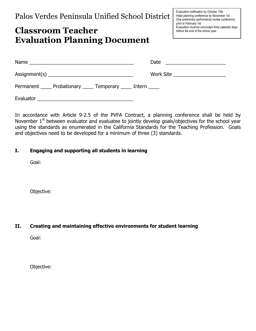# Classroom Teacher Evaluation Planning Document

|                                                                    | Work Site ______________________ |
|--------------------------------------------------------------------|----------------------------------|
| Permanent ______ Probationary ______ Temporary ______ Intern _____ |                                  |
|                                                                    |                                  |

In accordance with Article 9-2.5 of the PVFA Contract, a planning conference shall be held by November 1<sup>st</sup> between evaluator and evaluatee to jointly develop goals/objectives for the school year using the standards as enumerated in the California Standards for the Teaching Profession. Goals and objectives need to be developed for a minimum of three (3) standards.

## I. Engaging and supporting all students in learning

Goal:

Objective:

## II. Creating and maintaining effective environments for student learning

Goal:

Objective: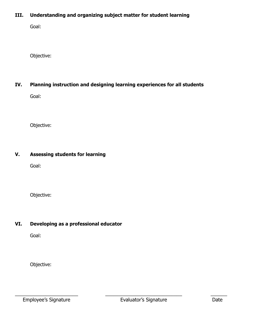## III. Understanding and organizing subject matter for student learning

Goal:

Objective:

## IV. Planning instruction and designing learning experiences for all students

Goal:

Objective:

## V. Assessing students for learning

Goal:

Objective:

## VI. Developing as a professional educator

Goal:

Objective:

Employee's Signature **Evaluator's Signature** Date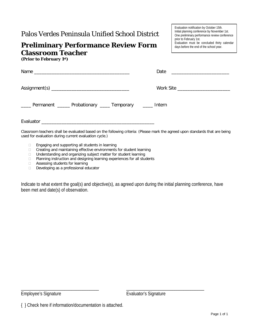# **Preliminary Performance Review Form Classroom Teacher**

**(Prior to February 1st)**

Evaluation notification by October 15th. Initial planning conference by November 1st. One preliminary performance review conference prior to February 1st. Evaluation must be concluded thirty calendar days before the end of the school year.

| ____ Permanent _____ Probationary ____ Temporary ____ Intern |  |
|--------------------------------------------------------------|--|
|                                                              |  |

Classroom teachers shall be evaluated based on the following criteria: (Please mark the agreed upon standards that are being used for evaluation during current evaluation cycle.)

- □ Engaging and supporting all students in learning
- □ Creating and maintaining effective environments for student learning
- □ Understanding and organizing subject matter for student learning
- □ Planning instruction and designing learning experiences for all students
- $\Box$  Assessing students for learning  $\Box$  Developing as a professional ed
- Developing as a professional educator

Indicate to what extent the goal(s) and objective(s), as agreed upon during the initial planning conference, have been met and date(s) of observation.

Employee's Signature **Example 19 and Evaluator's Signature** Evaluator's Signature

\_\_\_\_\_\_\_\_\_\_\_\_\_\_\_\_\_\_\_\_\_\_\_\_\_\_\_\_\_\_\_\_\_\_ \_\_\_\_\_\_\_\_\_\_\_\_\_\_\_\_\_\_\_\_\_\_\_\_\_\_\_\_\_\_\_\_\_\_

<sup>{ }</sup> Check here if information/documentation is attached.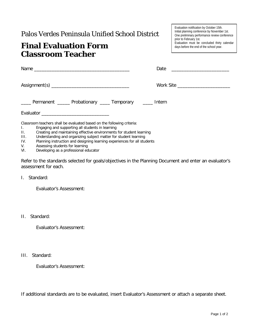# **Final Evaluation Form Classroom Teacher**

| Evaluation notification by October 15th.      |
|-----------------------------------------------|
| Initial planning conference by November 1st.  |
| One preliminary performance review conference |
| prior to February 1st.                        |
| Evaluation must be concluded thirty calendar  |
| days before the end of the school year.       |
|                                               |

| ____ Permanent _____ Probationary ____ Temporary ____ Intern                                                                           |  |
|----------------------------------------------------------------------------------------------------------------------------------------|--|
|                                                                                                                                        |  |
| Classroom teachers shall be evaluated based on the following criteria:<br>i ili Francaina credio uno critica ell'etudente la legrafica |  |

- I. Engaging and supporting all students in learning
- II. Creating and maintaining effective environments for student learning
- III. Understanding and organizing subject matter for student learning<br>IV. Planning instruction and designing learning experiences for all stud
- IV. Planning instruction and designing learning experiences for all students
- V. Assessing students for learning<br>VI. Developing as a professional ed
- Developing as a professional educator

Refer to the standards selected for goals/objectives in the Planning Document and enter an evaluator's assessment for each.

## I. Standard:

Evaluator's Assessment:

II. Standard:

Evaluator's Assessment:

III. Standard:

Evaluator's Assessment:

If additional standards are to be evaluated, insert Evaluator's Assessment or attach a separate sheet.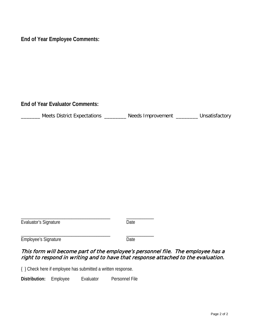**End of Year Employee Comments:**

**End of Year Evaluator Comments:**

| <b>Meets District Expectations</b> | Needs Improvement | Unsatisfactory |
|------------------------------------|-------------------|----------------|
|                                    |                   |                |

| Evaluator's Signature       | Date. |
|-----------------------------|-------|
|                             |       |
| <b>Employee's Signature</b> | Date. |

## This form will become part of the employee's personnel file. The employee has a right to respond in writing and to have that response attached to the evaluation.

{ } Check here if employee has submitted a written response.

**Distribution:** Employee Evaluator Personnel File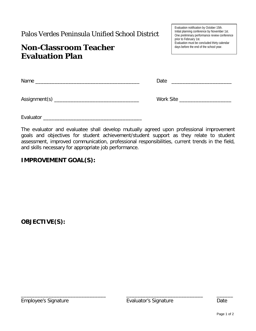# **Non-Classroom Teacher Evaluation Plan**

Evaluation notification by October 15th. Initial planning conference by November 1st. One preliminary performance review conference prior to February 1st. Evaluation must be concluded thirty calendar days before the end of the school year.

| Name            | Date      |  |  |
|-----------------|-----------|--|--|
|                 |           |  |  |
| Assignment(s) _ | Work Site |  |  |

Evaluator \_\_\_\_\_\_\_\_\_\_\_\_\_\_\_\_\_\_\_\_\_\_\_\_\_\_\_\_\_\_\_\_\_\_\_\_

The evaluator and evaluatee shall develop mutually agreed upon professional improvement goals and objectives for student achievement/student support as they relate to student assessment, improved communication, professional responsibilities, current trends in the field, and skills necessary for appropriate job performance.

## **IMPROVEMENT GOAL(S):**

**OBJECTIVE(S):**

Employee's Signature Evaluator's Signature Date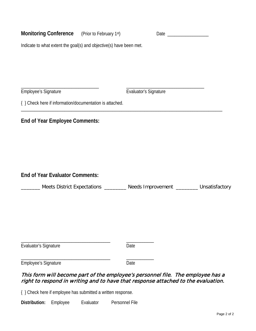| Monitoring Conference (Prior to February 1st)                                                                                                                        |                                                                                      |
|----------------------------------------------------------------------------------------------------------------------------------------------------------------------|--------------------------------------------------------------------------------------|
| Indicate to what extent the goal(s) and objective(s) have been met.                                                                                                  |                                                                                      |
|                                                                                                                                                                      |                                                                                      |
|                                                                                                                                                                      |                                                                                      |
| Employee's Signature                                                                                                                                                 | Evaluator's Signature                                                                |
| { } Check here if information/documentation is attached.                                                                                                             |                                                                                      |
| <b>End of Year Employee Comments:</b>                                                                                                                                |                                                                                      |
|                                                                                                                                                                      |                                                                                      |
|                                                                                                                                                                      |                                                                                      |
|                                                                                                                                                                      |                                                                                      |
| <b>End of Year Evaluator Comments:</b>                                                                                                                               |                                                                                      |
|                                                                                                                                                                      | _____ Meets District Expectations ________ Needs Improvement ________ Unsatisfactory |
|                                                                                                                                                                      |                                                                                      |
|                                                                                                                                                                      |                                                                                      |
|                                                                                                                                                                      |                                                                                      |
| Evaluator's Signature                                                                                                                                                | Date                                                                                 |
| Employee's Signature                                                                                                                                                 | Date                                                                                 |
| This form will become part of the employee's personnel file. The employee has a<br>right to respond in writing and to have that response attached to the evaluation. |                                                                                      |

{ } Check here if employee has submitted a written response.

**Distribution:** Employee Evaluator Personnel File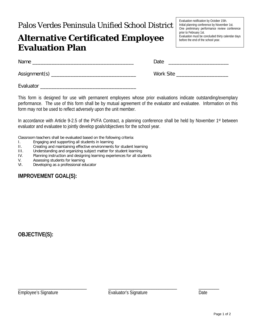# **Alternative Certificated Employee Evaluation Plan**

Evaluation notification by October 15th. Initial planning conference by November 1st. One preliminary performance review conference prior to February 1st. Evaluation must be concluded thirty calendar days before the end of the school year.

| Name            | Date      |
|-----------------|-----------|
| Assignment(s) _ | Work Site |

This form is designed for use with permanent employees whose prior evaluations indicate outstanding/exemplary performance. The use of this form shall be by mutual agreement of the evaluator and evaluatee. Information on this form may not be used to reflect adversely upon the unit member.

In accordance with Article 9-2.5 of the PVFA Contract, a planning conference shall be held by November 1<sup>st</sup> between evaluator and evaluatee to jointly develop goals/objectives for the school year.

Classroom teachers shall be evaluated based on the following criteria:

- I. Engaging and supporting all students in learning
- II. Creating and maintaining effective environments for student learning<br>III. Understanding and organizing subject matter for student learning
- Understanding and organizing subject matter for student learning
- IV. Planning instruction and designing learning experiences for all students
- Assessing students for learning

Evaluator \_\_\_\_\_\_\_\_\_\_\_\_\_\_\_\_\_\_\_\_\_\_\_\_\_\_\_\_\_\_\_\_\_\_\_

VI. Developing as a professional educator

## **IMPROVEMENT GOAL(S):**

**OBJECTIVE(S):**

Employee's Signature **Evaluator's Signature Examployee's Signature** Date

\_\_\_\_\_\_\_\_\_\_\_\_\_\_\_\_\_\_\_\_\_\_\_\_\_\_\_\_\_\_ \_\_\_\_\_\_\_\_\_\_\_\_\_\_\_\_\_\_\_\_\_\_\_\_\_\_\_\_\_\_ \_\_\_\_\_\_\_\_\_